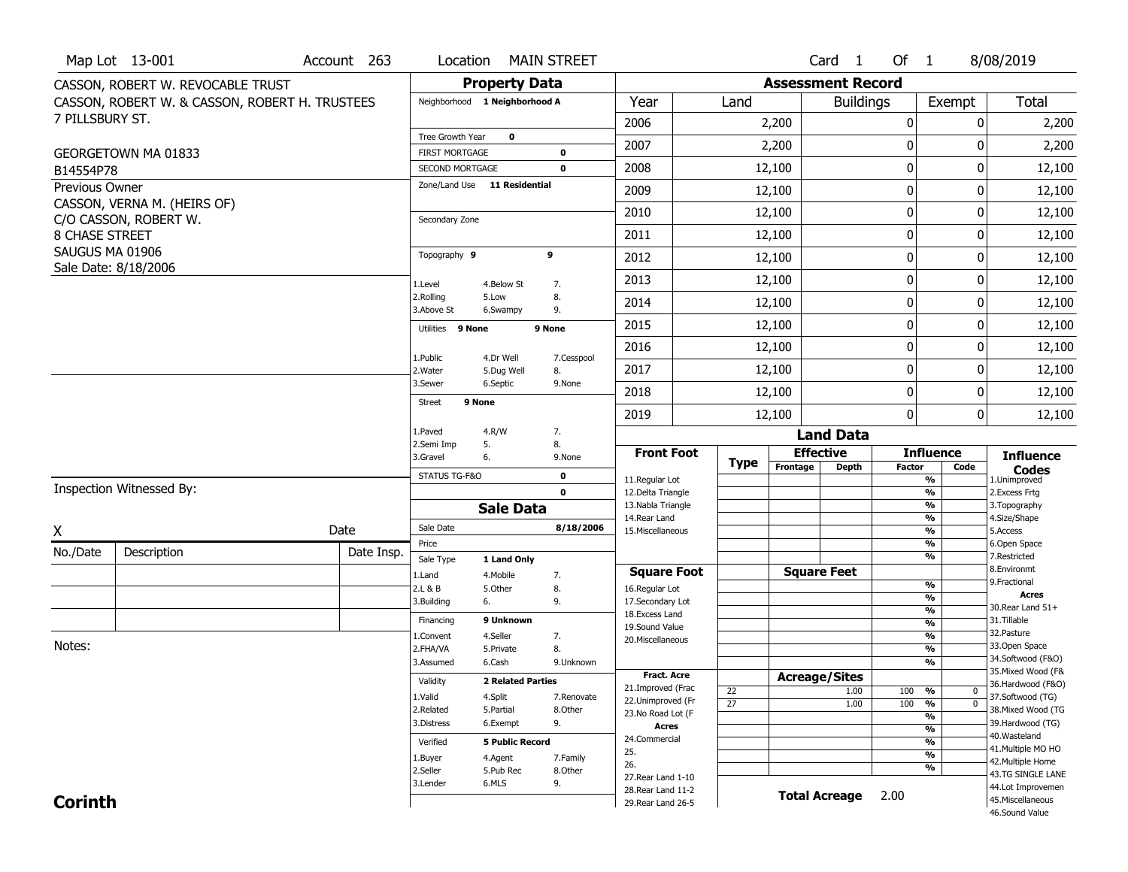|                 | Map Lot 13-001                                 | Account 263 | Location                |                               | <b>MAIN STREET</b>         |                                          |                 |                          | Card <sub>1</sub>    | Of 1          |                                           | 8/08/2019                              |
|-----------------|------------------------------------------------|-------------|-------------------------|-------------------------------|----------------------------|------------------------------------------|-----------------|--------------------------|----------------------|---------------|-------------------------------------------|----------------------------------------|
|                 | CASSON, ROBERT W. REVOCABLE TRUST              |             |                         | <b>Property Data</b>          |                            |                                          |                 | <b>Assessment Record</b> |                      |               |                                           |                                        |
|                 | CASSON, ROBERT W. & CASSON, ROBERT H. TRUSTEES |             |                         | Neighborhood 1 Neighborhood A |                            | Year                                     | Land            |                          | <b>Buildings</b>     |               | Exempt                                    | <b>Total</b>                           |
| 7 PILLSBURY ST. |                                                |             |                         |                               |                            | 2006                                     |                 | 2,200                    |                      | 0             |                                           | 2,200<br>0                             |
|                 |                                                |             | Tree Growth Year        | $\mathbf 0$                   |                            | 2007                                     |                 | 2,200                    |                      | 0             |                                           | 2,200<br>0                             |
|                 | GEORGETOWN MA 01833                            |             | <b>FIRST MORTGAGE</b>   |                               | $\mathbf 0$                |                                          |                 |                          |                      |               |                                           |                                        |
| B14554P78       |                                                |             | SECOND MORTGAGE         | Zone/Land Use 11 Residential  | $\mathbf 0$                | 2008                                     |                 | 12,100                   |                      | $\pmb{0}$     |                                           | 0<br>12,100                            |
| Previous Owner  | CASSON, VERNA M. (HEIRS OF)                    |             |                         |                               |                            | 2009                                     |                 | 12,100                   |                      | $\mathbf 0$   |                                           | 12,100<br>0                            |
|                 | C/O CASSON, ROBERT W.                          |             | Secondary Zone          |                               |                            | 2010                                     |                 | 12,100                   |                      | 0             |                                           | 0<br>12,100                            |
| 8 CHASE STREET  |                                                |             |                         |                               |                            | 2011                                     |                 | 12,100                   |                      | 0             |                                           | 0<br>12,100                            |
| SAUGUS MA 01906 |                                                |             | Topography 9            |                               | 9                          | 2012                                     |                 | 12,100                   |                      | $\pmb{0}$     |                                           | 0<br>12,100                            |
|                 | Sale Date: 8/18/2006                           |             | 1.Level                 | 4.Below St                    | 7.                         | 2013                                     |                 | 12,100                   |                      | $\pmb{0}$     |                                           | 0<br>12,100                            |
|                 |                                                |             | 2.Rolling<br>3.Above St | 5.Low<br>6.Swampy             | 8.<br>9.                   | 2014                                     |                 | 12,100                   |                      | 0             |                                           | 0<br>12,100                            |
|                 |                                                |             | Utilities 9 None        |                               | 9 None                     | 2015                                     |                 | 12,100                   |                      | $\mathbf 0$   |                                           | 0<br>12,100                            |
|                 |                                                |             |                         |                               |                            | 2016                                     |                 | 12,100                   |                      | 0             |                                           | 0<br>12,100                            |
|                 |                                                |             | 1.Public<br>2.Water     | 4.Dr Well<br>5.Dug Well       | 7.Cesspool<br>8.           | 2017                                     |                 | 12,100                   |                      | $\mathbf 0$   |                                           | 0<br>12,100                            |
|                 |                                                |             | 3.Sewer                 | 6.Septic                      | 9.None                     | 2018                                     |                 | 12,100                   |                      | 0             |                                           | 0<br>12,100                            |
|                 |                                                |             | <b>Street</b>           | 9 None                        |                            | 2019                                     |                 | 12,100                   |                      | $\mathbf{0}$  |                                           | 0<br>12,100                            |
|                 |                                                |             | 1.Paved                 | 4.R/W                         | 7.                         |                                          |                 |                          | <b>Land Data</b>     |               |                                           |                                        |
|                 |                                                |             | 2.Semi Imp              | 5.                            | 8.                         | <b>Front Foot</b>                        |                 | <b>Effective</b>         |                      |               | <b>Influence</b>                          |                                        |
|                 |                                                |             | 3.Gravel                | 6.                            | 9.None                     |                                          | Type            | Frontage                 | <b>Depth</b>         | <b>Factor</b> | Code                                      | <b>Influence</b><br><b>Codes</b>       |
|                 | <b>Inspection Witnessed By:</b>                |             | STATUS TG-F&O           |                               | $\mathbf 0$<br>$\mathbf 0$ | 11.Regular Lot<br>12.Delta Triangle      |                 |                          |                      |               | %<br>$\overline{\frac{9}{6}}$             | 1.Unimproved<br>2.Excess Frtg          |
|                 |                                                |             |                         | <b>Sale Data</b>              |                            | 13. Nabla Triangle                       |                 |                          |                      |               | $\overline{\frac{9}{6}}$                  | 3. Topography                          |
|                 |                                                | Date        | Sale Date               |                               | 8/18/2006                  | 14. Rear Land<br>15. Miscellaneous       |                 |                          |                      |               | $\frac{9}{6}$<br>$\overline{\frac{9}{6}}$ | 4.Size/Shape<br>5.Access               |
| X               |                                                |             | Price                   |                               |                            |                                          |                 |                          |                      |               | %                                         | 6.Open Space                           |
| No./Date        | Description                                    | Date Insp.  | Sale Type               | 1 Land Only                   |                            |                                          |                 |                          |                      |               | %                                         | 7.Restricted                           |
|                 |                                                |             | 1.Land                  | 4. Mobile                     | 7.                         | <b>Square Foot</b>                       |                 | <b>Square Feet</b>       |                      |               | %                                         | 8.Environmt<br>9. Fractional           |
|                 |                                                |             | 2.L & B<br>3.Building   | 5.Other<br>6.                 | 8.<br>9.                   | 16.Regular Lot<br>17.Secondary Lot       |                 |                          |                      |               | %                                         | <b>Acres</b>                           |
|                 |                                                |             | Financing               | 9 Unknown                     |                            | 18.Excess Land                           |                 |                          |                      |               | %                                         | 30. Rear Land 51+<br>31.Tillable       |
|                 |                                                |             | 1.Convent               | 4.Seller                      | 7.                         | 19.Sound Value                           |                 |                          |                      |               | %<br>$\frac{9}{6}$                        | 32.Pasture                             |
| Notes:          |                                                |             | 2.FHA/VA                | 5.Private                     | 8.                         | 20.Miscellaneous                         |                 |                          |                      |               | %                                         | 33.Open Space                          |
|                 |                                                |             | 3.Assumed               | 6.Cash                        | 9.Unknown                  |                                          |                 |                          |                      |               | %                                         | 34.Softwood (F&O)                      |
|                 |                                                |             | Validity                | <b>2 Related Parties</b>      |                            | <b>Fract. Acre</b>                       |                 | <b>Acreage/Sites</b>     |                      |               |                                           | 35. Mixed Wood (F&                     |
|                 |                                                |             | 1.Valid                 | 4.Split                       | 7.Renovate                 | 21.Improved (Frac                        | 22              |                          | 1.00                 | 100           | %<br>$\bf{0}$                             | 36.Hardwood (F&O)<br>37.Softwood (TG)  |
|                 |                                                |             | 2.Related               | 5.Partial                     | 8.Other                    | 22.Unimproved (Fr<br>23.No Road Lot (F   | $\overline{27}$ |                          | 1.00                 | 100           | $\overline{\mathfrak{o}}$<br>%            | 38. Mixed Wood (TG                     |
|                 |                                                |             | 3.Distress              | 6.Exempt                      | 9.                         | Acres                                    |                 |                          |                      |               | %                                         | 39.Hardwood (TG)                       |
|                 |                                                |             | Verified                | <b>5 Public Record</b>        |                            | 24.Commercial                            |                 |                          |                      |               | $\frac{9}{6}$<br>%                        | 40. Wasteland                          |
|                 |                                                |             |                         |                               |                            | 25.                                      |                 |                          |                      |               | $\overline{\frac{9}{6}}$                  | 41. Multiple MO HO                     |
|                 |                                                |             | 1.Buyer<br>2.Seller     | 4.Agent<br>5.Pub Rec          | 7.Family<br>8.Other        | 26.                                      |                 |                          |                      |               | %                                         | 42. Multiple Home                      |
|                 |                                                |             |                         |                               |                            |                                          |                 |                          |                      |               |                                           |                                        |
|                 |                                                |             |                         |                               |                            | 27. Rear Land 1-10                       |                 |                          |                      |               |                                           | 43.TG SINGLE LANE                      |
| <b>Corinth</b>  |                                                |             | 3.Lender                | 6.MLS                         | 9.                         | 28. Rear Land 11-2<br>29. Rear Land 26-5 |                 |                          | <b>Total Acreage</b> | 2.00          |                                           | 44.Lot Improvemen<br>45. Miscellaneous |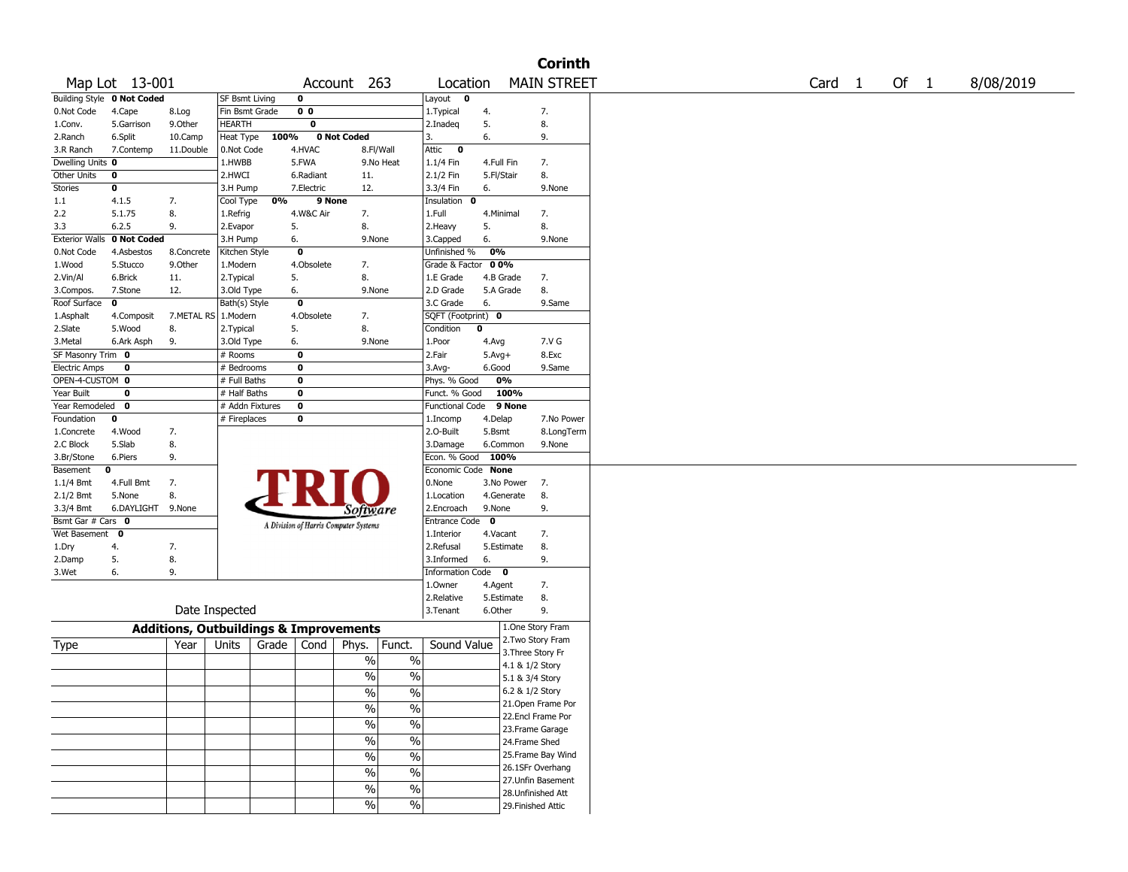|                       |                                   |                                                   |                 |       |                                       |                             |                                |                        |            |                 | <b>Corinth</b>                          |
|-----------------------|-----------------------------------|---------------------------------------------------|-----------------|-------|---------------------------------------|-----------------------------|--------------------------------|------------------------|------------|-----------------|-----------------------------------------|
|                       | Map Lot 13-001                    |                                                   |                 |       |                                       | Account 263                 |                                | Location               |            |                 | <b>MAIN STREET</b>                      |
|                       | <b>Building Style 0 Not Coded</b> |                                                   | SF Bsmt Living  |       | 0                                     |                             |                                | Layout 0               |            |                 |                                         |
| 0.Not Code            | 4.Cape                            | 8.Log                                             | Fin Bsmt Grade  |       | 0 <sub>0</sub>                        |                             |                                | 1. Typical             | 4.         |                 | 7.                                      |
| 1.Conv.               | 5.Garrison                        | 9.0ther                                           | <b>HEARTH</b>   |       | 0                                     |                             |                                | 2.Inadeq               | 5.         |                 | 8.                                      |
| 2.Ranch               | 6.Split                           | 10.Camp                                           | Heat Type       | 100%  |                                       | 0 Not Coded                 |                                | 3.                     | 6.         |                 | 9.                                      |
| 3.R Ranch             | 7.Contemp                         | 11.Double                                         | 0.Not Code      |       | 4.HVAC                                |                             | 8.Fl/Wall                      | Attic<br>$\mathbf{o}$  |            |                 |                                         |
| Dwelling Units 0      |                                   |                                                   | 1.HWBB          |       | 5.FWA                                 |                             | 9.No Heat                      | 1.1/4 Fin              | 4.Full Fin |                 | 7.                                      |
| <b>Other Units</b>    | 0                                 |                                                   | 2.HWCI          |       | 6.Radiant                             | 11.                         |                                | 2.1/2 Fin              | 5.Fl/Stair |                 | 8.                                      |
| <b>Stories</b>        | 0                                 |                                                   | 3.H Pump        |       | 7.Electric                            | 12.                         |                                | 3.3/4 Fin              | 6.         |                 | 9.None                                  |
| 1.1                   | 4.1.5                             | 7.                                                | Cool Type       | 0%    | 9 None                                |                             |                                | Insulation 0           |            |                 |                                         |
| 2.2                   | 5.1.75                            | 8.                                                | 1.Refrig        |       | 4.W&C Air                             | 7.                          |                                | 1.Full                 | 4.Minimal  |                 | 7.                                      |
| 3.3                   | 6.2.5                             | 9.                                                | 2.Evapor        |       | 5.                                    | 8.                          |                                | 2. Heavy               | 5.         |                 | 8.                                      |
| <b>Exterior Walls</b> | 0 Not Coded                       |                                                   | 3.H Pump        |       | 6.                                    | 9.None                      |                                | 3.Capped               | 6.         |                 | 9.None                                  |
| 0.Not Code            | 4.Asbestos                        | 8.Concrete                                        | Kitchen Style   |       | 0                                     |                             |                                | Unfinished %           | 0%         |                 |                                         |
| 1.Wood                | 5.Stucco                          | 9.0ther                                           | 1.Modern        |       | 4.Obsolete                            | 7.                          |                                | Grade & Factor         | 00%        |                 |                                         |
| 2.Vin/Al              | 6.Brick                           | 11.                                               | 2. Typical      |       | 5.                                    | 8.                          |                                | 1.E Grade              | 4.B Grade  |                 | 7.                                      |
| 3.Compos.             | 7.Stone                           | 12.                                               | 3.Old Type      |       | 6.                                    | 9.None                      |                                | 2.D Grade              | 5.A Grade  |                 | 8.                                      |
| Roof Surface          | 0                                 |                                                   | Bath(s) Style   |       | 0                                     |                             |                                | 3.C Grade              | 6.         |                 | 9.Same                                  |
| 1.Asphalt             | 4.Composit                        | 7.METAL RS   1.Modern                             |                 |       | 4.Obsolete                            | 7.                          |                                | SQFT (Footprint) 0     |            |                 |                                         |
| 2.Slate               | 5.Wood                            | 8.                                                | 2. Typical      |       | 5.                                    | 8.                          |                                | Condition              | 0          |                 |                                         |
| 3.Metal               | 6.Ark Asph                        | 9.                                                | 3.Old Type      |       | 6.                                    | 9.None                      |                                | 1.Poor                 | 4.Avg      |                 | 7.V G                                   |
| SF Masonry Trim 0     |                                   |                                                   | # Rooms         |       | 0                                     |                             |                                | 2.Fair                 | $5.Avg+$   |                 | 8.Exc                                   |
| Electric Amps         | 0                                 |                                                   | # Bedrooms      |       | 0                                     |                             |                                | $3.$ Avg-              | 6.Good     |                 | 9.Same                                  |
| OPEN-4-CUSTOM 0       |                                   |                                                   | # Full Baths    |       | 0                                     |                             |                                | Phys. % Good           | 0%         |                 |                                         |
| Year Built            | 0                                 |                                                   | # Half Baths    |       | 0                                     |                             |                                | Funct. % Good          | 100%       |                 |                                         |
| Year Remodeled        | $\bf{0}$                          |                                                   | # Addn Fixtures |       | 0                                     |                             |                                | Functional Code 9 None |            |                 |                                         |
| Foundation            | 0                                 |                                                   | # Fireplaces    |       | 0                                     |                             |                                |                        | 4.Delap    |                 | 7.No Power                              |
|                       |                                   |                                                   |                 |       |                                       |                             |                                | 1.Incomp<br>2.0-Built  |            |                 |                                         |
| 1.Concrete            | 4.Wood                            | 7.                                                |                 |       |                                       |                             |                                |                        | 5.Bsmt     |                 | 8.LongTerm                              |
| 2.C Block             | 5.Slab                            | 8.                                                |                 |       |                                       |                             |                                | 3.Damage               | 6.Common   |                 | 9.None                                  |
| 3.Br/Stone            | 6.Piers                           | 9.                                                |                 |       |                                       |                             |                                | Econ. % Good 100%      |            |                 |                                         |
| Basement              | 0                                 |                                                   |                 |       |                                       |                             |                                | Economic Code None     |            |                 |                                         |
| $1.1/4$ Bmt           | 4.Full Bmt                        | 7.                                                |                 |       |                                       |                             |                                | 0.None                 | 3.No Power |                 | 7.                                      |
| $2.1/2$ Bmt           | 5.None                            | 8.                                                |                 |       |                                       |                             |                                | 1.Location             | 4.Generate |                 | 8.                                      |
| 3.3/4 Bmt             | 6.DAYLIGHT 9.None                 |                                                   |                 |       |                                       | <b>Software</b>             |                                | 2.Encroach             | 9.None     |                 | 9.                                      |
| Bsmt Gar # Cars 0     |                                   |                                                   |                 |       | A Division of Harris Computer Systems |                             |                                | Entrance Code 0        |            |                 |                                         |
| Wet Basement 0        |                                   |                                                   |                 |       |                                       |                             |                                | 1.Interior             | 4.Vacant   |                 | 7.                                      |
| 1.Dry                 | 4.                                | 7.                                                |                 |       |                                       |                             |                                | 2.Refusal              | 5.Estimate |                 | 8.                                      |
| 2.Damp                | 5.                                | 8.                                                |                 |       |                                       |                             |                                | 3.Informed             | 6.         |                 | 9.                                      |
| 3.Wet                 | 6.                                | 9.                                                |                 |       |                                       |                             |                                | Information Code 0     |            |                 |                                         |
|                       |                                   |                                                   |                 |       |                                       |                             |                                | 1.0wner                | 4.Agent    |                 | 7.                                      |
|                       |                                   |                                                   |                 |       |                                       |                             |                                | 2.Relative             | 5.Estimate |                 | 8.                                      |
|                       |                                   |                                                   | Date Inspected  |       |                                       |                             |                                | 3.Tenant               | 6.Other    |                 | 9.                                      |
|                       |                                   | <b>Additions, Outbuildings &amp; Improvements</b> |                 |       |                                       |                             |                                |                        |            |                 | 1.One Story Fram                        |
|                       |                                   |                                                   |                 | Grade |                                       |                             |                                | Sound Value            |            |                 | 2. Two Story Fram                       |
| Type                  |                                   | Year                                              | Units           |       | Cond                                  | Phys.                       | Funct.                         |                        |            |                 | 3. Three Story Fr                       |
|                       |                                   |                                                   |                 |       |                                       | $\%$                        | $\%$                           |                        |            | 4.1 & 1/2 Story |                                         |
|                       |                                   |                                                   |                 |       |                                       | $\%$                        | $\frac{0}{0}$                  |                        |            | 5.1 & 3/4 Story |                                         |
|                       |                                   |                                                   |                 |       |                                       | $\frac{9}{6}$               | $\sqrt{6}$                     |                        |            | 6.2 & 1/2 Story |                                         |
|                       |                                   |                                                   |                 |       |                                       |                             |                                |                        |            |                 | 21. Open Frame Por                      |
|                       |                                   |                                                   |                 |       |                                       | $\%$                        | $\frac{0}{6}$                  |                        |            |                 | 22.Encl Frame Por                       |
|                       |                                   |                                                   |                 |       |                                       | $\overline{\frac{0}{0}}$    | $\frac{0}{6}$                  |                        |            |                 | 23. Frame Garage                        |
|                       |                                   |                                                   |                 |       |                                       | $\%$                        | $\frac{0}{6}$                  |                        |            | 24.Frame Shed   |                                         |
|                       |                                   |                                                   |                 |       |                                       |                             | $\frac{0}{6}$                  |                        |            |                 | 25. Frame Bay Wind                      |
|                       |                                   |                                                   |                 |       |                                       |                             |                                |                        |            |                 |                                         |
|                       |                                   |                                                   |                 |       |                                       | $\%$                        |                                |                        |            |                 |                                         |
|                       |                                   |                                                   |                 |       |                                       | $\%$                        | $\%$                           |                        |            |                 | 26.1SFr Overhang                        |
|                       |                                   |                                                   |                 |       |                                       |                             |                                |                        |            |                 | 27.Unfin Basement                       |
|                       |                                   |                                                   |                 |       |                                       | $\frac{1}{2}$<br>$\sqrt{6}$ | $\frac{9}{6}$<br>$\frac{1}{2}$ |                        |            |                 | 28.Unfinished Att<br>29. Finished Attic |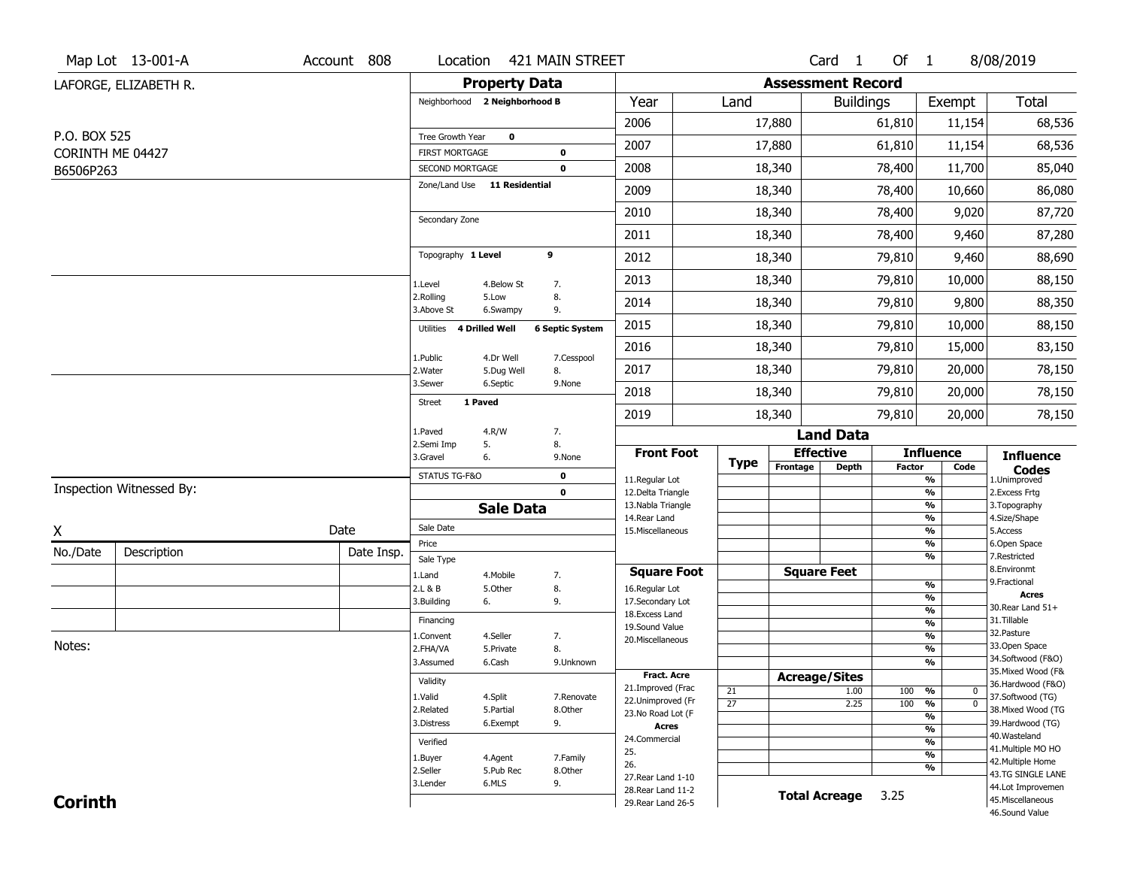|                               | Map Lot 13-001-A         | Account 808 | Location                               |                         | 421 MAIN STREET              |                                          |                 |             |                          | Card <sub>1</sub> | Of $1$ |                                           | 8/08/2019                               |
|-------------------------------|--------------------------|-------------|----------------------------------------|-------------------------|------------------------------|------------------------------------------|-----------------|-------------|--------------------------|-------------------|--------|-------------------------------------------|-----------------------------------------|
|                               | LAFORGE, ELIZABETH R.    |             |                                        | <b>Property Data</b>    |                              |                                          |                 |             | <b>Assessment Record</b> |                   |        |                                           |                                         |
|                               |                          |             | Neighborhood 2 Neighborhood B          |                         |                              | Year                                     |                 | Land        |                          | <b>Buildings</b>  |        | Exempt                                    | Total                                   |
|                               |                          |             |                                        |                         |                              | 2006                                     |                 |             | 17,880                   |                   | 61,810 | 11,154                                    | 68,536                                  |
| P.O. BOX 525                  |                          |             | Tree Growth Year                       | $\mathbf 0$             |                              | 2007                                     |                 |             | 17,880                   |                   | 61,810 | 11,154                                    | 68,536                                  |
| CORINTH ME 04427<br>B6506P263 |                          |             | FIRST MORTGAGE<br>SECOND MORTGAGE      |                         | $\mathbf 0$<br>$\mathbf 0$   | 2008                                     |                 |             | 18,340                   |                   | 78,400 | 11,700                                    | 85,040                                  |
|                               |                          |             | Zone/Land Use 11 Residential           |                         |                              | 2009                                     |                 |             | 18,340                   |                   | 78,400 | 10,660                                    | 86,080                                  |
|                               |                          |             |                                        |                         |                              | 2010                                     |                 |             | 18,340                   |                   | 78,400 | 9,020                                     | 87,720                                  |
|                               |                          |             | Secondary Zone                         |                         |                              | 2011                                     |                 |             | 18,340                   |                   | 78,400 | 9,460                                     | 87,280                                  |
|                               |                          |             | Topography 1 Level                     |                         | 9                            | 2012                                     |                 |             | 18,340                   |                   | 79,810 | 9,460                                     | 88,690                                  |
|                               |                          |             |                                        |                         |                              | 2013                                     |                 |             | 18,340                   |                   | 79,810 | 10,000                                    | 88,150                                  |
|                               |                          |             | 1.Level<br>2.Rolling                   | 4.Below St<br>5.Low     | 7.<br>8.                     | 2014                                     |                 |             | 18,340                   |                   | 79,810 | 9,800                                     | 88,350                                  |
|                               |                          |             | 3.Above St<br>Utilities 4 Drilled Well | 6.Swampy                | 9.<br><b>6 Septic System</b> | 2015                                     |                 |             | 18,340                   |                   | 79,810 | 10,000                                    | 88,150                                  |
|                               |                          |             |                                        |                         |                              | 2016                                     |                 |             | 18,340                   |                   | 79,810 | 15,000                                    | 83,150                                  |
|                               |                          |             | 1.Public<br>2. Water                   | 4.Dr Well<br>5.Dug Well | 7.Cesspool<br>8.             | 2017                                     |                 |             | 18,340                   |                   | 79,810 | 20,000                                    | 78,150                                  |
|                               |                          |             | 3.Sewer                                | 6.Septic                | 9.None                       | 2018                                     |                 |             | 18,340                   |                   | 79,810 | 20,000                                    | 78,150                                  |
|                               |                          |             | 1 Paved<br><b>Street</b>               |                         |                              | 2019                                     |                 |             | 18,340                   |                   | 79,810 | 20,000                                    | 78,150                                  |
|                               |                          |             | 1.Paved                                | 4.R/W                   | 7.                           |                                          |                 |             |                          | <b>Land Data</b>  |        |                                           |                                         |
|                               |                          |             | 2.Semi Imp<br>3.Gravel                 | 5.<br>6.                | 8.<br>9.None                 | <b>Front Foot</b>                        |                 |             | <b>Effective</b>         |                   |        | <b>Influence</b>                          | <b>Influence</b>                        |
|                               |                          |             | STATUS TG-F&O                          |                         | $\mathbf 0$                  | 11.Regular Lot                           |                 | <b>Type</b> | Frontage                 | <b>Depth</b>      | Factor | Code<br>$\overline{\frac{9}{6}}$          | <b>Codes</b><br>1.Unimproved            |
|                               | Inspection Witnessed By: |             |                                        |                         | $\mathbf 0$                  | 12.Delta Triangle                        |                 |             |                          |                   |        | $\frac{9}{6}$                             | 2.Excess Frtg                           |
|                               |                          |             |                                        | <b>Sale Data</b>        |                              | 13. Nabla Triangle<br>14. Rear Land      |                 |             |                          |                   |        | $\frac{9}{6}$<br>$\frac{9}{6}$            | 3. Topography<br>4.Size/Shape           |
| X                             |                          | Date        | Sale Date                              |                         |                              | 15. Miscellaneous                        |                 |             |                          |                   |        | $\frac{9}{6}$                             | 5.Access                                |
| No./Date                      | Description              | Date Insp.  | Price                                  |                         |                              |                                          |                 |             |                          |                   |        | %<br>%                                    | 6.Open Space<br>7.Restricted            |
|                               |                          |             | Sale Type                              |                         |                              | <b>Square Foot</b>                       |                 |             | <b>Square Feet</b>       |                   |        |                                           | 8.Environmt                             |
|                               |                          |             | 1.Land<br>2.L & B                      | 4. Mobile<br>5.Other    | 7.<br>8.                     | 16.Regular Lot                           |                 |             |                          |                   |        | %                                         | 9. Fractional                           |
|                               |                          |             | 3.Building                             | 6.                      | 9.                           | 17.Secondary Lot                         |                 |             |                          |                   |        | %                                         | <b>Acres</b><br>30.Rear Land 51+        |
|                               |                          |             | Financing                              |                         |                              | 18.Excess Land                           |                 |             |                          |                   |        | %<br>$\frac{9}{6}$                        | 31.Tillable                             |
|                               |                          |             | 1.Convent                              | 4.Seller                | 7.                           | 19.Sound Value<br>20.Miscellaneous       |                 |             |                          |                   |        | %                                         | 32. Pasture                             |
| Notes:                        |                          |             | 2.FHA/VA                               | 5.Private               | 8.                           |                                          |                 |             |                          |                   |        | %                                         | 33.Open Space                           |
|                               |                          |             | 3.Assumed                              | 6.Cash                  | 9.Unknown                    |                                          |                 |             |                          |                   |        | %                                         | 34.Softwood (F&O)                       |
|                               |                          |             | Validity                               |                         |                              | <b>Fract. Acre</b>                       |                 |             | <b>Acreage/Sites</b>     |                   |        |                                           | 35. Mixed Wood (F&<br>36.Hardwood (F&O) |
|                               |                          |             | 1.Valid                                | 4.Split                 | 7.Renovate                   | 21.Improved (Frac<br>22.Unimproved (Fr   | 21              |             |                          | 1.00              | 100    | %<br>0                                    | 37.Softwood (TG)                        |
|                               |                          |             | 2.Related                              | 5.Partial               | 8.Other                      | 23.No Road Lot (F                        | $\overline{27}$ |             |                          | 2.25              | 100    | $\overline{\mathfrak{o}}$<br>%            | 38. Mixed Wood (TG                      |
|                               |                          |             | 3.Distress                             | 6.Exempt                | 9.                           | <b>Acres</b>                             |                 |             |                          |                   |        | $\overline{\frac{9}{6}}$<br>$\frac{9}{6}$ | 39.Hardwood (TG)                        |
|                               |                          |             | Verified                               |                         |                              | 24.Commercial                            |                 |             |                          |                   |        | $\frac{9}{6}$                             | 40. Wasteland                           |
|                               |                          |             | 1.Buyer                                | 4.Agent                 | 7.Family                     | 25.                                      |                 |             |                          |                   |        | $\frac{9}{6}$                             | 41. Multiple MO HO                      |
|                               |                          |             | 2.Seller                               | 5.Pub Rec               | 8.Other                      | 26.                                      |                 |             |                          |                   |        | %                                         | 42. Multiple Home<br>43.TG SINGLE LANE  |
|                               |                          |             | 3.Lender                               | 6.MLS                   | 9.                           | 27. Rear Land 1-10                       |                 |             |                          |                   |        |                                           | 44.Lot Improvemen                       |
| <b>Corinth</b>                |                          |             |                                        |                         |                              | 28. Rear Land 11-2<br>29. Rear Land 26-5 |                 |             | <b>Total Acreage</b>     |                   | 3.25   |                                           | 45. Miscellaneous                       |
|                               |                          |             |                                        |                         |                              |                                          |                 |             |                          |                   |        |                                           |                                         |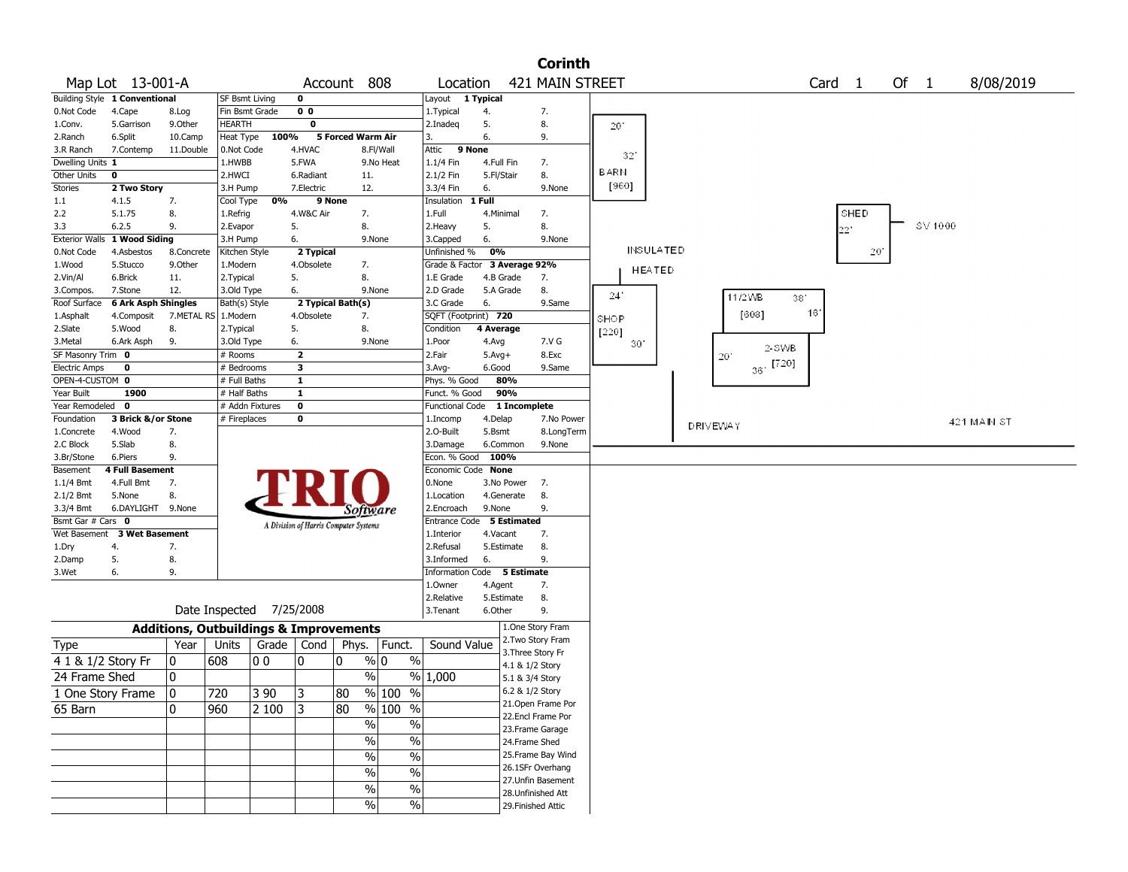|                                     |                               |                                                   |                           |                |                         |                                       |               |                          |                              | <b>Corinth</b>                           |              |                  |                 |        |                |                   |      |      |         |            |           |  |
|-------------------------------------|-------------------------------|---------------------------------------------------|---------------------------|----------------|-------------------------|---------------------------------------|---------------|--------------------------|------------------------------|------------------------------------------|--------------|------------------|-----------------|--------|----------------|-------------------|------|------|---------|------------|-----------|--|
|                                     | Map Lot 13-001-A              |                                                   |                           |                |                         | Account 808                           |               | Location                 |                              | 421 MAIN STREET                          |              |                  |                 |        |                | Card <sub>1</sub> |      | Of 1 |         |            | 8/08/2019 |  |
|                                     | Building Style 1 Conventional |                                                   | SF Bsmt Living            |                | $\mathbf 0$             |                                       |               | Layout                   | 1 Typical                    |                                          |              |                  |                 |        |                |                   |      |      |         |            |           |  |
| 0.Not Code                          | 4.Cape                        | 8.Log                                             | Fin Bsmt Grade            |                | $\overline{0}0$         |                                       |               | 1. Typical               | 4.                           | 7.                                       |              |                  |                 |        |                |                   |      |      |         |            |           |  |
| 1.Conv.                             | 5.Garrison                    | 9.0ther                                           | <b>HEARTH</b>             |                | $\mathbf 0$             |                                       |               | 2.Inadeg                 | 5.                           | 8.                                       | 201          |                  |                 |        |                |                   |      |      |         |            |           |  |
| 2.Ranch                             | 6.Split                       | 10.Camp                                           | Heat Type                 | 100%           |                         | 5 Forced Warm Air                     |               | 3.                       | 6.                           | 9.                                       |              |                  |                 |        |                |                   |      |      |         |            |           |  |
| 3.R Ranch                           | 7.Contemp                     | 11.Double                                         | 0.Not Code                |                | 4.HVAC                  |                                       | 8.Fl/Wall     | Attic<br>9 None          |                              |                                          | 32           |                  |                 |        |                |                   |      |      |         |            |           |  |
| Dwelling Units 1                    |                               |                                                   | 1.HWBB                    |                | 5.FWA                   |                                       | 9.No Heat     | $1.1/4$ Fin              | 4.Full Fin                   | 7.                                       |              |                  |                 |        |                |                   |      |      |         |            |           |  |
| Other Units                         | 0                             |                                                   | 2.HWCI                    |                | 6.Radiant               | 11.                                   |               | 2.1/2 Fin                | 5.Fl/Stair                   | 8.                                       | <b>BARN</b>  |                  |                 |        |                |                   |      |      |         |            |           |  |
| <b>Stories</b>                      | 2 Two Story                   |                                                   | 3.H Pump                  |                | 7.Electric              | 12.                                   |               | 3.3/4 Fin                | 6.                           | 9.None                                   | [960]        |                  |                 |        |                |                   |      |      |         |            |           |  |
| 1.1                                 | 4.1.5                         | 7.                                                | Cool Type                 | 0%             |                         | 9 None                                |               | Insulation               | 1 Full                       |                                          |              |                  |                 |        |                |                   |      |      |         |            |           |  |
| 2.2                                 | 5.1.75                        | 8.                                                | 1.Refrig                  |                | 4.W&C Air               | 7.                                    |               | 1.Full                   | 4.Minimal                    | 7.                                       |              |                  |                 |        |                |                   | SHED |      |         |            |           |  |
| 3.3                                 | 6.2.5                         | 9.                                                | 2.Evapor                  |                | 5.                      | 8.                                    |               | 2.Heavy                  | 5.                           | 8.                                       |              |                  |                 |        |                |                   | 221  |      | SV 1000 |            |           |  |
| <b>Exterior Walls</b><br>0.Not Code | 1 Wood Siding<br>4.Asbestos   | 8.Concrete                                        | 3.H Pump<br>Kitchen Style |                | 6.<br>2 Typical         | 9.None                                |               | 3.Capped<br>Unfinished % | 6.<br>0%                     | 9.None                                   |              | <b>INSULATED</b> |                 |        |                |                   | 20   |      |         |            |           |  |
| 1.Wood                              | 5.Stucco                      | 9.0ther                                           | 1.Modern                  |                | 4.Obsolete              | 7.                                    |               |                          | Grade & Factor 3 Average 92% |                                          |              |                  |                 |        |                |                   |      |      |         |            |           |  |
| 2.Vin/Al                            | 6.Brick                       | 11.                                               | 2. Typical                |                | 5.                      | 8.                                    |               | 1.E Grade                | 4.B Grade                    | 7.                                       |              | <b>HEATED</b>    |                 |        |                |                   |      |      |         |            |           |  |
| 3.Compos.                           | 7.Stone                       | 12.                                               | 3.Old Type                |                | 6.                      | 9.None                                |               | 2.D Grade                | 5.A Grade                    | 8.                                       |              |                  |                 |        |                |                   |      |      |         |            |           |  |
| Roof Surface                        | 6 Ark Asph Shingles           |                                                   | Bath(s) Style             |                |                         | 2 Typical Bath(s)                     |               | 3.C Grade                | 6.                           | 9.Same                                   | 24           |                  |                 | 11/2WB | 38.            |                   |      |      |         |            |           |  |
| 1.Asphalt                           | 4.Composit                    | 7.METAL RS                                        | 1.Modern                  |                | 4.Obsolete              | 7.                                    |               | SQFT (Footprint) 720     |                              |                                          | SHOP         |                  |                 | [608]  |                | 16'               |      |      |         |            |           |  |
| 2.Slate                             | 5.Wood                        | 8.                                                | 2. Typical                |                | 5.                      | 8.                                    |               | Condition                | 4 Average                    |                                          | [220]        |                  |                 |        |                |                   |      |      |         |            |           |  |
| 3.Metal                             | 6.Ark Asph                    | 9.                                                | 3.Old Type                |                | 6.                      | 9.None                                |               | 1.Poor                   | 4.Avg                        | 7.V G                                    | $30^{\circ}$ |                  |                 |        | 2-SWB          |                   |      |      |         |            |           |  |
| SF Masonry Trim 0                   |                               |                                                   | # Rooms                   |                | $\overline{2}$          |                                       |               | 2.Fair                   | $5.Avg+$                     | 8.Exc                                    |              |                  |                 | 20     |                |                   |      |      |         |            |           |  |
| <b>Electric Amps</b>                | $\mathbf 0$                   |                                                   | # Bedrooms                |                | 3                       |                                       |               | 3.Avg-                   | 6.Good                       | 9.Same                                   |              |                  |                 |        | $36 \cdot 720$ |                   |      |      |         |            |           |  |
| OPEN-4-CUSTOM 0                     |                               |                                                   | # Full Baths              |                | $\mathbf{1}$            |                                       |               | Phys. % Good             | 80%                          |                                          |              |                  |                 |        |                |                   |      |      |         |            |           |  |
| Year Built                          | 1900                          |                                                   | $#$ Half Baths            |                | $\mathbf{1}$            |                                       |               | Funct. % Good            | 90%                          |                                          |              |                  |                 |        |                |                   |      |      |         |            |           |  |
| Year Remodeled                      | 0                             |                                                   | # Addn Fixtures           |                | $\overline{\mathbf{0}}$ |                                       |               | <b>Functional Code</b>   | 1 Incomplete                 |                                          |              |                  |                 |        |                |                   |      |      |         |            |           |  |
| Foundation                          | 3 Brick &/or Stone<br>4.Wood  | 7.                                                | # Fireplaces              |                | 0                       |                                       |               | 1.Incomp<br>2.O-Built    | 4.Delap<br>5.Bsmt            | 7.No Power<br>8.LongTerm                 |              |                  | <b>DRIVEWAY</b> |        |                |                   |      |      |         | 421 MAN ST |           |  |
| 1.Concrete<br>2.C Block             | 5.Slab                        | 8.                                                |                           |                |                         |                                       |               | 3.Damage                 | 6.Common                     | 9.None                                   |              |                  |                 |        |                |                   |      |      |         |            |           |  |
| 3.Br/Stone                          | 6.Piers                       | 9.                                                |                           |                |                         |                                       |               | Econ. % Good 100%        |                              |                                          |              |                  |                 |        |                |                   |      |      |         |            |           |  |
| Basement                            | 4 Full Basement               |                                                   |                           |                |                         |                                       |               | Economic Code None       |                              |                                          |              |                  |                 |        |                |                   |      |      |         |            |           |  |
| 1.1/4 Bmt                           | 4.Full Bmt                    | 7.                                                |                           |                |                         |                                       |               | 0.None                   | 3.No Power                   | 7.                                       |              |                  |                 |        |                |                   |      |      |         |            |           |  |
| 2.1/2 Bmt                           | 5.None                        | 8.                                                |                           |                |                         |                                       |               | 1.Location               | 4.Generate                   | 8.                                       |              |                  |                 |        |                |                   |      |      |         |            |           |  |
| 3.3/4 Bmt                           | 6.DAYLIGHT 9.None             |                                                   |                           |                |                         | Software                              |               | 2.Encroach               | 9.None                       | 9.                                       |              |                  |                 |        |                |                   |      |      |         |            |           |  |
| Bsmt Gar # Cars 0                   |                               |                                                   |                           |                |                         | A Division of Harris Computer Systems |               | <b>Entrance Code</b>     | <b>5 Estimated</b>           |                                          |              |                  |                 |        |                |                   |      |      |         |            |           |  |
| Wet Basement                        | <b>3 Wet Basement</b>         |                                                   |                           |                |                         |                                       |               | 1.Interior               | 4.Vacant                     | 7.                                       |              |                  |                 |        |                |                   |      |      |         |            |           |  |
| 1.Dry                               | 4.                            | 7.                                                |                           |                |                         |                                       |               | 2.Refusal                | 5.Estimate                   | 8.                                       |              |                  |                 |        |                |                   |      |      |         |            |           |  |
| 2.Damp                              | 5.                            | 8.                                                |                           |                |                         |                                       |               | 3.Informed               | 6.                           | 9.                                       |              |                  |                 |        |                |                   |      |      |         |            |           |  |
| 3.Wet                               | 6.                            | 9.                                                |                           |                |                         |                                       |               |                          | Information Code 5 Estimate  |                                          |              |                  |                 |        |                |                   |      |      |         |            |           |  |
|                                     |                               |                                                   |                           |                |                         |                                       |               | 1.0wner                  | 4.Agent                      | 7.                                       |              |                  |                 |        |                |                   |      |      |         |            |           |  |
|                                     |                               |                                                   | Date Inspected            |                | 7/25/2008               |                                       |               | 2.Relative<br>3.Tenant   | 5.Estimate<br>6.Other        | 8.<br>9.                                 |              |                  |                 |        |                |                   |      |      |         |            |           |  |
|                                     |                               |                                                   |                           |                |                         |                                       |               |                          |                              |                                          |              |                  |                 |        |                |                   |      |      |         |            |           |  |
|                                     |                               | <b>Additions, Outbuildings &amp; Improvements</b> |                           |                |                         |                                       |               |                          |                              | 1.One Story Fram                         |              |                  |                 |        |                |                   |      |      |         |            |           |  |
| Type                                |                               | Year                                              | Units                     | Grade          | Cond                    | Phys.                                 | Funct.        | Sound Value              |                              | 2. Two Story Fram<br>3. Three Story Fr   |              |                  |                 |        |                |                   |      |      |         |            |           |  |
| 4 1 & 1/2 Story Fr                  |                               | 0                                                 | 608                       | 0 <sub>0</sub> | 10                      | 0                                     | % 0<br>%      |                          |                              | 4.1 & 1/2 Story                          |              |                  |                 |        |                |                   |      |      |         |            |           |  |
| 24 Frame Shed                       |                               | 0                                                 |                           |                |                         | $\%$                                  |               | % 1,000                  |                              | 5.1 & 3/4 Story                          |              |                  |                 |        |                |                   |      |      |         |            |           |  |
| 1 One Story Frame                   |                               | 10                                                | 720                       | 3 90           | 3                       | 80                                    | % 100 %       |                          |                              | 6.2 & 1/2 Story                          |              |                  |                 |        |                |                   |      |      |         |            |           |  |
|                                     |                               |                                                   |                           |                |                         |                                       |               |                          |                              | 21. Open Frame Por                       |              |                  |                 |        |                |                   |      |      |         |            |           |  |
| 65 Barn                             |                               | 0                                                 | 960                       | 2 100          | 3                       | 80                                    | % 100 %       |                          |                              | 22.Encl Frame Por                        |              |                  |                 |        |                |                   |      |      |         |            |           |  |
|                                     |                               |                                                   |                           |                |                         | $\frac{0}{6}$                         | $\%$          |                          |                              | 23. Frame Garage                         |              |                  |                 |        |                |                   |      |      |         |            |           |  |
|                                     |                               |                                                   |                           |                |                         | $\%$                                  | $\%$          |                          |                              | 24.Frame Shed                            |              |                  |                 |        |                |                   |      |      |         |            |           |  |
|                                     |                               |                                                   |                           |                |                         | $\sqrt{6}$                            | $\frac{1}{2}$ |                          |                              | 25. Frame Bay Wind                       |              |                  |                 |        |                |                   |      |      |         |            |           |  |
|                                     |                               |                                                   |                           |                |                         | $\sqrt{6}$                            | $\%$          |                          |                              | 26.1SFr Overhang                         |              |                  |                 |        |                |                   |      |      |         |            |           |  |
|                                     |                               |                                                   |                           |                |                         | $\%$                                  | $\%$          |                          |                              | 27.Unfin Basement                        |              |                  |                 |        |                |                   |      |      |         |            |           |  |
|                                     |                               |                                                   |                           |                |                         | $\frac{0}{0}$                         | $\%$          |                          |                              | 28. Unfinished Att<br>29. Finished Attic |              |                  |                 |        |                |                   |      |      |         |            |           |  |
|                                     |                               |                                                   |                           |                |                         |                                       |               |                          |                              |                                          |              |                  |                 |        |                |                   |      |      |         |            |           |  |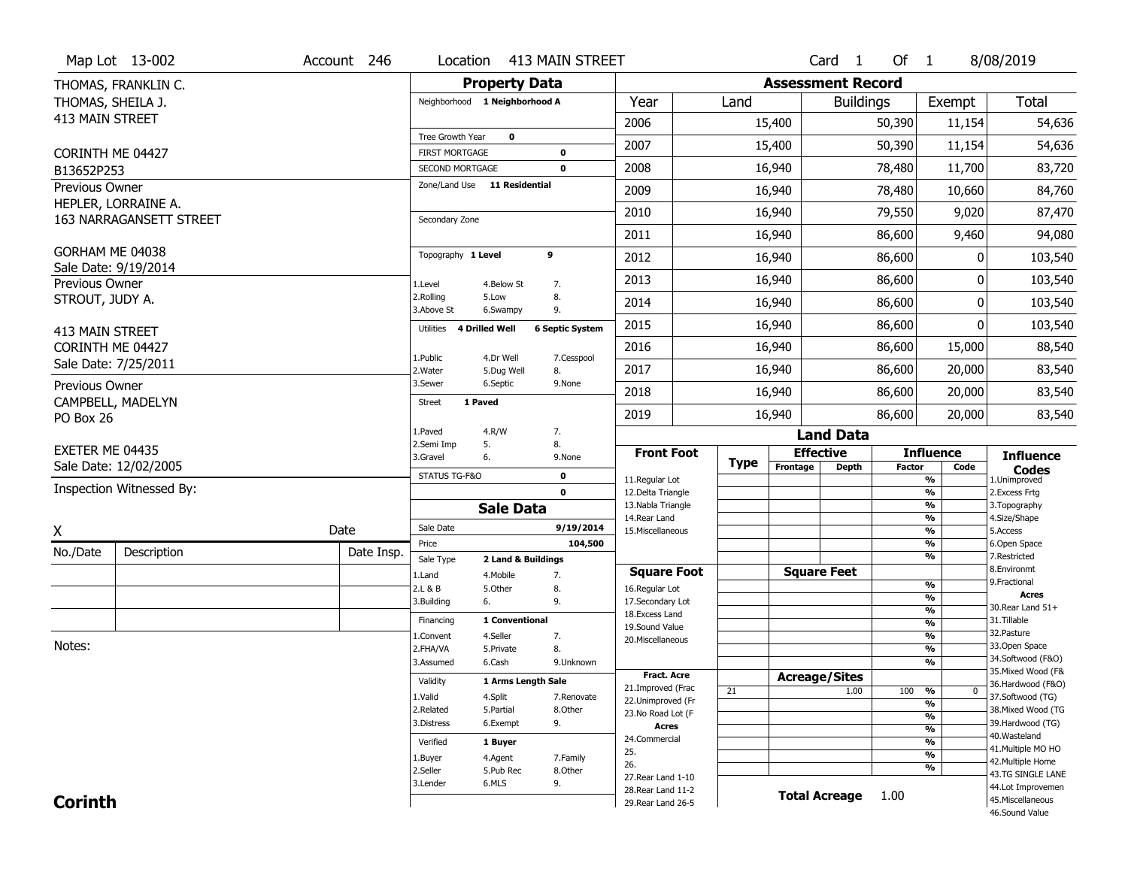|                        | Map Lot 13-002                                 | Account 246 | Location                           |                         | 413 MAIN STREET        |                                          |             |                          | Card <sub>1</sub>    | Of 1          |                          | 8/08/2019                              |
|------------------------|------------------------------------------------|-------------|------------------------------------|-------------------------|------------------------|------------------------------------------|-------------|--------------------------|----------------------|---------------|--------------------------|----------------------------------------|
|                        | THOMAS, FRANKLIN C.                            |             |                                    | <b>Property Data</b>    |                        |                                          |             | <b>Assessment Record</b> |                      |               |                          |                                        |
| THOMAS, SHEILA J.      |                                                |             | Neighborhood 1 Neighborhood A      |                         |                        | Year                                     | Land        |                          | <b>Buildings</b>     |               | Exempt                   | <b>Total</b>                           |
| 413 MAIN STREET        |                                                |             |                                    |                         |                        | 2006                                     |             | 15,400                   |                      | 50,390        | 11,154                   | 54,636                                 |
|                        |                                                |             | Tree Growth Year                   | $\mathbf 0$             |                        |                                          |             |                          |                      |               |                          |                                        |
| CORINTH ME 04427       |                                                |             | <b>FIRST MORTGAGE</b>              |                         | 0                      | 2007                                     |             | 15,400                   |                      | 50,390        | 11,154                   | 54,636                                 |
| B13652P253             |                                                |             | SECOND MORTGAGE                    |                         | $\mathbf 0$            | 2008                                     |             | 16,940                   |                      | 78,480        | 11,700                   | 83,720                                 |
| Previous Owner         |                                                |             | Zone/Land Use 11 Residential       |                         |                        | 2009                                     |             | 16,940                   |                      | 78,480        | 10,660                   | 84,760                                 |
|                        | HEPLER, LORRAINE A.<br>163 NARRAGANSETT STREET |             | Secondary Zone                     |                         |                        | 2010                                     |             | 16,940                   |                      | 79,550        | 9,020                    | 87,470                                 |
|                        |                                                |             |                                    |                         |                        | 2011                                     |             | 16,940                   |                      | 86,600        | 9,460                    | 94,080                                 |
| GORHAM ME 04038        |                                                |             | Topography 1 Level                 | 9                       |                        | 2012                                     |             | 16,940                   |                      | 86,600        | 0                        | 103,540                                |
| Previous Owner         | Sale Date: 9/19/2014                           |             | 1.Level                            | 4.Below St              | 7.                     | 2013                                     |             | 16,940                   |                      | 86,600        | 0                        | 103,540                                |
| STROUT, JUDY A.        |                                                |             | 2.Rolling<br>5.Low<br>3.Above St   | 6.Swampy                | 8.<br>9.               | 2014                                     |             | 16,940                   |                      | 86,600        | 0                        | 103,540                                |
| <b>413 MAIN STREET</b> |                                                |             | <b>4 Drilled Well</b><br>Utilities |                         | <b>6 Septic System</b> | 2015                                     |             | 16,940                   |                      | 86,600        | 0                        | 103,540                                |
| CORINTH ME 04427       |                                                |             |                                    |                         |                        | 2016                                     |             | 16,940                   |                      | 86,600        | 15,000                   | 88,540                                 |
|                        | Sale Date: 7/25/2011                           |             | 1.Public<br>2. Water               | 4.Dr Well<br>5.Dug Well | 7.Cesspool<br>8.       | 2017                                     |             | 16,940                   |                      | 86,600        | 20,000                   | 83,540                                 |
| Previous Owner         |                                                |             | 3.Sewer                            | 6.Septic                | 9.None                 | 2018                                     |             | 16,940                   |                      | 86,600        | 20,000                   | 83,540                                 |
| PO Box 26              | CAMPBELL, MADELYN                              |             | 1 Paved<br><b>Street</b>           |                         |                        | 2019                                     |             | 16,940                   |                      | 86,600        | 20,000                   | 83,540                                 |
|                        |                                                |             | L.Paved<br>4.R/W                   |                         | 7.                     |                                          |             |                          | <b>Land Data</b>     |               |                          |                                        |
| EXETER ME 04435        |                                                |             | 2.Semi Imp<br>5.<br>3.Gravel<br>6. |                         | 8.<br>9.None           | <b>Front Foot</b>                        |             | <b>Effective</b>         |                      |               | <b>Influence</b>         | <b>Influence</b>                       |
|                        | Sale Date: 12/02/2005                          |             | STATUS TG-F&O                      |                         | 0                      |                                          | <b>Type</b> | Frontage                 | <b>Depth</b>         | <b>Factor</b> | Code                     | <b>Codes</b>                           |
|                        | Inspection Witnessed By:                       |             |                                    |                         | $\mathbf 0$            | 11.Regular Lot<br>12.Delta Triangle      |             |                          |                      |               | %<br>%                   | 1.Unimproved<br>2. Excess Frtg         |
|                        |                                                |             |                                    | <b>Sale Data</b>        |                        | 13. Nabla Triangle                       |             |                          |                      |               | %                        | 3. Topography                          |
|                        |                                                |             | Sale Date                          |                         | 9/19/2014              | 14. Rear Land                            |             |                          |                      |               | %                        | 4.Size/Shape                           |
| X                      |                                                | Date        | Price                              |                         | 104,500                | 15. Miscellaneous                        |             |                          |                      |               | %<br>%                   | 5.Access<br>6.Open Space               |
| No./Date               | Description                                    | Date Insp.  | Sale Type                          | 2 Land & Buildings      |                        |                                          |             |                          |                      |               | %                        | 7.Restricted                           |
|                        |                                                |             | 1.Land                             | 4. Mobile               | 7.                     | <b>Square Foot</b>                       |             | <b>Square Feet</b>       |                      |               |                          | 8.Environmt<br>9. Fractional           |
|                        |                                                |             | 2.L & B                            | 5.Other                 | 8.                     | 16.Regular Lot                           |             |                          |                      |               | %<br>%                   | <b>Acres</b>                           |
|                        |                                                |             | 3.Building<br>6.                   |                         | 9.                     | 17.Secondary Lot<br>18.Excess Land       |             |                          |                      |               | $\frac{9}{6}$            | 30. Rear Land 51+                      |
|                        |                                                |             | Financing                          | 1 Conventional          |                        | 19.Sound Value                           |             |                          |                      |               | $\overline{\frac{9}{6}}$ | 31.Tillable                            |
|                        |                                                |             | L.Convent                          | 4.Seller                | 7.                     | 20.Miscellaneous                         |             |                          |                      |               | $\overline{\frac{9}{6}}$ | 32.Pasture                             |
| Notes:                 |                                                |             | 2.FHA/VA                           | 5.Private               | 8.                     |                                          |             |                          |                      |               | $\overline{\frac{9}{6}}$ | 33.Open Space<br>34.Softwood (F&O)     |
|                        |                                                |             | 3.Assumed                          | 6.Cash                  | 9.Unknown              |                                          |             |                          |                      |               | %                        | 35. Mixed Wood (F&                     |
|                        |                                                |             | Validity                           | 1 Arms Length Sale      |                        | Fract. Acre<br>21.Improved (Frac         |             | <b>Acreage/Sites</b>     |                      |               |                          | 36.Hardwood (F&O)                      |
|                        |                                                |             | 1.Valid                            | 4.Split                 | 7.Renovate             | 22.Unimproved (Fr                        | 21          |                          | 1.00                 | 100           | %<br>$\bf{0}$            | 37.Softwood (TG)                       |
|                        |                                                |             | 2.Related                          | 5.Partial               | 8.Other                | 23.No Road Lot (F                        |             |                          |                      |               | %                        | 38. Mixed Wood (TG                     |
|                        |                                                |             | 3.Distress                         | 6.Exempt                | 9.                     | Acres                                    |             |                          |                      |               | %<br>%                   | 39.Hardwood (TG)                       |
|                        |                                                |             | Verified                           | 1 Buyer                 |                        | 24.Commercial                            |             |                          |                      |               | %                        | 40. Wasteland                          |
|                        |                                                |             |                                    |                         | 7.Family               | 25.                                      |             |                          |                      |               | %                        | 41. Multiple MO HO                     |
|                        |                                                |             | 1.Buyer                            | 4.Agent                 |                        | 26.                                      |             |                          |                      |               | %                        | 42. Multiple Home                      |
|                        |                                                |             |                                    |                         |                        |                                          |             |                          |                      |               |                          |                                        |
|                        |                                                |             | 2.Seller                           | 5.Pub Rec               | 8.0ther                | 27. Rear Land 1-10                       |             |                          |                      |               |                          | 43.TG SINGLE LANE                      |
| <b>Corinth</b>         |                                                |             | 3.Lender<br>6.MLS                  |                         | 9.                     | 28. Rear Land 11-2<br>29. Rear Land 26-5 |             |                          | <b>Total Acreage</b> | 1.00          |                          | 44.Lot Improvemen<br>45. Miscellaneous |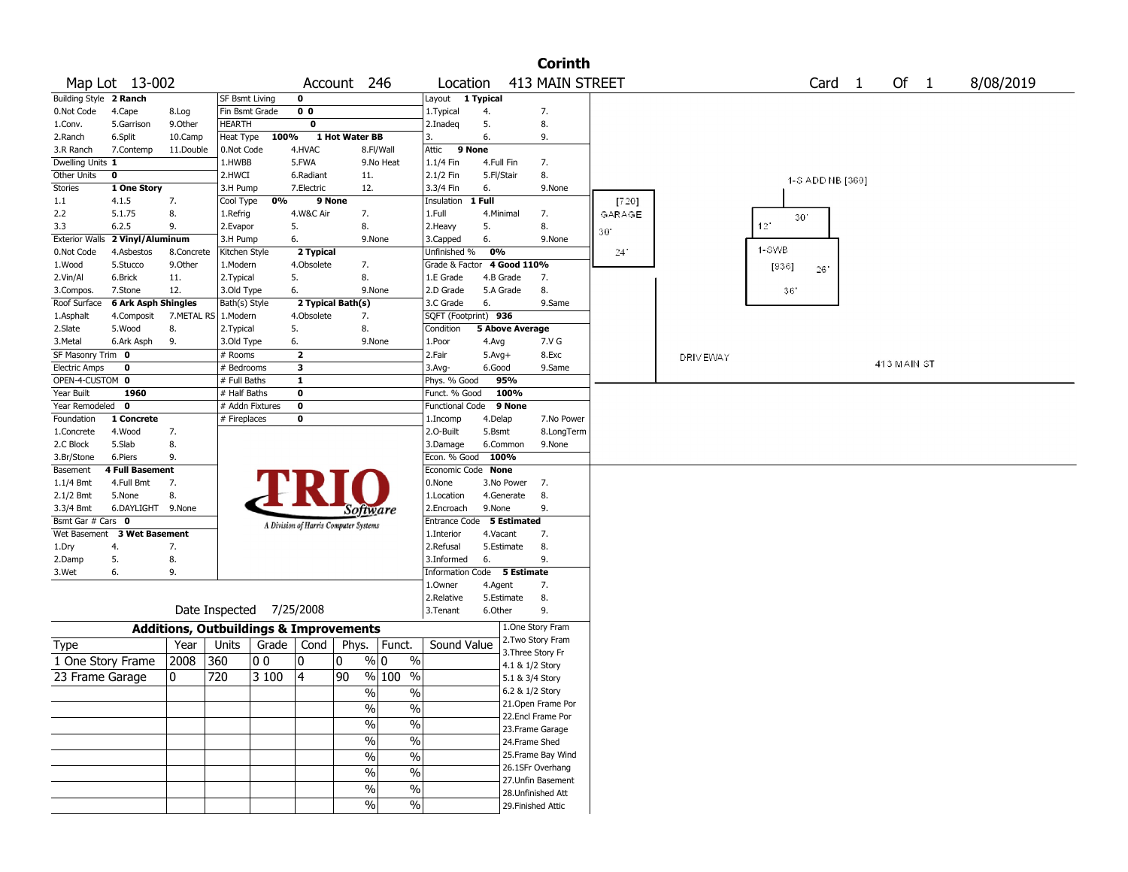|                               |                           |                                                   |                          |                |                         |                                       |               |                             |                   |                    | <b>Corinth</b>                         |              |                 |                                    |                  |  |             |           |
|-------------------------------|---------------------------|---------------------------------------------------|--------------------------|----------------|-------------------------|---------------------------------------|---------------|-----------------------------|-------------------|--------------------|----------------------------------------|--------------|-----------------|------------------------------------|------------------|--|-------------|-----------|
|                               | Map Lot 13-002            |                                                   |                          |                |                         | Account 246                           |               | Location                    |                   |                    | 413 MAIN STREET                        |              |                 |                                    | Card 1           |  | Of 1        | 8/08/2019 |
| <b>Building Style 2 Ranch</b> |                           |                                                   | SF Bsmt Living           |                | 0                       |                                       |               | Layout 1 Typical            |                   |                    |                                        |              |                 |                                    |                  |  |             |           |
| 0.Not Code                    | 4.Cape                    | 8.Log                                             | Fin Bsmt Grade           |                | 0 <sub>0</sub>          |                                       |               | 1. Typical                  | 4.                |                    | 7.                                     |              |                 |                                    |                  |  |             |           |
| 1.Conv.                       | 5.Garrison                | 9.0ther                                           | <b>HEARTH</b>            |                | 0                       |                                       |               | 2.Inadeg                    | 5.                |                    | 8.                                     |              |                 |                                    |                  |  |             |           |
| 2.Ranch                       | 6.Split                   | 10.Camp                                           | Heat Type                | 100%           |                         | 1 Hot Water BB                        |               | 3.                          | 6.                |                    | 9.                                     |              |                 |                                    |                  |  |             |           |
| 3.R Ranch                     | 7.Contemp                 | 11.Double                                         | 0.Not Code               |                | 4.HVAC                  |                                       | 8.Fl/Wall     | Attic<br>9 None             |                   |                    |                                        |              |                 |                                    |                  |  |             |           |
| Dwelling Units 1              |                           |                                                   | 1.HWBB                   |                | 5.FWA                   |                                       | 9.No Heat     | $1.1/4$ Fin                 | 4.Full Fin        |                    | 7.                                     |              |                 |                                    |                  |  |             |           |
| Other Units                   | 0                         |                                                   | 2.HWCI                   |                | 6.Radiant               | 11.                                   |               | 2.1/2 Fin                   | 5.Fl/Stair        |                    | 8.                                     |              |                 |                                    | 1-S ADD NB [360] |  |             |           |
| Stories                       | 1 One Story               |                                                   | 3.H Pump                 |                | 7.Electric              | 12.                                   |               | 3.3/4 Fin                   | 6.                |                    | 9.None                                 |              |                 |                                    |                  |  |             |           |
| 1.1                           | 4.1.5                     | 7.                                                | Cool Type                | 0%             |                         | 9 None                                |               | Insulation                  | 1 Full            |                    |                                        | [720]        |                 |                                    |                  |  |             |           |
| 2.2                           | 5.1.75                    | 8.                                                | 1.Refrig                 |                | 4.W&C Air               | 7.                                    |               | 1.Full                      | 4.Minimal         |                    | 7.                                     | GARAGE       |                 | 30 <sup>°</sup><br>12 <sup>1</sup> |                  |  |             |           |
| 3.3<br><b>Exterior Walls</b>  | 6.2.5<br>2 Vinyl/Aluminum | 9.                                                | 2.Evapor<br>3.H Pump     |                | 5.<br>6.                | 8.                                    | 9.None        | 2. Heavy                    | 5.<br>6.          |                    | 8.<br>9.None                           | 30'          |                 |                                    |                  |  |             |           |
| 0.Not Code                    | 4.Asbestos                | 8.Concrete                                        | Kitchen Style            |                | 2 Typical               |                                       |               | 3.Capped<br>Unfinished %    | 0%                |                    |                                        | $24^{\circ}$ |                 | 1-SWB                              |                  |  |             |           |
| 1.Wood                        | 5.Stucco                  | 9.0ther                                           | 1.Modern                 |                | 4.Obsolete              | 7.                                    |               | Grade & Factor              |                   | 4 Good 110%        |                                        |              |                 | [936]                              |                  |  |             |           |
| 2.Vin/Al                      | 6.Brick                   | 11.                                               | 2. Typical               |                | 5.                      | 8.                                    |               | 1.E Grade                   |                   | 4.B Grade          | 7.                                     |              |                 |                                    | 26               |  |             |           |
| 3.Compos.                     | 7.Stone                   | 12.                                               | 3.Old Type               |                | 6.                      |                                       | 9.None        | 2.D Grade                   |                   | 5.A Grade          | 8.                                     |              |                 | 36'                                |                  |  |             |           |
| Roof Surface                  | 6 Ark Asph Shingles       |                                                   | Bath(s) Style            |                |                         | 2 Typical Bath(s)                     |               | 3.C Grade                   | 6.                |                    | 9.Same                                 |              |                 |                                    |                  |  |             |           |
| 1.Asphalt                     | 4.Composit                | 7.METAL RS                                        | 1.Modern                 |                | 4.Obsolete              | 7.                                    |               | SQFT (Footprint) 936        |                   |                    |                                        |              |                 |                                    |                  |  |             |           |
| 2.Slate                       | 5.Wood                    | 8.                                                | 2. Typical               |                | 5.                      | 8.                                    |               | Condition                   |                   | 5 Above Average    |                                        |              |                 |                                    |                  |  |             |           |
| 3. Metal                      | 6.Ark Asph                | 9.                                                | 3.Old Type               |                | 6.                      |                                       | 9.None        | 1.Poor                      | 4.Avg             |                    | 7.V G                                  |              |                 |                                    |                  |  |             |           |
| SF Masonry Trim 0             |                           |                                                   | # Rooms                  |                | $\overline{\mathbf{2}}$ |                                       |               | 2.Fair                      | $5.Avg+$          |                    | 8.Exc                                  |              | <b>DRIVEWAY</b> |                                    |                  |  |             |           |
| <b>Electric Amps</b>          | 0                         |                                                   | # Bedrooms               |                | 3                       |                                       |               | $3.$ Avg-                   | 6.Good            |                    | 9.Same                                 |              |                 |                                    |                  |  | 413 MAIN ST |           |
| OPEN-4-CUSTOM 0               |                           |                                                   | # Full Baths             |                | $\mathbf{1}$            |                                       |               | Phys. % Good                |                   | 95%                |                                        |              |                 |                                    |                  |  |             |           |
| Year Built                    | 1960                      |                                                   | # Half Baths             |                | $\mathbf 0$             |                                       |               | Funct. % Good               |                   | 100%               |                                        |              |                 |                                    |                  |  |             |           |
| Year Remodeled 0              |                           |                                                   | # Addn Fixtures          |                | 0                       |                                       |               | <b>Functional Code</b>      |                   | 9 None             |                                        |              |                 |                                    |                  |  |             |           |
| Foundation<br>1.Concrete      | 1 Concrete<br>4.Wood      | 7.                                                | # Fireplaces             |                | 0                       |                                       |               | 1.Incomp<br>2.0-Built       | 4.Delap<br>5.Bsmt |                    | 7.No Power<br>8.LongTerm               |              |                 |                                    |                  |  |             |           |
| 2.C Block                     | 5.Slab                    | 8.                                                |                          |                |                         |                                       |               | 3.Damage                    |                   | 6.Common           | 9.None                                 |              |                 |                                    |                  |  |             |           |
| 3.Br/Stone                    | 6.Piers                   | 9.                                                |                          |                |                         |                                       |               | Econ. % Good 100%           |                   |                    |                                        |              |                 |                                    |                  |  |             |           |
| Basement                      | <b>4 Full Basement</b>    |                                                   |                          |                |                         |                                       |               | Economic Code None          |                   |                    |                                        |              |                 |                                    |                  |  |             |           |
| $1.1/4$ Bmt                   | 4.Full Bmt                | 7.                                                |                          |                |                         |                                       |               | 0.None                      |                   | 3.No Power         | 7.                                     |              |                 |                                    |                  |  |             |           |
| 2.1/2 Bmt                     | 5.None                    | 8.                                                |                          |                |                         |                                       |               | 1.Location                  |                   | 4.Generate         | 8.                                     |              |                 |                                    |                  |  |             |           |
| 3.3/4 Bmt                     | 6.DAYLIGHT 9.None         |                                                   |                          |                |                         | Software                              |               | 2.Encroach                  | 9.None            |                    | 9.                                     |              |                 |                                    |                  |  |             |           |
| Bsmt Gar # Cars 0             |                           |                                                   |                          |                |                         | A Division of Harris Computer Systems |               | Entrance Code               |                   | <b>5 Estimated</b> |                                        |              |                 |                                    |                  |  |             |           |
| Wet Basement                  | <b>3 Wet Basement</b>     |                                                   |                          |                |                         |                                       |               | 1.Interior                  | 4.Vacant          |                    | 7.                                     |              |                 |                                    |                  |  |             |           |
| 1.Dry                         | 4.                        | 7.                                                |                          |                |                         |                                       |               | 2.Refusal                   |                   | 5.Estimate         | 8.                                     |              |                 |                                    |                  |  |             |           |
| 2.Damp                        | 5.                        | 8.                                                |                          |                |                         |                                       |               | 3.Informed                  | 6.                |                    | 9.                                     |              |                 |                                    |                  |  |             |           |
| 3.Wet                         | 6.                        | 9.                                                |                          |                |                         |                                       |               | Information Code 5 Estimate |                   |                    |                                        |              |                 |                                    |                  |  |             |           |
|                               |                           |                                                   |                          |                |                         |                                       |               | 1.0wner                     | 4.Agent           |                    | 7.                                     |              |                 |                                    |                  |  |             |           |
|                               |                           |                                                   | Date Inspected 7/25/2008 |                |                         |                                       |               | 2.Relative<br>3.Tenant      | 6.Other           | 5.Estimate         | 8.<br>9.                               |              |                 |                                    |                  |  |             |           |
|                               |                           |                                                   |                          |                |                         |                                       |               |                             |                   |                    |                                        |              |                 |                                    |                  |  |             |           |
|                               |                           | <b>Additions, Outbuildings &amp; Improvements</b> |                          |                |                         |                                       |               |                             |                   |                    | 1.One Story Fram<br>2. Two Story Fram  |              |                 |                                    |                  |  |             |           |
| Type                          |                           | Year                                              | Units                    | Grade          | Cond                    | Phys.                                 | Funct.        | Sound Value                 |                   |                    | 3. Three Story Fr                      |              |                 |                                    |                  |  |             |           |
| 1 One Story Frame             |                           | 2008                                              | 360                      | 0 <sub>0</sub> | 10                      | $\mathbf{0}$                          | % 0<br>$\%$   |                             |                   |                    | 4.1 & 1/2 Story                        |              |                 |                                    |                  |  |             |           |
| 23 Frame Garage               |                           | 0                                                 | 720                      | 3 100          | 4                       | 90                                    | $%100$ %      |                             |                   |                    | 5.1 & 3/4 Story                        |              |                 |                                    |                  |  |             |           |
|                               |                           |                                                   |                          |                |                         | %                                     | $\frac{0}{6}$ |                             |                   |                    | 6.2 & 1/2 Story                        |              |                 |                                    |                  |  |             |           |
|                               |                           |                                                   |                          |                |                         | $\sqrt{20}$                           | $\%$          |                             |                   |                    | 21. Open Frame Por                     |              |                 |                                    |                  |  |             |           |
|                               |                           |                                                   |                          |                |                         | $\sqrt{20}$                           | $\sqrt{20}$   |                             |                   |                    | 22.Encl Frame Por                      |              |                 |                                    |                  |  |             |           |
|                               |                           |                                                   |                          |                |                         |                                       |               |                             |                   |                    | 23. Frame Garage                       |              |                 |                                    |                  |  |             |           |
|                               |                           |                                                   |                          |                |                         | $\sqrt{6}$                            | $\%$          |                             |                   |                    | 24.Frame Shed                          |              |                 |                                    |                  |  |             |           |
|                               |                           |                                                   |                          |                |                         | $\%$                                  | $\%$          |                             |                   |                    | 25. Frame Bay Wind                     |              |                 |                                    |                  |  |             |           |
|                               |                           |                                                   |                          |                |                         | %                                     | $\%$          |                             |                   |                    | 26.1SFr Overhang<br>27. Unfin Basement |              |                 |                                    |                  |  |             |           |
|                               |                           |                                                   |                          |                |                         | $\sqrt{6}$                            | $\sqrt{6}$    |                             |                   |                    | 28. Unfinished Att                     |              |                 |                                    |                  |  |             |           |
|                               |                           |                                                   |                          |                |                         | $\sqrt{6}$                            | $\sqrt{6}$    |                             |                   |                    | 29. Finished Attic                     |              |                 |                                    |                  |  |             |           |
|                               |                           |                                                   |                          |                |                         |                                       |               |                             |                   |                    |                                        |              |                 |                                    |                  |  |             |           |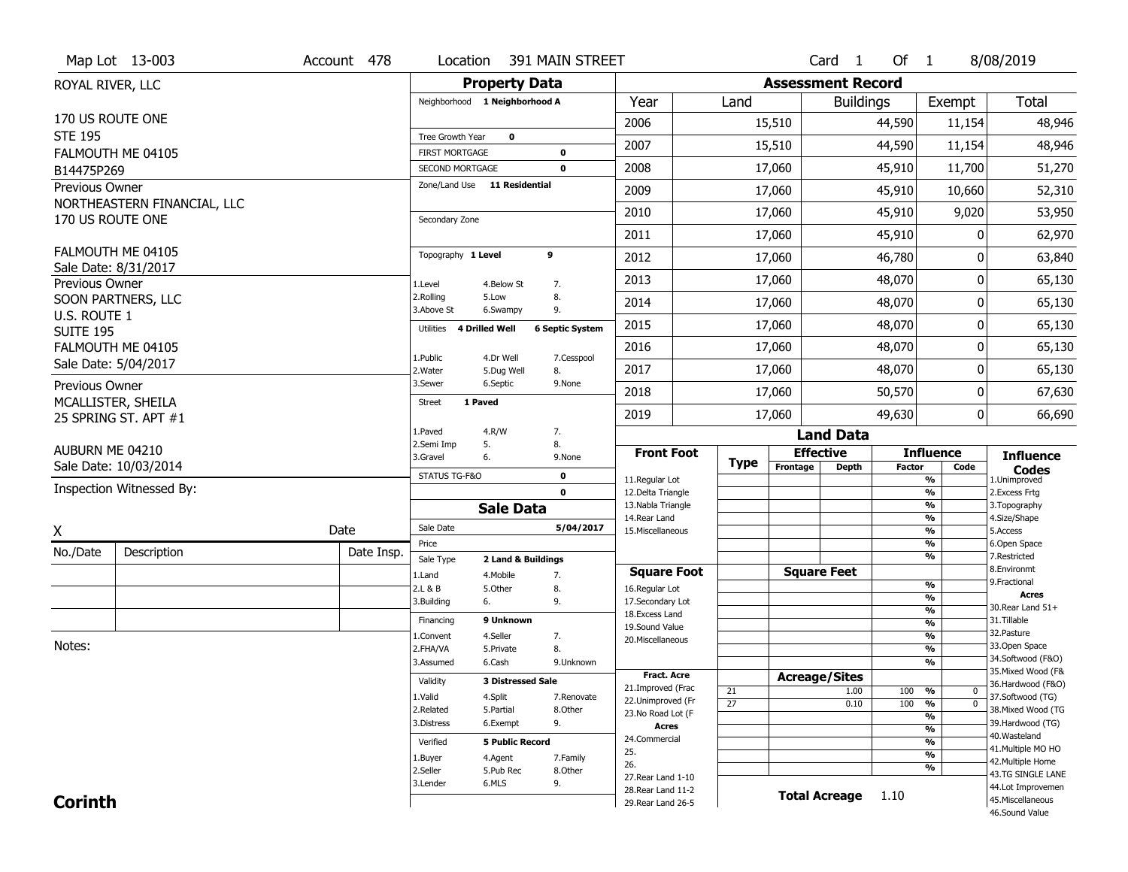| <b>Property Data</b><br><b>Assessment Record</b><br>ROYAL RIVER, LLC<br><b>Total</b><br>Neighborhood 1 Neighborhood A<br>Year<br>Land<br><b>Buildings</b><br>Exempt<br>170 US ROUTE ONE<br>2006<br>15,510<br>44,590<br>11,154<br><b>STE 195</b><br>$\mathbf 0$<br>Tree Growth Year<br>2007<br>44,590<br>15,510<br>11,154<br>FALMOUTH ME 04105<br><b>FIRST MORTGAGE</b><br>$\mathbf 0$<br>2008<br>45,910<br>17,060<br>11,700<br>51,270<br>$\mathbf 0$<br>SECOND MORTGAGE<br>B14475P269<br>Zone/Land Use 11 Residential<br>Previous Owner<br>2009<br>17,060<br>45,910<br>10,660<br>NORTHEASTERN FINANCIAL, LLC<br>2010<br>17,060<br>45,910<br>9,020<br>170 US ROUTE ONE<br>Secondary Zone<br>45,910<br>2011<br>17,060<br>0<br>FALMOUTH ME 04105<br>9<br>Topography 1 Level<br>2012<br>17,060<br>46,780<br>O<br>Sale Date: 8/31/2017<br>2013<br>48,070<br>17,060<br>0<br>Previous Owner<br>1.Level<br>4.Below St<br>7.<br>2.Rolling<br>8.<br>5.Low<br>SOON PARTNERS, LLC<br>17,060<br>48,070<br>2014<br>0<br>3.Above St<br>9.<br>6.Swampy<br>U.S. ROUTE 1<br>2015<br>48,070<br>17,060<br>0<br><b>6 Septic System</b><br>Utilities<br><b>4 Drilled Well</b><br><b>SUITE 195</b><br>FALMOUTH ME 04105<br>2016<br>48,070<br>17,060<br>0<br>1.Public<br>4.Dr Well<br>7.Cesspool<br>Sale Date: 5/04/2017<br>2017<br>17,060<br>48,070<br>0<br>2.Water<br>5.Dug Well<br>8.<br>3.Sewer<br>6.Septic<br>9.None<br>Previous Owner<br>2018<br>50,570<br>17,060<br>0<br>MCALLISTER, SHEILA<br>1 Paved<br><b>Street</b><br>2019<br>17,060<br>49,630<br>0<br>25 SPRING ST. APT #1<br>4.R/W<br>7.<br>1.Paved<br><b>Land Data</b><br>2.Semi Imp<br>5.<br>8.<br>AUBURN ME 04210<br><b>Front Foot</b><br><b>Effective</b><br><b>Influence</b><br><b>Influence</b><br>3.Gravel<br>6.<br>9.None<br><b>Type</b><br>Sale Date: 10/03/2014<br>Frontage<br><b>Depth</b><br><b>Factor</b><br>Code<br><b>Codes</b><br>STATUS TG-F&O<br>$\mathbf 0$ | Map Lot 13-003 | Account 478 | Location | 391 MAIN STREET |                |  | Card <sub>1</sub> | Of $1$ |   | 8/08/2019          |
|----------------------------------------------------------------------------------------------------------------------------------------------------------------------------------------------------------------------------------------------------------------------------------------------------------------------------------------------------------------------------------------------------------------------------------------------------------------------------------------------------------------------------------------------------------------------------------------------------------------------------------------------------------------------------------------------------------------------------------------------------------------------------------------------------------------------------------------------------------------------------------------------------------------------------------------------------------------------------------------------------------------------------------------------------------------------------------------------------------------------------------------------------------------------------------------------------------------------------------------------------------------------------------------------------------------------------------------------------------------------------------------------------------------------------------------------------------------------------------------------------------------------------------------------------------------------------------------------------------------------------------------------------------------------------------------------------------------------------------------------------------------------------------------------------------------------------------------------------------------------------------------------------------------------|----------------|-------------|----------|-----------------|----------------|--|-------------------|--------|---|--------------------|
|                                                                                                                                                                                                                                                                                                                                                                                                                                                                                                                                                                                                                                                                                                                                                                                                                                                                                                                                                                                                                                                                                                                                                                                                                                                                                                                                                                                                                                                                                                                                                                                                                                                                                                                                                                                                                                                                                                                      |                |             |          |                 |                |  |                   |        |   |                    |
|                                                                                                                                                                                                                                                                                                                                                                                                                                                                                                                                                                                                                                                                                                                                                                                                                                                                                                                                                                                                                                                                                                                                                                                                                                                                                                                                                                                                                                                                                                                                                                                                                                                                                                                                                                                                                                                                                                                      |                |             |          |                 |                |  |                   |        |   |                    |
|                                                                                                                                                                                                                                                                                                                                                                                                                                                                                                                                                                                                                                                                                                                                                                                                                                                                                                                                                                                                                                                                                                                                                                                                                                                                                                                                                                                                                                                                                                                                                                                                                                                                                                                                                                                                                                                                                                                      |                |             |          |                 |                |  |                   |        |   | 48,946             |
|                                                                                                                                                                                                                                                                                                                                                                                                                                                                                                                                                                                                                                                                                                                                                                                                                                                                                                                                                                                                                                                                                                                                                                                                                                                                                                                                                                                                                                                                                                                                                                                                                                                                                                                                                                                                                                                                                                                      |                |             |          |                 |                |  |                   |        |   | 48,946             |
|                                                                                                                                                                                                                                                                                                                                                                                                                                                                                                                                                                                                                                                                                                                                                                                                                                                                                                                                                                                                                                                                                                                                                                                                                                                                                                                                                                                                                                                                                                                                                                                                                                                                                                                                                                                                                                                                                                                      |                |             |          |                 |                |  |                   |        |   |                    |
|                                                                                                                                                                                                                                                                                                                                                                                                                                                                                                                                                                                                                                                                                                                                                                                                                                                                                                                                                                                                                                                                                                                                                                                                                                                                                                                                                                                                                                                                                                                                                                                                                                                                                                                                                                                                                                                                                                                      |                |             |          |                 |                |  |                   |        |   |                    |
|                                                                                                                                                                                                                                                                                                                                                                                                                                                                                                                                                                                                                                                                                                                                                                                                                                                                                                                                                                                                                                                                                                                                                                                                                                                                                                                                                                                                                                                                                                                                                                                                                                                                                                                                                                                                                                                                                                                      |                |             |          |                 |                |  |                   |        |   | 52,310             |
|                                                                                                                                                                                                                                                                                                                                                                                                                                                                                                                                                                                                                                                                                                                                                                                                                                                                                                                                                                                                                                                                                                                                                                                                                                                                                                                                                                                                                                                                                                                                                                                                                                                                                                                                                                                                                                                                                                                      |                |             |          |                 |                |  |                   |        |   | 53,950             |
|                                                                                                                                                                                                                                                                                                                                                                                                                                                                                                                                                                                                                                                                                                                                                                                                                                                                                                                                                                                                                                                                                                                                                                                                                                                                                                                                                                                                                                                                                                                                                                                                                                                                                                                                                                                                                                                                                                                      |                |             |          |                 |                |  |                   |        |   | 62,970             |
|                                                                                                                                                                                                                                                                                                                                                                                                                                                                                                                                                                                                                                                                                                                                                                                                                                                                                                                                                                                                                                                                                                                                                                                                                                                                                                                                                                                                                                                                                                                                                                                                                                                                                                                                                                                                                                                                                                                      |                |             |          |                 |                |  |                   |        |   | 63,840             |
|                                                                                                                                                                                                                                                                                                                                                                                                                                                                                                                                                                                                                                                                                                                                                                                                                                                                                                                                                                                                                                                                                                                                                                                                                                                                                                                                                                                                                                                                                                                                                                                                                                                                                                                                                                                                                                                                                                                      |                |             |          |                 |                |  |                   |        |   | 65,130             |
|                                                                                                                                                                                                                                                                                                                                                                                                                                                                                                                                                                                                                                                                                                                                                                                                                                                                                                                                                                                                                                                                                                                                                                                                                                                                                                                                                                                                                                                                                                                                                                                                                                                                                                                                                                                                                                                                                                                      |                |             |          |                 |                |  |                   |        |   | 65,130             |
|                                                                                                                                                                                                                                                                                                                                                                                                                                                                                                                                                                                                                                                                                                                                                                                                                                                                                                                                                                                                                                                                                                                                                                                                                                                                                                                                                                                                                                                                                                                                                                                                                                                                                                                                                                                                                                                                                                                      |                |             |          |                 |                |  |                   |        |   | 65,130             |
|                                                                                                                                                                                                                                                                                                                                                                                                                                                                                                                                                                                                                                                                                                                                                                                                                                                                                                                                                                                                                                                                                                                                                                                                                                                                                                                                                                                                                                                                                                                                                                                                                                                                                                                                                                                                                                                                                                                      |                |             |          |                 |                |  |                   |        |   | 65,130             |
|                                                                                                                                                                                                                                                                                                                                                                                                                                                                                                                                                                                                                                                                                                                                                                                                                                                                                                                                                                                                                                                                                                                                                                                                                                                                                                                                                                                                                                                                                                                                                                                                                                                                                                                                                                                                                                                                                                                      |                |             |          |                 |                |  |                   |        |   | 65,130             |
|                                                                                                                                                                                                                                                                                                                                                                                                                                                                                                                                                                                                                                                                                                                                                                                                                                                                                                                                                                                                                                                                                                                                                                                                                                                                                                                                                                                                                                                                                                                                                                                                                                                                                                                                                                                                                                                                                                                      |                |             |          |                 |                |  |                   |        |   | 67,630             |
|                                                                                                                                                                                                                                                                                                                                                                                                                                                                                                                                                                                                                                                                                                                                                                                                                                                                                                                                                                                                                                                                                                                                                                                                                                                                                                                                                                                                                                                                                                                                                                                                                                                                                                                                                                                                                                                                                                                      |                |             |          |                 |                |  |                   |        |   | 66,690             |
|                                                                                                                                                                                                                                                                                                                                                                                                                                                                                                                                                                                                                                                                                                                                                                                                                                                                                                                                                                                                                                                                                                                                                                                                                                                                                                                                                                                                                                                                                                                                                                                                                                                                                                                                                                                                                                                                                                                      |                |             |          |                 |                |  |                   |        |   |                    |
|                                                                                                                                                                                                                                                                                                                                                                                                                                                                                                                                                                                                                                                                                                                                                                                                                                                                                                                                                                                                                                                                                                                                                                                                                                                                                                                                                                                                                                                                                                                                                                                                                                                                                                                                                                                                                                                                                                                      |                |             |          |                 |                |  |                   |        |   |                    |
|                                                                                                                                                                                                                                                                                                                                                                                                                                                                                                                                                                                                                                                                                                                                                                                                                                                                                                                                                                                                                                                                                                                                                                                                                                                                                                                                                                                                                                                                                                                                                                                                                                                                                                                                                                                                                                                                                                                      |                |             |          |                 |                |  |                   |        |   |                    |
| Inspection Witnessed By:<br>$\mathbf 0$<br>12.Delta Triangle<br>%<br>2. Excess Frtg                                                                                                                                                                                                                                                                                                                                                                                                                                                                                                                                                                                                                                                                                                                                                                                                                                                                                                                                                                                                                                                                                                                                                                                                                                                                                                                                                                                                                                                                                                                                                                                                                                                                                                                                                                                                                                  |                |             |          |                 | 11.Regular Lot |  |                   |        | % | 1.Unimproved       |
| 13. Nabla Triangle<br>%<br>3. Topography<br><b>Sale Data</b>                                                                                                                                                                                                                                                                                                                                                                                                                                                                                                                                                                                                                                                                                                                                                                                                                                                                                                                                                                                                                                                                                                                                                                                                                                                                                                                                                                                                                                                                                                                                                                                                                                                                                                                                                                                                                                                         |                |             |          |                 |                |  |                   |        |   |                    |
| 14. Rear Land<br>%<br>4.Size/Shape<br>Sale Date<br>5/04/2017<br>Date<br>15. Miscellaneous<br>%<br>5.Access                                                                                                                                                                                                                                                                                                                                                                                                                                                                                                                                                                                                                                                                                                                                                                                                                                                                                                                                                                                                                                                                                                                                                                                                                                                                                                                                                                                                                                                                                                                                                                                                                                                                                                                                                                                                           |                |             |          |                 |                |  |                   |        |   |                    |
| X<br>%<br>Price<br>6.Open Space                                                                                                                                                                                                                                                                                                                                                                                                                                                                                                                                                                                                                                                                                                                                                                                                                                                                                                                                                                                                                                                                                                                                                                                                                                                                                                                                                                                                                                                                                                                                                                                                                                                                                                                                                                                                                                                                                      |                |             |          |                 |                |  |                   |        |   |                    |
| No./Date<br>Description<br>Date Insp.<br>%<br>7.Restricted<br>Sale Type<br>2 Land & Buildings                                                                                                                                                                                                                                                                                                                                                                                                                                                                                                                                                                                                                                                                                                                                                                                                                                                                                                                                                                                                                                                                                                                                                                                                                                                                                                                                                                                                                                                                                                                                                                                                                                                                                                                                                                                                                        |                |             |          |                 |                |  |                   |        |   |                    |
| 8.Environmt<br><b>Square Feet</b><br><b>Square Foot</b><br>1.Land<br>4. Mobile<br>7.<br>9. Fractional                                                                                                                                                                                                                                                                                                                                                                                                                                                                                                                                                                                                                                                                                                                                                                                                                                                                                                                                                                                                                                                                                                                                                                                                                                                                                                                                                                                                                                                                                                                                                                                                                                                                                                                                                                                                                |                |             |          |                 |                |  |                   |        |   |                    |
| %<br>2.L & B<br>5.Other<br>8.<br>16.Regular Lot<br><b>Acres</b><br>%<br>3.Building<br>9.<br>17.Secondary Lot<br>6.                                                                                                                                                                                                                                                                                                                                                                                                                                                                                                                                                                                                                                                                                                                                                                                                                                                                                                                                                                                                                                                                                                                                                                                                                                                                                                                                                                                                                                                                                                                                                                                                                                                                                                                                                                                                   |                |             |          |                 |                |  |                   |        |   |                    |
| 30. Rear Land 51+<br>$\frac{9}{6}$<br>18.Excess Land                                                                                                                                                                                                                                                                                                                                                                                                                                                                                                                                                                                                                                                                                                                                                                                                                                                                                                                                                                                                                                                                                                                                                                                                                                                                                                                                                                                                                                                                                                                                                                                                                                                                                                                                                                                                                                                                 |                |             |          |                 |                |  |                   |        |   |                    |
| 9 Unknown<br>31.Tillable<br>Financing<br>$\frac{9}{6}$<br>19.Sound Value<br>32.Pasture                                                                                                                                                                                                                                                                                                                                                                                                                                                                                                                                                                                                                                                                                                                                                                                                                                                                                                                                                                                                                                                                                                                                                                                                                                                                                                                                                                                                                                                                                                                                                                                                                                                                                                                                                                                                                               |                |             |          |                 |                |  |                   |        |   |                    |
| $\frac{9}{6}$<br>4.Seller<br>1.Convent<br>7.<br>20.Miscellaneous<br>Notes:<br>33.Open Space<br>$\frac{9}{6}$                                                                                                                                                                                                                                                                                                                                                                                                                                                                                                                                                                                                                                                                                                                                                                                                                                                                                                                                                                                                                                                                                                                                                                                                                                                                                                                                                                                                                                                                                                                                                                                                                                                                                                                                                                                                         |                |             |          |                 |                |  |                   |        |   |                    |
| 2.FHA/VA<br>8.<br>5.Private<br>$\frac{9}{6}$<br>3.Assumed<br>6.Cash<br>9.Unknown                                                                                                                                                                                                                                                                                                                                                                                                                                                                                                                                                                                                                                                                                                                                                                                                                                                                                                                                                                                                                                                                                                                                                                                                                                                                                                                                                                                                                                                                                                                                                                                                                                                                                                                                                                                                                                     |                |             |          |                 |                |  |                   |        |   | 34.Softwood (F&O)  |
| <b>Fract. Acre</b><br><b>Acreage/Sites</b>                                                                                                                                                                                                                                                                                                                                                                                                                                                                                                                                                                                                                                                                                                                                                                                                                                                                                                                                                                                                                                                                                                                                                                                                                                                                                                                                                                                                                                                                                                                                                                                                                                                                                                                                                                                                                                                                           |                |             |          |                 |                |  |                   |        |   | 35. Mixed Wood (F& |
| Validity<br><b>3 Distressed Sale</b><br>21.Improved (Frac<br>21<br>1.00<br>100<br>%<br>$\mathbf 0$                                                                                                                                                                                                                                                                                                                                                                                                                                                                                                                                                                                                                                                                                                                                                                                                                                                                                                                                                                                                                                                                                                                                                                                                                                                                                                                                                                                                                                                                                                                                                                                                                                                                                                                                                                                                                   |                |             |          |                 |                |  |                   |        |   | 36.Hardwood (F&O)  |
| 37.Softwood (TG)<br>1.Valid<br>4.Split<br>7.Renovate<br>22.Unimproved (Fr<br>$\overline{27}$<br>100<br>$\frac{9}{6}$<br>$\overline{0}$<br>0.10                                                                                                                                                                                                                                                                                                                                                                                                                                                                                                                                                                                                                                                                                                                                                                                                                                                                                                                                                                                                                                                                                                                                                                                                                                                                                                                                                                                                                                                                                                                                                                                                                                                                                                                                                                       |                |             |          |                 |                |  |                   |        |   |                    |
| 2.Related<br>5.Partial<br>8.Other<br>23.No Road Lot (F<br>%<br>6.Exempt<br>9.<br>39.Hardwood (TG)<br>3.Distress                                                                                                                                                                                                                                                                                                                                                                                                                                                                                                                                                                                                                                                                                                                                                                                                                                                                                                                                                                                                                                                                                                                                                                                                                                                                                                                                                                                                                                                                                                                                                                                                                                                                                                                                                                                                      |                |             |          |                 |                |  |                   |        |   | 38. Mixed Wood (TG |
| Acres<br>%<br>40. Wasteland                                                                                                                                                                                                                                                                                                                                                                                                                                                                                                                                                                                                                                                                                                                                                                                                                                                                                                                                                                                                                                                                                                                                                                                                                                                                                                                                                                                                                                                                                                                                                                                                                                                                                                                                                                                                                                                                                          |                |             |          |                 |                |  |                   |        |   |                    |
| 24.Commercial<br><b>5 Public Record</b><br>%<br>Verified<br>41. Multiple MO HO<br>25.                                                                                                                                                                                                                                                                                                                                                                                                                                                                                                                                                                                                                                                                                                                                                                                                                                                                                                                                                                                                                                                                                                                                                                                                                                                                                                                                                                                                                                                                                                                                                                                                                                                                                                                                                                                                                                |                |             |          |                 |                |  |                   |        |   |                    |
| %<br>4.Agent<br>7.Family<br>1.Buyer<br>42. Multiple Home<br>26.                                                                                                                                                                                                                                                                                                                                                                                                                                                                                                                                                                                                                                                                                                                                                                                                                                                                                                                                                                                                                                                                                                                                                                                                                                                                                                                                                                                                                                                                                                                                                                                                                                                                                                                                                                                                                                                      |                |             |          |                 |                |  |                   |        |   |                    |
| %<br>2.Seller<br>5.Pub Rec<br>8.Other<br>27. Rear Land 1-10                                                                                                                                                                                                                                                                                                                                                                                                                                                                                                                                                                                                                                                                                                                                                                                                                                                                                                                                                                                                                                                                                                                                                                                                                                                                                                                                                                                                                                                                                                                                                                                                                                                                                                                                                                                                                                                          |                |             |          |                 |                |  |                   |        |   | 43.TG SINGLE LANE  |
| 6.MLS<br>9.<br>3.Lender<br>28. Rear Land 11-2<br><b>Total Acreage</b><br>1.10                                                                                                                                                                                                                                                                                                                                                                                                                                                                                                                                                                                                                                                                                                                                                                                                                                                                                                                                                                                                                                                                                                                                                                                                                                                                                                                                                                                                                                                                                                                                                                                                                                                                                                                                                                                                                                        |                |             |          |                 |                |  |                   |        |   | 44.Lot Improvemen  |
| <b>Corinth</b><br>45. Miscellaneous<br>29. Rear Land 26-5<br>46.Sound Value                                                                                                                                                                                                                                                                                                                                                                                                                                                                                                                                                                                                                                                                                                                                                                                                                                                                                                                                                                                                                                                                                                                                                                                                                                                                                                                                                                                                                                                                                                                                                                                                                                                                                                                                                                                                                                          |                |             |          |                 |                |  |                   |        |   |                    |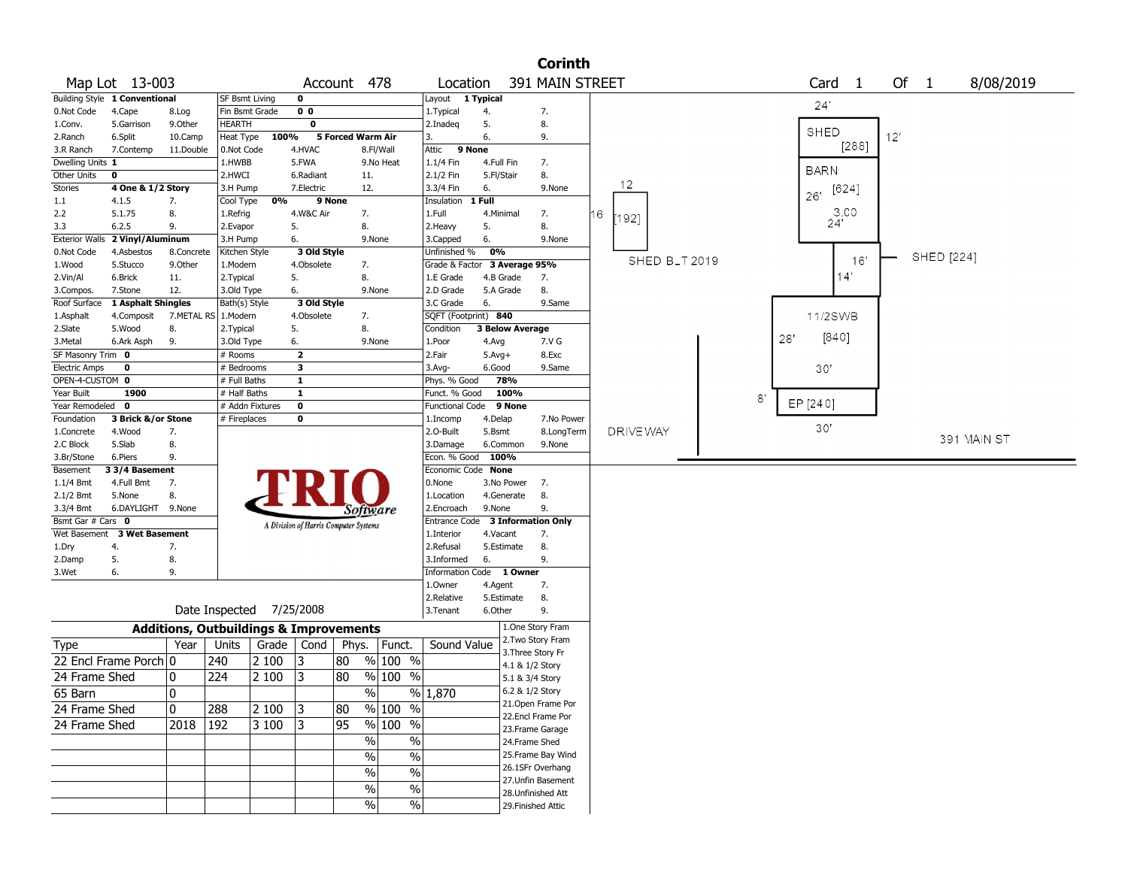|                                     |                                |            |                           |                                                   |                                       |             |                    |                                  |            |                        | <b>Corinth</b>     |   |                            |     |                        |     |             |           |
|-------------------------------------|--------------------------------|------------|---------------------------|---------------------------------------------------|---------------------------------------|-------------|--------------------|----------------------------------|------------|------------------------|--------------------|---|----------------------------|-----|------------------------|-----|-------------|-----------|
|                                     | Map Lot 13-003                 |            |                           |                                                   |                                       | Account 478 |                    | Location                         |            |                        | 391 MAIN STREET    |   |                            |     | Card<br>$\overline{1}$ |     | Of 1        | 8/08/2019 |
|                                     | Building Style 1 Conventional  |            | SF Bsmt Living            |                                                   | 0                                     |             |                    | Layout 1 Typical                 |            |                        |                    |   |                            |     |                        |     |             |           |
| 0.Not Code                          | 4.Cape                         | 8.Log      |                           | Fin Bsmt Grade                                    | $\overline{0}$                        |             |                    | 1. Typical                       | 4.         |                        | 7.                 |   |                            |     | 24'                    |     |             |           |
| 1.Conv.                             | 5.Garrison                     | 9.Other    | HEARTH                    |                                                   | 0                                     |             |                    | 2.Inadeg                         | 5.         |                        | 8.                 |   |                            |     | SHED                   |     |             |           |
| 2.Ranch                             | 6.Split                        | 10.Camp    | Heat Type                 | 100%                                              |                                       |             | 5 Forced Warm Air  | 3.                               | 6.         |                        | 9.                 |   |                            |     |                        | 12' |             |           |
| 3.R Ranch                           | 7.Contemp                      | 11.Double  | 0.Not Code                |                                                   | 4.HVAC                                |             | 8.Fl/Wall          | Attic<br>9 None                  |            |                        |                    |   |                            |     | [288]                  |     |             |           |
| Dwelling Units 1                    |                                |            | 1.HWBB                    |                                                   | 5.FWA                                 |             | 9.No Heat          | 1.1/4 Fin                        | 4.Full Fin |                        | 7.                 |   |                            |     | <b>BARN</b>            |     |             |           |
| Other Units                         | 0                              |            | 2.HWCI                    |                                                   | 6.Radiant                             |             | 11.                | 2.1/2 Fin                        | 5.Fl/Stair |                        | 8.                 |   | 12                         |     |                        |     |             |           |
| <b>Stories</b>                      | 4 One & 1/2 Story              |            | 3.H Pump                  |                                                   | 7.Electric                            |             | 12.                | 3.3/4 Fin                        | 6.         |                        | 9.None             |   |                            |     | [624]<br>26'           |     |             |           |
| 1.1                                 | 4.1.5                          | 7.         | Cool Type                 | 0%                                                |                                       | 9 None      |                    | Insulation 1 Full                |            |                        |                    |   |                            |     |                        |     |             |           |
| 2.2                                 | 5.1.75                         | 8.         | 1.Refrig                  |                                                   | 4.W&C Air                             |             | 7.                 | 1.Full                           | 4.Minimal  |                        | 7.                 | 6 | [192]                      |     | 3.00<br>24'            |     |             |           |
| 3.3                                 | 6.2.5                          | 9.         | 2.Evapor                  |                                                   | 5.                                    |             | 8.                 | 2.Heavy                          | 5.<br>6.   |                        | 8.                 |   |                            |     |                        |     |             |           |
| <b>Exterior Walls</b><br>0.Not Code | 2 Vinyl/Aluminum<br>4.Asbestos | 8.Concrete | 3.H Pump<br>Kitchen Style |                                                   | 6.<br>3 Old Style                     |             | 9.None             | 3.Capped<br>Unfinished %         | 0%         |                        | 9.None             |   |                            |     |                        |     |             |           |
| 1.Wood                              | 5.Stucco                       | 9.Other    | 1.Modern                  |                                                   | 4.Obsolete                            |             | 7.                 | Grade & Factor 3 Average 95%     |            |                        |                    |   | SHED B <sub>-</sub> T 2019 |     | 16'                    |     | SHED [224]  |           |
| 2.Vin/Al                            | 6.Brick                        | 11.        | 2.Typical                 |                                                   | 5.                                    |             | 8.                 | 1.E Grade                        | 4.B Grade  |                        | 7.                 |   |                            |     | 14'                    |     |             |           |
| 3.Compos.                           | 7.Stone                        | 12.        | 3.Old Type                |                                                   | 6.                                    |             | 9.None             | 2.D Grade                        | 5.A Grade  |                        | 8.                 |   |                            |     |                        |     |             |           |
| Roof Surface                        | 1 Asphalt Shingles             |            | Bath(s) Style             |                                                   | 3 Old Style                           |             |                    | 3.C Grade                        | 6.         |                        | 9.Same             |   |                            |     |                        |     |             |           |
| 1.Asphalt                           | 4.Composit                     |            | 7.METAL RS   1.Modern     |                                                   | 4.Obsolete                            |             | 7.                 | SQFT (Footprint) 840             |            |                        |                    |   |                            |     | 11/2SWB                |     |             |           |
| 2.Slate                             | 5.Wood                         | 8.         | 2.Typical                 |                                                   | 5.                                    |             | 8.                 | Condition                        |            | <b>3 Below Average</b> |                    |   |                            |     |                        |     |             |           |
| 3. Metal                            | 6.Ark Asph                     | 9.         | 3.Old Type                |                                                   | 6.                                    |             | 9.None             | 1.Poor                           | 4.Avg      |                        | 7.V G              |   |                            | 28' | [840]                  |     |             |           |
| SF Masonry Trim 0                   |                                |            | # Rooms                   |                                                   | $\mathbf{2}$                          |             |                    | 2.Fair                           | $5.Avg+$   |                        | 8.Exc              |   |                            |     |                        |     |             |           |
| <b>Electric Amps</b>                | 0                              |            | # Bedrooms                |                                                   | 3                                     |             |                    | $3.$ Avg-                        | 6.Good     |                        | 9.Same             |   |                            |     | 30'                    |     |             |           |
| OPEN-4-CUSTOM 0                     |                                |            | # Full Baths              |                                                   | 1                                     |             |                    | Phys. % Good                     |            | 78%                    |                    |   |                            |     |                        |     |             |           |
| Year Built                          | 1900                           |            | # Half Baths              |                                                   | $\mathbf{1}$                          |             |                    | Funct. % Good                    |            | 100%                   |                    |   |                            | 8'  |                        |     |             |           |
| Year Remodeled 0                    |                                |            |                           | # Addn Fixtures                                   | 0                                     |             |                    | <b>Functional Code</b>           |            | 9 None                 |                    |   |                            |     | EP [240]               |     |             |           |
| Foundation                          | 3 Brick &/or Stone             |            | # Fireplaces              |                                                   | 0                                     |             |                    | 1.Incomp                         | 4.Delap    |                        | 7.No Power         |   |                            |     | 30'                    |     |             |           |
| 1.Concrete                          | 4.Wood                         | 7.         |                           |                                                   |                                       |             |                    | 2.O-Built                        | 5.Bsmt     |                        | 8.LongTerm         |   | DRIVE WAY                  |     |                        |     | 391 MAIN ST |           |
| 2.C Block                           | 5.Slab                         | 8.         |                           |                                                   |                                       |             |                    | 3.Damage                         | 6.Common   |                        | 9.None             |   |                            |     |                        |     |             |           |
| 3.Br/Stone                          | 6.Piers                        | 9.         |                           |                                                   |                                       |             |                    | Econ. % Good 100%                |            |                        |                    |   |                            |     |                        |     |             |           |
| Basement                            | 3 3/4 Basement                 |            |                           |                                                   |                                       |             |                    | Economic Code None               |            |                        |                    |   |                            |     |                        |     |             |           |
| $1.1/4$ Bmt<br>$2.1/2$ Bmt          | 4.Full Bmt<br>5.None           | 7.<br>8.   |                           |                                                   |                                       |             |                    | 0.None<br>1.Location             | 4.Generate | 3.No Power             | 7.<br>8.           |   |                            |     |                        |     |             |           |
| 3.3/4 Bmt                           | 6.DAYLIGHT 9.None              |            |                           |                                                   |                                       |             |                    | 2.Encroach                       | 9.None     |                        | 9.                 |   |                            |     |                        |     |             |           |
| Bsmt Gar # Cars 0                   |                                |            |                           |                                                   |                                       |             | Software           | Entrance Code 3 Information Only |            |                        |                    |   |                            |     |                        |     |             |           |
|                                     | Wet Basement 3 Wet Basement    |            |                           |                                                   | A Division of Harris Computer Systems |             |                    | 1.Interior                       | 4.Vacant   |                        | 7.                 |   |                            |     |                        |     |             |           |
| 1.Dry                               | 4.                             | 7.         |                           |                                                   |                                       |             |                    | 2.Refusal                        | 5.Estimate |                        | 8.                 |   |                            |     |                        |     |             |           |
| 2.Damp                              | 5.                             | 8.         |                           |                                                   |                                       |             |                    | 3.Informed                       | 6.         |                        | 9.                 |   |                            |     |                        |     |             |           |
| 3.Wet                               | 6.                             | 9.         |                           |                                                   |                                       |             |                    | Information Code 1 Owner         |            |                        |                    |   |                            |     |                        |     |             |           |
|                                     |                                |            |                           |                                                   |                                       |             |                    | 1.0wner                          | 4.Agent    |                        | 7.                 |   |                            |     |                        |     |             |           |
|                                     |                                |            |                           |                                                   |                                       |             |                    | 2.Relative                       | 5.Estimate |                        | 8.                 |   |                            |     |                        |     |             |           |
|                                     |                                |            |                           | Date Inspected 7/25/2008                          |                                       |             |                    | 3.Tenant                         | 6.Other    |                        | 9.                 |   |                            |     |                        |     |             |           |
|                                     |                                |            |                           | <b>Additions, Outbuildings &amp; Improvements</b> |                                       |             |                    |                                  |            | 1.One Story Fram       |                    |   |                            |     |                        |     |             |           |
| Type                                |                                | Year       | Units                     | Grade                                             | Cond                                  | Phys.       | Funct.             | Sound Value                      |            | 2. Two Story Fram      |                    |   |                            |     |                        |     |             |           |
|                                     | 22 Encl Frame Porch 0          |            | 240                       | 2 100                                             | 13                                    | 80          | % 100 %            |                                  |            | 3. Three Story Fr      |                    |   |                            |     |                        |     |             |           |
|                                     |                                |            |                           |                                                   |                                       | 80          |                    |                                  |            | 4.1 & 1/2 Story        |                    |   |                            |     |                        |     |             |           |
| 24 Frame Shed                       |                                | 0          | 224                       | 2 100                                             | 13                                    |             | % 100 %            |                                  |            | 5.1 & 3/4 Story        |                    |   |                            |     |                        |     |             |           |
| 65 Barn                             |                                | 0          |                           |                                                   |                                       |             | $\%$               | $\frac{9}{6}$ 1,870              |            | 6.2 & 1/2 Story        |                    |   |                            |     |                        |     |             |           |
| 24 Frame Shed                       |                                | 0          | 288                       | 2 100                                             | 3                                     | 80          | $%100$ %           |                                  |            | 22.Encl Frame Por      | 21. Open Frame Por |   |                            |     |                        |     |             |           |
| 24 Frame Shed                       |                                | 2018       | 192                       | 3 100                                             | 13                                    | 95          | $%100$ %           |                                  |            | 23. Frame Garage       |                    |   |                            |     |                        |     |             |           |
|                                     |                                |            |                           |                                                   |                                       |             | $\%$<br>%          |                                  |            | 24.Frame Shed          |                    |   |                            |     |                        |     |             |           |
|                                     |                                |            |                           |                                                   |                                       |             | $\%$               |                                  |            |                        | 25.Frame Bay Wind  |   |                            |     |                        |     |             |           |
|                                     |                                |            |                           |                                                   |                                       |             | $\%$               |                                  |            | 26.1SFr Overhang       |                    |   |                            |     |                        |     |             |           |
|                                     |                                |            |                           |                                                   |                                       |             | $\%$<br>$\%$       |                                  |            |                        | 27.Unfin Basement  |   |                            |     |                        |     |             |           |
|                                     |                                |            |                           |                                                   |                                       |             | $\frac{1}{2}$<br>% |                                  |            | 28. Unfinished Att     |                    |   |                            |     |                        |     |             |           |
|                                     |                                |            |                           |                                                   |                                       |             | $\%$<br>$\%$       |                                  |            | 29. Finished Attic     |                    |   |                            |     |                        |     |             |           |
|                                     |                                |            |                           |                                                   |                                       |             |                    |                                  |            |                        |                    |   |                            |     |                        |     |             |           |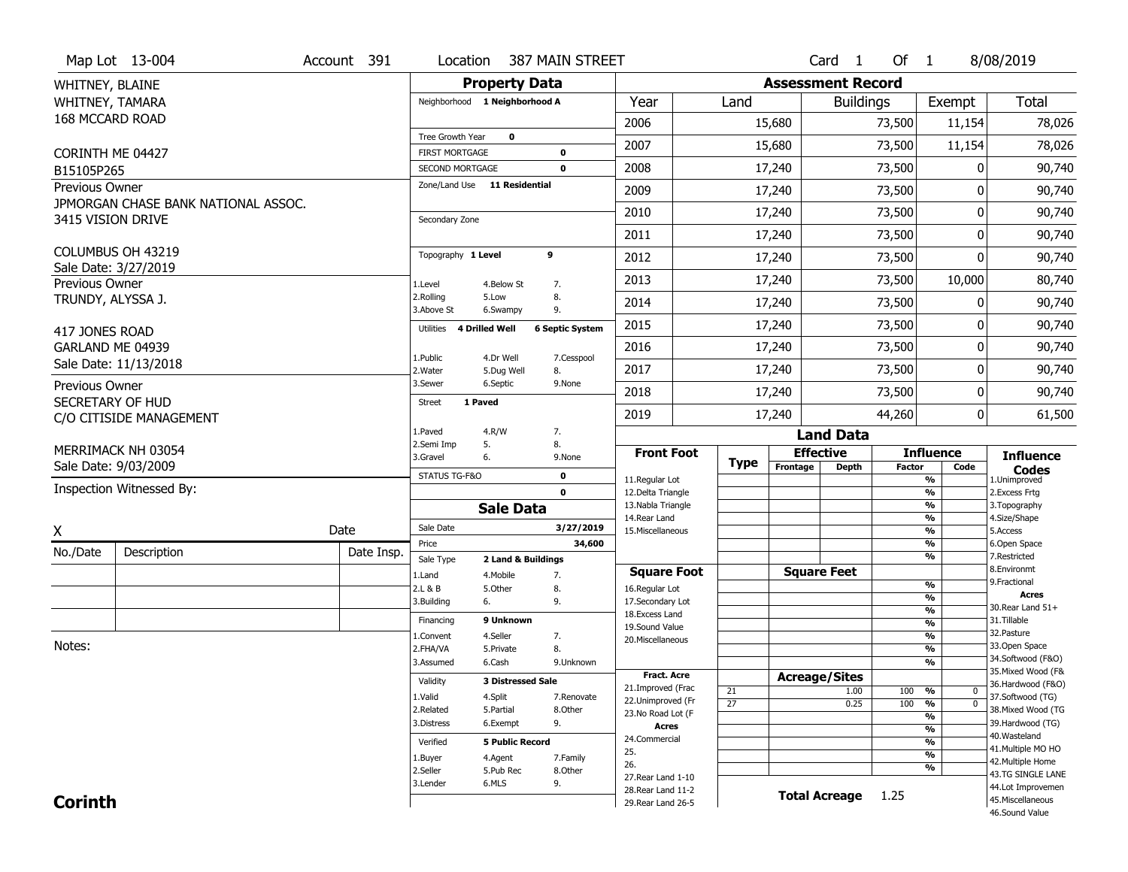|                   | Map Lot 13-004                              | Account 391 | Location                 |                               | 387 MAIN STREET        |                                          |                 |                          | Card 1               | Of 1          |                                    | 8/08/2019                              |
|-------------------|---------------------------------------------|-------------|--------------------------|-------------------------------|------------------------|------------------------------------------|-----------------|--------------------------|----------------------|---------------|------------------------------------|----------------------------------------|
| WHITNEY, BLAINE   |                                             |             |                          | <b>Property Data</b>          |                        |                                          |                 | <b>Assessment Record</b> |                      |               |                                    |                                        |
| WHITNEY, TAMARA   |                                             |             |                          | Neighborhood 1 Neighborhood A |                        | Year                                     | Land            |                          | <b>Buildings</b>     |               | Exempt                             | Total                                  |
| 168 MCCARD ROAD   |                                             |             |                          |                               |                        | 2006                                     |                 | 15,680                   |                      | 73,500        | 11,154                             | 78,026                                 |
|                   |                                             |             | Tree Growth Year         | $\mathbf 0$                   |                        |                                          |                 |                          |                      |               |                                    |                                        |
| CORINTH ME 04427  |                                             |             | <b>FIRST MORTGAGE</b>    |                               | $\bf{0}$               | 2007                                     |                 | 15,680                   |                      | 73,500        | 11,154                             | 78,026                                 |
| B15105P265        |                                             |             | <b>SECOND MORTGAGE</b>   |                               | $\mathbf 0$            | 2008                                     |                 | 17,240                   |                      | 73,500        | 0                                  | 90,740                                 |
| Previous Owner    |                                             |             |                          | Zone/Land Use 11 Residential  |                        | 2009                                     |                 | 17,240                   |                      | 73,500        | 0                                  | 90,740                                 |
| 3415 VISION DRIVE | JPMORGAN CHASE BANK NATIONAL ASSOC.         |             | Secondary Zone           |                               |                        | 2010                                     |                 | 17,240                   |                      | 73,500        | 0                                  | 90,740                                 |
|                   |                                             |             |                          |                               |                        | 2011                                     |                 | 17,240                   |                      | 73,500        | 0                                  | 90,740                                 |
|                   | COLUMBUS OH 43219                           |             | Topography 1 Level       |                               | 9                      | 2012                                     |                 | 17,240                   |                      | 73,500        | 0                                  | 90,740                                 |
| Previous Owner    | Sale Date: 3/27/2019                        |             | 1.Level                  | 4.Below St                    | 7.                     | 2013                                     |                 | 17,240                   |                      | 73,500        | 10,000                             | 80,740                                 |
| TRUNDY, ALYSSA J. |                                             |             | 2.Rolling<br>3.Above St  | 5.Low<br>6.Swampy             | 8.<br>9.               | 2014                                     |                 | 17,240                   |                      | 73,500        | 0                                  | 90,740                                 |
| 417 JONES ROAD    |                                             |             | Utilities 4 Drilled Well |                               | <b>6 Septic System</b> | 2015                                     |                 | 17,240                   |                      | 73,500        | 0                                  | 90,740                                 |
| GARLAND ME 04939  |                                             |             |                          |                               |                        | 2016                                     |                 | 17,240                   |                      | 73,500        | 0                                  | 90,740                                 |
|                   | Sale Date: 11/13/2018                       |             | 1.Public<br>2. Water     | 4.Dr Well<br>5.Dug Well       | 7.Cesspool<br>8.       | 2017                                     |                 | 17,240                   |                      | 73,500        | 0                                  | 90,740                                 |
| Previous Owner    |                                             |             | 3.Sewer                  | 6.Septic                      | 9.None                 | 2018                                     |                 | 17,240                   |                      | 73,500        | 0                                  | 90,740                                 |
|                   | SECRETARY OF HUD<br>C/O CITISIDE MANAGEMENT |             | <b>Street</b>            | 1 Paved                       |                        | 2019                                     |                 | 17,240                   |                      | 44,260        | $\overline{0}$                     | 61,500                                 |
|                   |                                             |             | 1.Paved                  | 4.R/W                         | 7.                     |                                          |                 |                          | <b>Land Data</b>     |               |                                    |                                        |
|                   | MERRIMACK NH 03054                          |             | 2.Semi Imp<br>3.Gravel   | 5.<br>6.                      | 8.<br>9.None           | <b>Front Foot</b>                        |                 | <b>Effective</b>         |                      |               | <b>Influence</b>                   | <b>Influence</b>                       |
|                   | Sale Date: 9/03/2009                        |             | STATUS TG-F&O            |                               | 0                      |                                          | <b>Type</b>     | Frontage                 | <b>Depth</b>         | <b>Factor</b> | Code                               | <b>Codes</b>                           |
|                   | Inspection Witnessed By:                    |             |                          |                               | $\mathbf 0$            | 11.Regular Lot<br>12.Delta Triangle      |                 |                          |                      |               | %<br>%                             | 1.Unimproved<br>2. Excess Frtg         |
|                   |                                             |             |                          | <b>Sale Data</b>              |                        | 13. Nabla Triangle                       |                 |                          |                      |               | %                                  | 3. Topography                          |
|                   |                                             | Date        | Sale Date                |                               | 3/27/2019              | 14. Rear Land<br>15. Miscellaneous       |                 |                          |                      |               | %<br>%                             | 4.Size/Shape<br>5.Access               |
| X                 |                                             |             | Price                    |                               | 34,600                 |                                          |                 |                          |                      |               | %                                  | 6.Open Space                           |
| No./Date          | Description                                 | Date Insp.  | Sale Type                | 2 Land & Buildings            |                        |                                          |                 |                          |                      |               | %                                  | 7.Restricted                           |
|                   |                                             |             | 1.Land                   | 4. Mobile                     | 7.                     | <b>Square Foot</b>                       |                 | <b>Square Feet</b>       |                      |               |                                    | 8.Environmt<br>9. Fractional           |
|                   |                                             |             | 2.L & B                  | 5.Other                       | 8.                     | 16.Regular Lot                           |                 |                          |                      |               | %<br>%                             | <b>Acres</b>                           |
|                   |                                             |             | 3.Building               | 6.                            | 9.                     | 17.Secondary Lot<br>18.Excess Land       |                 |                          |                      |               | %                                  | 30. Rear Land 51+                      |
|                   |                                             |             | Financing                | 9 Unknown                     |                        | 19.Sound Value                           |                 |                          |                      |               | %                                  | 31.Tillable                            |
|                   |                                             |             | 1.Convent                | 4.Seller                      | 7.                     | 20.Miscellaneous                         |                 |                          |                      |               | $\frac{9}{6}$                      | 32.Pasture                             |
| Notes:            |                                             |             | 2.FHA/VA                 | 5.Private                     | 8.                     |                                          |                 |                          |                      |               | $\overline{\frac{9}{6}}$           | 33.Open Space<br>34.Softwood (F&O)     |
|                   |                                             |             | 3.Assumed                | 6.Cash                        | 9.Unknown              | <b>Fract, Acre</b>                       |                 |                          |                      |               | %                                  | 35. Mixed Wood (F&                     |
|                   |                                             |             | Validity                 | <b>3 Distressed Sale</b>      |                        | 21.Improved (Frac                        |                 | <b>Acreage/Sites</b>     |                      |               |                                    | 36.Hardwood (F&O)                      |
|                   |                                             |             | 1.Valid                  | 4.Split                       | 7.Renovate             | 22.Unimproved (Fr                        | 21              |                          | 1.00                 | 100           | %<br>$\mathbf 0$<br>$\overline{0}$ | 37.Softwood (TG)                       |
|                   |                                             |             | 2.Related                | 5.Partial                     | 8.0ther                | 23.No Road Lot (F                        | $\overline{27}$ |                          | 0.25                 | 100           | $\frac{9}{6}$<br>%                 | 38. Mixed Wood (TG                     |
|                   |                                             |             |                          | 6.Exempt                      | 9.                     |                                          |                 |                          |                      |               |                                    | 39.Hardwood (TG)                       |
|                   |                                             |             | 3.Distress               |                               |                        | <b>Acres</b>                             |                 |                          |                      |               |                                    |                                        |
|                   |                                             |             |                          |                               |                        | 24.Commercial                            |                 |                          |                      |               | %                                  | 40. Wasteland                          |
|                   |                                             |             | Verified                 | <b>5 Public Record</b>        |                        | 25.                                      |                 |                          |                      |               | %<br>%                             | 41. Multiple MO HO                     |
|                   |                                             |             | 1.Buyer                  | 4.Agent                       | 7.Family               | 26.                                      |                 |                          |                      |               | %                                  | 42. Multiple Home                      |
|                   |                                             |             | 2.Seller                 | 5.Pub Rec                     | 8.Other                | 27. Rear Land 1-10                       |                 |                          |                      |               |                                    | 43.TG SINGLE LANE                      |
| <b>Corinth</b>    |                                             |             | 3.Lender                 | 6.MLS                         | 9.                     | 28. Rear Land 11-2<br>29. Rear Land 26-5 |                 |                          | <b>Total Acreage</b> | 1.25          |                                    | 44.Lot Improvemen<br>45. Miscellaneous |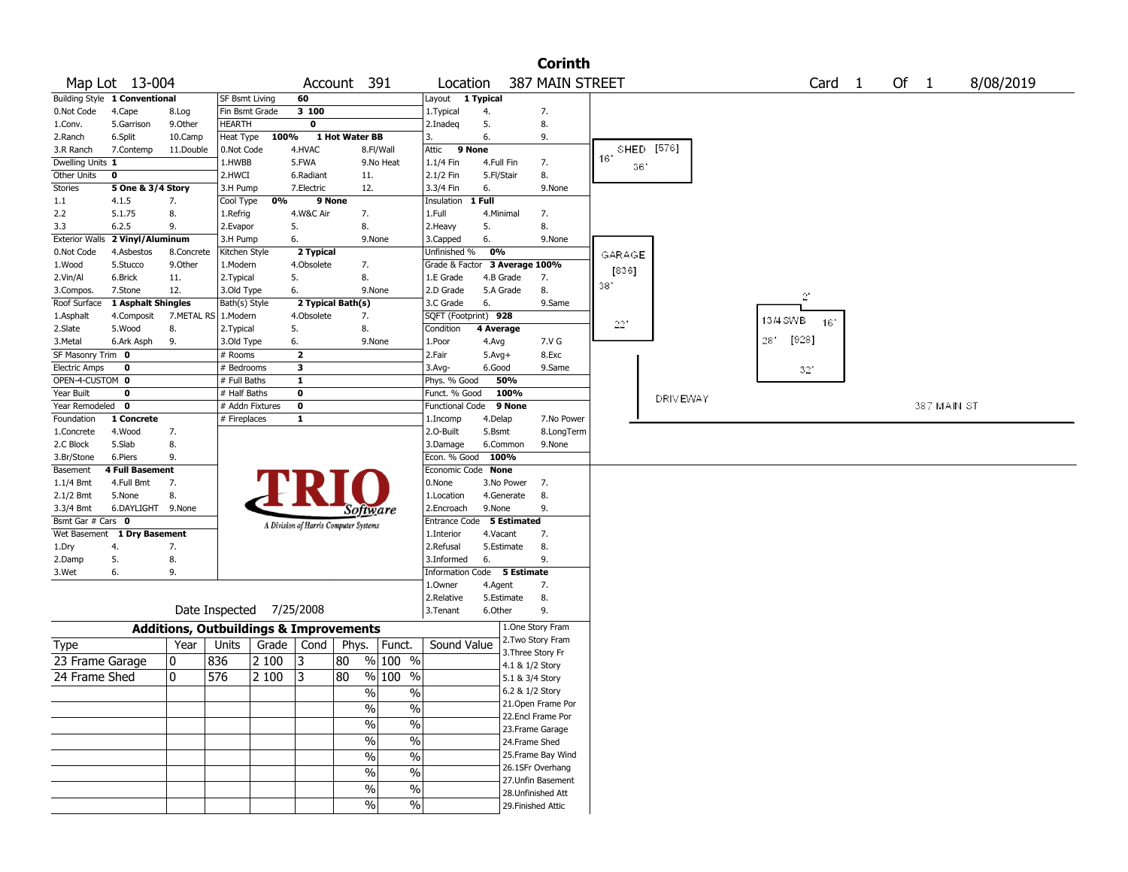|                               |                               |              |                                                   |                 |                                       |                |                       |                               |           |                    | <b>Corinth</b>     |                   |    |                 |          |                   |  |        |             |           |
|-------------------------------|-------------------------------|--------------|---------------------------------------------------|-----------------|---------------------------------------|----------------|-----------------------|-------------------------------|-----------|--------------------|--------------------|-------------------|----|-----------------|----------|-------------------|--|--------|-------------|-----------|
|                               | Map Lot 13-004                |              |                                                   |                 |                                       | Account 391    |                       | Location                      |           |                    | 387 MAIN STREET    |                   |    |                 |          | Card <sub>1</sub> |  | Of $1$ |             | 8/08/2019 |
|                               | Building Style 1 Conventional |              | <b>SF Bsmt Living</b>                             |                 | 60                                    |                |                       | Layout 1 Typical              |           |                    |                    |                   |    |                 |          |                   |  |        |             |           |
| 0.Not Code                    | 4.Cape                        | 8.Log        |                                                   | Fin Bsmt Grade  | 3 100                                 |                |                       | 1. Typical                    | 4.        |                    | 7.                 |                   |    |                 |          |                   |  |        |             |           |
| 1.Conv.                       | 5.Garrison                    | 9.Other      | <b>HEARTH</b>                                     |                 | 0                                     |                |                       | 2.Inadeq                      | 5.        |                    | 8.                 |                   |    |                 |          |                   |  |        |             |           |
| 2.Ranch                       | 6.Split                       | 10.Camp      | Heat Type                                         | 100%            |                                       | 1 Hot Water BB |                       | 3.                            | 6.        |                    | 9.                 |                   |    |                 |          |                   |  |        |             |           |
| 3.R Ranch                     | 7.Contemp                     | 11.Double    | 0.Not Code                                        |                 | 4.HVAC                                |                | 8.Fl/Wall             | Attic                         | 9 None    |                    |                    | SHED [576]<br>16' |    |                 |          |                   |  |        |             |           |
| Dwelling Units 1              |                               |              | 1.HWBB                                            |                 | 5.FWA                                 |                | 9.No Heat             | 1.1/4 Fin                     |           | 4.Full Fin         | 7.                 |                   | 36 |                 |          |                   |  |        |             |           |
| Other Units                   | 0                             |              | 2.HWCI                                            |                 | 6.Radiant                             |                | 11.                   | 2.1/2 Fin                     |           | 5.Fl/Stair         | 8.                 |                   |    |                 |          |                   |  |        |             |           |
| Stories                       | 5 One & 3/4 Story             |              | 3.H Pump                                          |                 | 7.Electric                            |                | 12.                   | 3.3/4 Fin                     | 6.        |                    | 9.None             |                   |    |                 |          |                   |  |        |             |           |
| 1.1                           | 4.1.5                         | 7.           | Cool Type                                         | 0%              |                                       | 9 None         |                       | Insulation                    | $1$ Full  |                    |                    |                   |    |                 |          |                   |  |        |             |           |
| 2.2                           | 5.1.75                        | 8.           | 1.Refrig                                          |                 | 4.W&C Air                             |                | 7.                    | 1.Full                        |           | 4.Minimal          | 7.                 |                   |    |                 |          |                   |  |        |             |           |
| 3.3                           | 6.2.5                         | 9.           | 2.Evapor                                          |                 | 5.                                    |                | 8.                    | 2.Heavy                       | 5.        |                    | 8.                 |                   |    |                 |          |                   |  |        |             |           |
| <b>Exterior Walls</b>         | 2 Vinyl/Aluminum              | 8.Concrete   | 3.H Pump                                          |                 | 6.                                    |                | 9.None                | 3.Capped                      | 6.<br>0%  |                    | 9.None             |                   |    |                 |          |                   |  |        |             |           |
| 0.Not Code                    | 4.Asbestos                    |              | Kitchen Style                                     |                 | 2 Typical                             |                |                       | Unfinished %                  |           |                    |                    | GARAGE            |    |                 |          |                   |  |        |             |           |
| 1.Wood                        | 5.Stucco                      | 9.Other      | 1.Modern                                          |                 | 4.Obsolete                            |                | 7.                    | Grade & Factor 3 Average 100% |           |                    |                    | [836]             |    |                 |          |                   |  |        |             |           |
| 2.Vin/Al                      | 6.Brick                       | 11.          | 2.Typical                                         |                 | 5.                                    |                | 8.                    | 1.E Grade                     |           | 4.B Grade          | 7.                 | 38'               |    |                 |          |                   |  |        |             |           |
| 3.Compos.                     | 7.Stone                       | 12.          | 3.Old Type                                        |                 | 6.                                    |                | 9.None                | 2.D Grade                     |           | 5.A Grade          | 8.                 |                   |    |                 |          | $2^\circ$         |  |        |             |           |
| Roof Surface                  | 1 Asphalt Shingles            |              | Bath(s) Style                                     |                 | 2 Typical Bath(s)                     |                |                       | 3.C Grade                     | 6.        |                    | 9.Same             |                   |    |                 |          |                   |  |        |             |           |
| 1.Asphalt                     | 4.Composit                    | 7.METAL RS   | 1.Modern                                          |                 | 4.Obsolete                            |                | 7.<br>8.              | SQFT (Footprint) 928          |           |                    |                    | $22\,^{\circ}$    |    |                 | 13/4 SWB | 16'               |  |        |             |           |
| 2.Slate                       | 5.Wood                        | 8.           | 2. Typical                                        |                 | 5.                                    |                |                       | Condition                     | 4 Average |                    |                    |                   |    |                 | 28"      | [928]             |  |        |             |           |
| 3.Metal                       | 6.Ark Asph                    | 9.           | 3.Old Type                                        |                 | 6.                                    |                | 9.None                | 1.Poor                        | 4.Avg     |                    | 7.V G              |                   |    |                 |          |                   |  |        |             |           |
| SF Masonry Trim 0             |                               |              | # Rooms                                           |                 | $\overline{\mathbf{2}}$               |                |                       | 2.Fair                        | $5.Avg+$  |                    | 8.Exc              |                   |    |                 |          |                   |  |        |             |           |
| <b>Electric Amps</b>          | 0                             |              | # Bedrooms                                        |                 | 3                                     |                |                       | 3.Avg-                        | 6.Good    | 50%                | 9.Same             |                   |    |                 |          | 321               |  |        |             |           |
| OPEN-4-CUSTOM 0<br>Year Built | 0                             |              | # Full Baths                                      |                 | $\mathbf{1}$<br>0                     |                |                       | Phys. % Good<br>Funct. % Good |           | 100%               |                    |                   |    |                 |          |                   |  |        |             |           |
| Year Remodeled 0              |                               |              | # Half Baths                                      | # Addn Fixtures | $\mathbf 0$                           |                |                       | <b>Functional Code</b>        |           | 9 None             |                    |                   |    | <b>DRIVEWAY</b> |          |                   |  |        | 387 MAIN ST |           |
| Foundation                    | 1 Concrete                    |              | # Fireplaces                                      |                 | 1                                     |                |                       | 1.Incomp                      | 4.Delap   |                    | 7.No Power         |                   |    |                 |          |                   |  |        |             |           |
| 1.Concrete                    | 4.Wood                        | 7.           |                                                   |                 |                                       |                |                       | 2.0-Built                     | 5.Bsmt    |                    | 8.LongTerm         |                   |    |                 |          |                   |  |        |             |           |
| 2.C Block                     | 5.Slab                        | 8.           |                                                   |                 |                                       |                |                       | 3.Damage                      |           | 6.Common           | 9.None             |                   |    |                 |          |                   |  |        |             |           |
| 3.Br/Stone                    | 6.Piers                       | 9.           |                                                   |                 |                                       |                |                       | Econ. % Good                  |           | 100%               |                    |                   |    |                 |          |                   |  |        |             |           |
| Basement                      | <b>4 Full Basement</b>        |              |                                                   |                 |                                       |                |                       | Economic Code None            |           |                    |                    |                   |    |                 |          |                   |  |        |             |           |
| $1.1/4$ Bmt                   | 4.Full Bmt                    | 7.           |                                                   |                 |                                       |                |                       | 0.None                        |           | 3.No Power         | 7.                 |                   |    |                 |          |                   |  |        |             |           |
| 2.1/2 Bmt                     | 5.None                        | 8.           |                                                   |                 |                                       |                |                       | 1.Location                    |           | 4.Generate         | 8.                 |                   |    |                 |          |                   |  |        |             |           |
| 3.3/4 Bmt                     | 6.DAYLIGHT 9.None             |              |                                                   |                 |                                       |                |                       | 2.Encroach                    | 9.None    |                    | 9.                 |                   |    |                 |          |                   |  |        |             |           |
| Bsmt Gar # Cars 0             |                               |              |                                                   |                 |                                       |                | Software              | <b>Entrance Code</b>          |           | <b>5 Estimated</b> |                    |                   |    |                 |          |                   |  |        |             |           |
| Wet Basement                  | 1 Dry Basement                |              |                                                   |                 | A Division of Harris Computer Systems |                |                       | 1.Interior                    |           | 4.Vacant           | 7.                 |                   |    |                 |          |                   |  |        |             |           |
| 1.Dry                         | 4.                            | 7.           |                                                   |                 |                                       |                |                       | 2.Refusal                     |           | 5.Estimate         | 8.                 |                   |    |                 |          |                   |  |        |             |           |
| 2.Damp                        | 5.                            | 8.           |                                                   |                 |                                       |                |                       | 3.Informed                    | 6.        |                    | 9.                 |                   |    |                 |          |                   |  |        |             |           |
| 3.Wet                         | 6.                            | 9.           |                                                   |                 |                                       |                |                       | Information Code 5 Estimate   |           |                    |                    |                   |    |                 |          |                   |  |        |             |           |
|                               |                               |              |                                                   |                 |                                       |                |                       | 1.Owner                       | 4.Agent   |                    | 7.                 |                   |    |                 |          |                   |  |        |             |           |
|                               |                               |              |                                                   |                 |                                       |                |                       | 2.Relative                    |           | 5.Estimate         | 8.                 |                   |    |                 |          |                   |  |        |             |           |
|                               |                               |              | Date Inspected 7/25/2008                          |                 |                                       |                |                       | 3. Tenant                     | 6.Other   |                    | 9.                 |                   |    |                 |          |                   |  |        |             |           |
|                               |                               |              | <b>Additions, Outbuildings &amp; Improvements</b> |                 |                                       |                |                       |                               |           |                    | 1.One Story Fram   |                   |    |                 |          |                   |  |        |             |           |
|                               |                               |              |                                                   |                 |                                       |                |                       | Sound Value                   |           |                    | 2. Two Story Fram  |                   |    |                 |          |                   |  |        |             |           |
| Type                          |                               | Year         | Units                                             | Grade           |                                       |                | Cond   Phys.   Funct. |                               |           |                    | 3. Three Story Fr  |                   |    |                 |          |                   |  |        |             |           |
| 23 Frame Garage               |                               | 0            | 836                                               | 2 100           | 3                                     | 80             | $%100$ %              |                               |           | 4.1 & 1/2 Story    |                    |                   |    |                 |          |                   |  |        |             |           |
| 24 Frame Shed                 |                               | $\mathbf{0}$ | 576                                               | 2 100           | 3                                     | 80             | % 100<br>%            |                               |           | 5.1 & 3/4 Story    |                    |                   |    |                 |          |                   |  |        |             |           |
|                               |                               |              |                                                   |                 |                                       |                | $\%$<br>$\%$          |                               |           | 6.2 & 1/2 Story    |                    |                   |    |                 |          |                   |  |        |             |           |
|                               |                               |              |                                                   |                 |                                       |                | $\sqrt{6}$<br>$\%$    |                               |           |                    | 21. Open Frame Por |                   |    |                 |          |                   |  |        |             |           |
|                               |                               |              |                                                   |                 |                                       |                |                       |                               |           |                    | 22.Encl Frame Por  |                   |    |                 |          |                   |  |        |             |           |
|                               |                               |              |                                                   |                 |                                       |                | $\sqrt{6}$<br>$\%$    |                               |           |                    | 23.Frame Garage    |                   |    |                 |          |                   |  |        |             |           |
|                               |                               |              |                                                   |                 |                                       |                | $\%$<br>$\frac{9}{6}$ |                               |           | 24.Frame Shed      |                    |                   |    |                 |          |                   |  |        |             |           |
|                               |                               |              |                                                   |                 |                                       |                | $\frac{0}{6}$<br>$\%$ |                               |           |                    | 25. Frame Bay Wind |                   |    |                 |          |                   |  |        |             |           |
|                               |                               |              |                                                   |                 |                                       |                | $\frac{0}{6}$<br>$\%$ |                               |           |                    | 26.1SFr Overhang   |                   |    |                 |          |                   |  |        |             |           |
|                               |                               |              |                                                   |                 |                                       |                | $\frac{9}{6}$         |                               |           |                    | 27.Unfin Basement  |                   |    |                 |          |                   |  |        |             |           |
|                               |                               |              |                                                   |                 |                                       |                | $\%$                  |                               |           |                    | 28. Unfinished Att |                   |    |                 |          |                   |  |        |             |           |
|                               |                               |              |                                                   |                 |                                       |                | $\%$<br>$\frac{9}{6}$ |                               |           |                    | 29. Finished Attic |                   |    |                 |          |                   |  |        |             |           |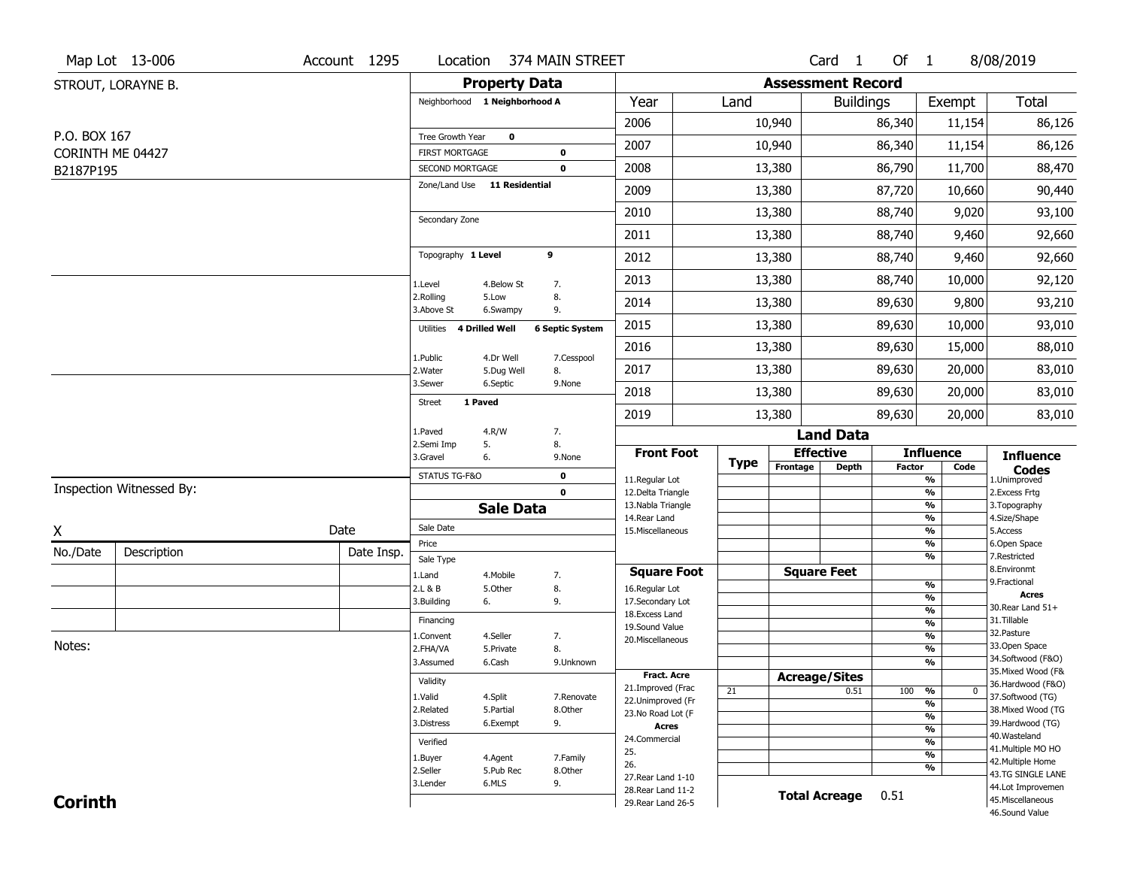|                               | Map Lot 13-006           | Account 1295 | Location                                 | 374 MAIN STREET                        |                                          |             |                              | Card <sub>1</sub>    | Of 1          |                                           | 8/08/2019                                                   |
|-------------------------------|--------------------------|--------------|------------------------------------------|----------------------------------------|------------------------------------------|-------------|------------------------------|----------------------|---------------|-------------------------------------------|-------------------------------------------------------------|
|                               | STROUT, LORAYNE B.       |              |                                          | <b>Property Data</b>                   |                                          |             | <b>Assessment Record</b>     |                      |               |                                           |                                                             |
|                               |                          |              | Neighborhood 1 Neighborhood A            |                                        | Year                                     | Land        |                              | <b>Buildings</b>     |               | Exempt                                    | Total                                                       |
|                               |                          |              |                                          |                                        | 2006                                     |             | 10,940                       |                      | 86,340        | 11,154                                    | 86,126                                                      |
| P.O. BOX 167                  |                          |              | Tree Growth Year                         | 0                                      | 2007                                     |             | 10,940                       |                      | 86,340        | 11,154                                    | 86,126                                                      |
| CORINTH ME 04427<br>B2187P195 |                          |              | <b>FIRST MORTGAGE</b><br>SECOND MORTGAGE | 0<br>$\mathbf 0$                       | 2008                                     |             | 13,380                       |                      | 86,790        | 11,700                                    | 88,470                                                      |
|                               |                          |              | Zone/Land Use 11 Residential             |                                        | 2009                                     |             | 13,380                       |                      | 87,720        | 10,660                                    | 90,440                                                      |
|                               |                          |              |                                          |                                        | 2010                                     |             | 13,380                       |                      | 88,740        | 9,020                                     | 93,100                                                      |
|                               |                          |              | Secondary Zone                           |                                        | 2011                                     |             | 13,380                       |                      | 88,740        | 9,460                                     | 92,660                                                      |
|                               |                          |              | Topography 1 Level                       | 9                                      |                                          |             |                              |                      |               |                                           |                                                             |
|                               |                          |              |                                          |                                        | 2012                                     |             | 13,380                       |                      | 88,740        | 9,460                                     | 92,660                                                      |
|                               |                          |              | 1.Level<br>2.Rolling                     | 4.Below St<br>7.<br>5.Low<br>8.        | 2013                                     |             | 13,380                       |                      | 88,740        | 10,000                                    | 92,120                                                      |
|                               |                          |              | 3.Above St                               | 6.Swampy<br>9.                         | 2014                                     |             | 13,380                       |                      | 89,630        | 9,800                                     | 93,210                                                      |
|                               |                          |              | 4 Drilled Well<br>Utilities              | <b>6 Septic System</b>                 | 2015                                     |             | 13,380                       |                      | 89,630        | 10,000                                    | 93,010                                                      |
|                               |                          |              | 1.Public                                 | 4.Dr Well<br>7.Cesspool                | 2016                                     |             | 13,380                       |                      | 89,630        | 15,000                                    | 88,010                                                      |
|                               |                          |              | 2. Water<br>3.Sewer                      | 5.Dug Well<br>8.<br>6.Septic<br>9.None | 2017                                     |             | 13,380                       |                      | 89,630        | 20,000                                    | 83,010                                                      |
|                               |                          |              | 1 Paved<br><b>Street</b>                 |                                        | 2018                                     |             | 13,380                       |                      | 89,630        | 20,000                                    | 83,010                                                      |
|                               |                          |              |                                          |                                        | 2019                                     |             | 13,380                       |                      | 89,630        | 20,000                                    | 83,010                                                      |
|                               |                          |              | 1.Paved<br>2.Semi Imp<br>5.              | 4.R/W<br>7.<br>8.                      |                                          |             |                              | <b>Land Data</b>     |               |                                           |                                                             |
|                               |                          |              | 3.Gravel<br>6.                           | 9.None                                 | <b>Front Foot</b>                        | <b>Type</b> | <b>Effective</b><br>Frontage | <b>Depth</b>         | <b>Factor</b> | <b>Influence</b><br>Code                  | <b>Influence</b>                                            |
|                               |                          |              | STATUS TG-F&O                            | 0                                      | 11.Regular Lot                           |             |                              |                      |               | $\overline{\frac{9}{6}}$                  | $\mathop{{\textbf{Codes}}}\limits_{\text{1.Uniformproved}}$ |
|                               | Inspection Witnessed By: |              |                                          | $\mathbf 0$                            |                                          |             |                              |                      |               | $\frac{9}{6}$                             | 2.Excess Frtg                                               |
|                               |                          |              |                                          |                                        | 12.Delta Triangle                        |             |                              |                      |               |                                           |                                                             |
|                               |                          |              |                                          | <b>Sale Data</b>                       | 13. Nabla Triangle<br>14. Rear Land      |             |                              |                      |               | $\frac{9}{6}$<br>$\frac{9}{6}$            | 3. Topography<br>4.Size/Shape                               |
| X                             |                          | Date         | Sale Date                                |                                        | 15. Miscellaneous                        |             |                              |                      |               | $\overline{\frac{9}{6}}$                  | 5.Access                                                    |
| No./Date                      | Description              | Date Insp.   | Price                                    |                                        |                                          |             |                              |                      |               | $\frac{9}{6}$<br>$\overline{\frac{9}{6}}$ | 6.Open Space<br>7.Restricted                                |
|                               |                          |              | Sale Type<br>1.Land                      | 7.<br>4. Mobile                        | <b>Square Foot</b>                       |             |                              | <b>Square Feet</b>   |               |                                           | 8.Environmt                                                 |
|                               |                          |              | 2.L & B                                  | 8.<br>5.Other                          | 16.Regular Lot                           |             |                              |                      |               | $\frac{9}{6}$                             | 9. Fractional                                               |
|                               |                          |              | 3.Building<br>6.                         | 9.                                     | 17.Secondary Lot                         |             |                              |                      |               | %                                         | <b>Acres</b><br>30. Rear Land 51+                           |
|                               |                          |              | Financing                                |                                        | 18. Excess Land                          |             |                              |                      |               | $\frac{9}{6}$<br>$\frac{9}{6}$            | 31.Tillable                                                 |
|                               |                          |              | 1.Convent                                | 4.Seller<br>7.                         | 19.Sound Value<br>20.Miscellaneous       |             |                              |                      |               | $\frac{9}{6}$                             | 32.Pasture                                                  |
| Notes:                        |                          |              | 2.FHA/VA                                 | 5.Private<br>8.                        |                                          |             |                              |                      |               | $\frac{9}{6}$                             | 33.Open Space                                               |
|                               |                          |              | 3.Assumed                                | 6.Cash<br>9.Unknown                    |                                          |             |                              |                      |               | %                                         | 34.Softwood (F&O)<br>35. Mixed Wood (F&                     |
|                               |                          |              | Validity                                 |                                        | <b>Fract. Acre</b>                       |             | <b>Acreage/Sites</b>         |                      |               |                                           | 36.Hardwood (F&O)                                           |
|                               |                          |              | 1.Valid                                  | 4.Split<br>7.Renovate                  | 21.Improved (Frac<br>22.Unimproved (Fr   | 21          |                              | 0.51                 | 100           | %<br>$\bf{0}$<br>%                        | 37.Softwood (TG)                                            |
|                               |                          |              | 2.Related                                | 5.Partial<br>8.Other                   | 23.No Road Lot (F                        |             |                              |                      |               | %                                         | 38. Mixed Wood (TG                                          |
|                               |                          |              | 3.Distress                               | 9.<br>6.Exempt                         | <b>Acres</b>                             |             |                              |                      |               | $\frac{9}{6}$                             | 39.Hardwood (TG)                                            |
|                               |                          |              | Verified                                 |                                        | 24.Commercial                            |             |                              |                      |               | $\frac{9}{6}$                             | 40. Wasteland<br>41. Multiple MO HO                         |
|                               |                          |              | 1.Buyer                                  | 4.Agent<br>7.Family                    | 25.<br>26.                               |             |                              |                      |               | $\overline{\frac{9}{6}}$                  | 42. Multiple Home                                           |
|                               |                          |              | 2.Seller                                 | 5.Pub Rec<br>8.Other                   | 27. Rear Land 1-10                       |             |                              |                      |               | %                                         | 43.TG SINGLE LANE                                           |
| <b>Corinth</b>                |                          |              | 3.Lender                                 | 9.<br>6.MLS                            | 28. Rear Land 11-2<br>29. Rear Land 26-5 |             |                              | <b>Total Acreage</b> | 0.51          |                                           | 44.Lot Improvemen<br>45. Miscellaneous                      |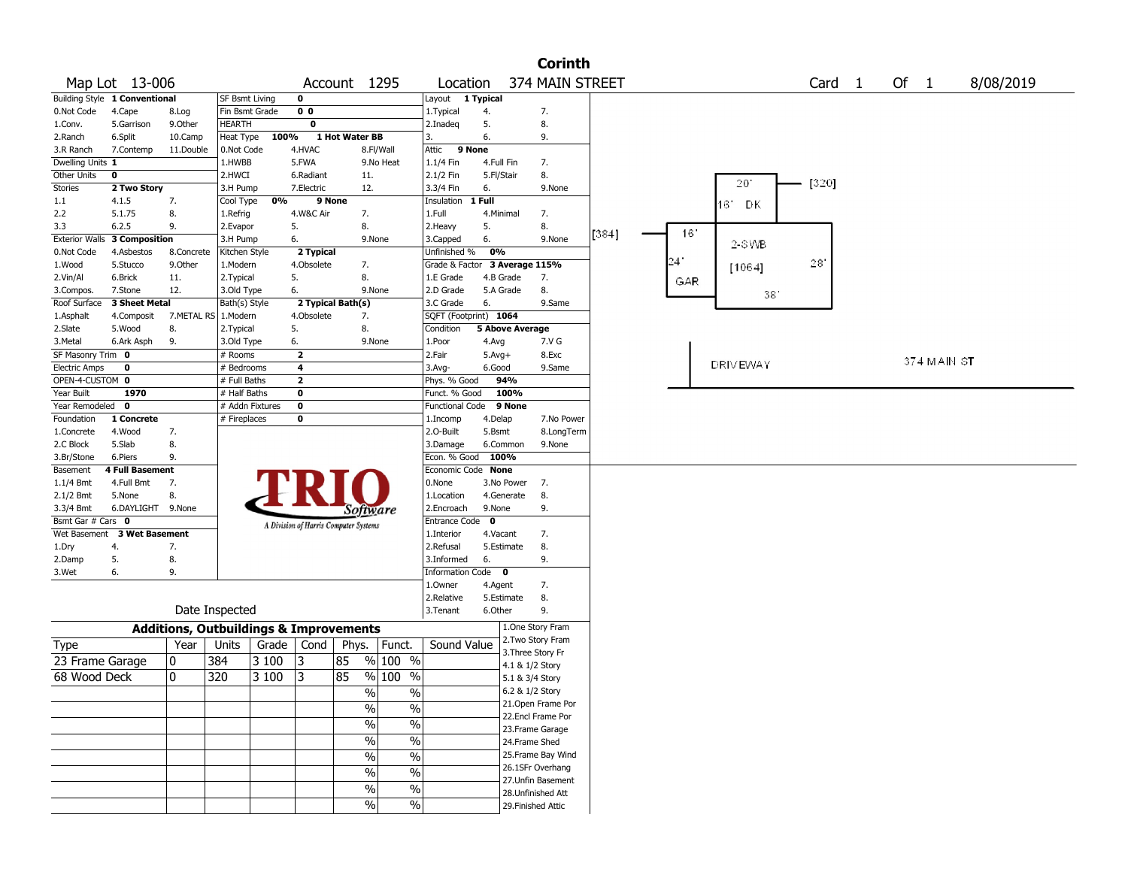|                       |                               |                                                   |                       |                 |                         |                                       |                          |                        |                        | <b>Corinth</b>     |       |     |                 |                   |        |             |           |
|-----------------------|-------------------------------|---------------------------------------------------|-----------------------|-----------------|-------------------------|---------------------------------------|--------------------------|------------------------|------------------------|--------------------|-------|-----|-----------------|-------------------|--------|-------------|-----------|
|                       | Map Lot 13-006                |                                                   |                       |                 |                         | Account 1295                          |                          | Location               |                        | 374 MAIN STREET    |       |     |                 | Card <sub>1</sub> | Of $1$ |             | 8/08/2019 |
|                       | Building Style 1 Conventional |                                                   | <b>SF Bsmt Living</b> |                 | 0                       |                                       |                          | Layout 1 Typical       |                        |                    |       |     |                 |                   |        |             |           |
| 0.Not Code            | 4.Cape                        | 8.Log                                             | Fin Bsmt Grade        |                 | 0 <sub>0</sub>          |                                       |                          | 1. Typical             | 4.                     | 7.                 |       |     |                 |                   |        |             |           |
| 1.Conv.               | 5.Garrison                    | 9.Other                                           | <b>HEARTH</b>         |                 | 0                       |                                       |                          | 2.Inadeq               | 5.                     | 8.                 |       |     |                 |                   |        |             |           |
| 2.Ranch               | 6.Split                       | 10.Camp                                           | Heat Type             | 100%            |                         | 1 Hot Water BB                        |                          | 3.                     | 6.                     | 9.                 |       |     |                 |                   |        |             |           |
| 3.R Ranch             | 7.Contemp                     | 11.Double                                         | 0.Not Code            |                 | 4.HVAC                  |                                       | 8.Fl/Wall                | 9 None<br>Attic        |                        |                    |       |     |                 |                   |        |             |           |
| Dwelling Units 1      |                               |                                                   | 1.HWBB                |                 | 5.FWA                   |                                       | 9.No Heat                | 1.1/4 Fin              | 4.Full Fin             | 7.                 |       |     |                 |                   |        |             |           |
| Other Units           | $\mathbf 0$                   |                                                   | 2.HWCI                |                 | 6.Radiant               | 11.                                   |                          | 2.1/2 Fin              | 5.Fl/Stair             | 8.                 |       |     |                 |                   |        |             |           |
| <b>Stories</b>        | 2 Two Story                   |                                                   | 3.H Pump              |                 | 7.Electric              | 12.                                   |                          | 3.3/4 Fin              | 6.                     | 9.None             |       |     | 20'             | [320]             |        |             |           |
| 1.1                   | 4.1.5                         | 7.                                                | Cool Type             | 0%              |                         | 9 None                                |                          | Insulation             | 1 Full                 |                    |       |     |                 |                   |        |             |           |
| 2.2                   | 5.1.75                        | 8.                                                | 1.Refrig              |                 | 4.W&C Air               | 7.                                    |                          | 1.Full                 | 4.Minimal              | 7.                 |       |     | 16' DK          |                   |        |             |           |
| 3.3                   | 6.2.5                         | 9.                                                | 2.Evapor              |                 | 5.                      | 8.                                    |                          | 2.Heavy                | 5.                     | 8.                 |       |     |                 |                   |        |             |           |
| <b>Exterior Walls</b> | 3 Composition                 |                                                   | 3.H Pump              |                 | 6.                      |                                       | 9.None                   | 3.Capped               | 6.                     | 9.None             | [384] | 16' |                 |                   |        |             |           |
| 0.Not Code            | 4.Asbestos                    | 8.Concrete                                        | Kitchen Style         |                 |                         |                                       |                          | Unfinished %           | 0%                     |                    |       |     | 2-SWB           |                   |        |             |           |
|                       |                               |                                                   |                       |                 | 2 Typical<br>4.Obsolete | 7.                                    |                          | Grade & Factor         |                        |                    |       | 241 |                 | 28'               |        |             |           |
| 1.Wood                | 5.Stucco                      | 9.0ther                                           | 1.Modern              |                 |                         |                                       |                          |                        |                        | 3 Average 115%     |       |     | [1064]          |                   |        |             |           |
| 2.Vin/Al              | 6.Brick                       | 11.                                               | 2.Typical             |                 | 5.                      | 8.                                    |                          | 1.E Grade              | 4.B Grade              | 7.                 |       | GAR |                 |                   |        |             |           |
| 3.Compos.             | 7.Stone                       | 12.                                               | 3.Old Type            |                 | 6.                      |                                       | 9.None                   | 2.D Grade              | 5.A Grade              | 8.                 |       |     | 38'             |                   |        |             |           |
| Roof Surface          | 3 Sheet Metal                 |                                                   | Bath(s) Style         |                 |                         | 2 Typical Bath(s)                     |                          | 3.C Grade              | 6.                     | 9.Same             |       |     |                 |                   |        |             |           |
| 1.Asphalt             | 4.Composit                    | 7.METAL RS                                        | 1.Modern              |                 | 4.Obsolete              | 7.                                    |                          | SQFT (Footprint) 1064  |                        |                    |       |     |                 |                   |        |             |           |
| 2.Slate               | 5.Wood                        | 8.                                                | 2.Typical             |                 | 5.                      | 8.                                    |                          | Condition              | <b>5 Above Average</b> |                    |       |     |                 |                   |        |             |           |
| 3.Metal               | 6.Ark Asph                    | 9.                                                | 3.Old Type            |                 | 6.                      |                                       | 9.None                   | 1.Poor                 | 4.Avg                  | 7.V G              |       |     |                 |                   |        |             |           |
| SF Masonry Trim 0     |                               |                                                   | # Rooms               |                 | $\overline{2}$          |                                       |                          | 2.Fair                 | $5.Avg+$               | 8.Exc              |       |     | <b>DRIVEWAY</b> |                   |        | 374 MAIN ST |           |
| <b>Electric Amps</b>  | 0                             |                                                   | # Bedrooms            |                 | 4                       |                                       |                          | 3.Avg-                 | 6.Good                 | 9.Same             |       |     |                 |                   |        |             |           |
| OPEN-4-CUSTOM 0       |                               |                                                   | # Full Baths          |                 | $\overline{2}$          |                                       |                          | Phys. % Good           | 94%                    |                    |       |     |                 |                   |        |             |           |
| Year Built            | 1970                          |                                                   | # Half Baths          |                 | 0                       |                                       |                          | Funct. % Good          | 100%                   |                    |       |     |                 |                   |        |             |           |
| Year Remodeled        | $\mathbf 0$                   |                                                   |                       | # Addn Fixtures | 0                       |                                       |                          | <b>Functional Code</b> | 9 None                 |                    |       |     |                 |                   |        |             |           |
| Foundation            | 1 Concrete                    |                                                   | # Fireplaces          |                 | 0                       |                                       |                          | 1.Incomp               | 4.Delap                | 7.No Power         |       |     |                 |                   |        |             |           |
| 1.Concrete            | 4.Wood                        | 7.                                                |                       |                 |                         |                                       |                          | 2.O-Built              | 5.Bsmt                 | 8.LongTerm         |       |     |                 |                   |        |             |           |
| 2.C Block             | 5.Slab                        | 8.                                                |                       |                 |                         |                                       |                          | 3.Damage               | 6.Common               | 9.None             |       |     |                 |                   |        |             |           |
| 3.Br/Stone            | 6.Piers                       | 9.                                                |                       |                 |                         |                                       |                          | Econ. % Good           | 100%                   |                    |       |     |                 |                   |        |             |           |
| Basement              | 4 Full Basement               |                                                   |                       |                 |                         |                                       |                          | Economic Code None     |                        |                    |       |     |                 |                   |        |             |           |
| $1.1/4$ Bmt           | 4.Full Bmt                    | 7.                                                |                       |                 |                         |                                       |                          | 0.None                 | 3.No Power             | 7.                 |       |     |                 |                   |        |             |           |
| 2.1/2 Bmt             | 5.None                        | 8.                                                |                       |                 |                         |                                       |                          | 1.Location             | 4.Generate             | 8.                 |       |     |                 |                   |        |             |           |
| 3.3/4 Bmt             | 6.DAYLIGHT 9.None             |                                                   |                       |                 |                         | Software                              |                          | 2.Encroach             | 9.None                 | 9.                 |       |     |                 |                   |        |             |           |
| Bsmt Gar # Cars 0     |                               |                                                   |                       |                 |                         | A Division of Harris Computer Systems |                          | <b>Entrance Code</b>   | $\mathbf 0$            |                    |       |     |                 |                   |        |             |           |
| Wet Basement          | <b>3 Wet Basement</b>         |                                                   |                       |                 |                         |                                       |                          | 1.Interior             | 4.Vacant               | 7.                 |       |     |                 |                   |        |             |           |
| 1.Dry                 | 4.                            | 7.                                                |                       |                 |                         |                                       |                          | 2.Refusal              | 5.Estimate             | 8.                 |       |     |                 |                   |        |             |           |
| 2.Damp                | 5.                            | 8.                                                |                       |                 |                         |                                       |                          | 3.Informed             | 6.                     | 9.                 |       |     |                 |                   |        |             |           |
| 3.Wet                 | 6.                            | 9.                                                |                       |                 |                         |                                       |                          | Information Code 0     |                        |                    |       |     |                 |                   |        |             |           |
|                       |                               |                                                   |                       |                 |                         |                                       |                          | 1.Owner                | 4.Agent                | 7.                 |       |     |                 |                   |        |             |           |
|                       |                               |                                                   |                       |                 |                         |                                       |                          | 2.Relative             | 5.Estimate             | 8.                 |       |     |                 |                   |        |             |           |
|                       |                               |                                                   | Date Inspected        |                 |                         |                                       |                          | 3. Tenant              | 6.Other                | 9.                 |       |     |                 |                   |        |             |           |
|                       |                               |                                                   |                       |                 |                         |                                       |                          |                        |                        | 1.One Story Fram   |       |     |                 |                   |        |             |           |
|                       |                               | <b>Additions, Outbuildings &amp; Improvements</b> |                       |                 |                         |                                       |                          |                        |                        | 2. Two Story Fram  |       |     |                 |                   |        |             |           |
| Type                  |                               | Year                                              | Units                 |                 | Grade   Cond            | Phys.                                 | Funct.                   | Sound Value            |                        | 3. Three Story Fr  |       |     |                 |                   |        |             |           |
| 23 Frame Garage       |                               | 10                                                | 384                   | 3 100           | 13                      | 85                                    | % 100 %                  |                        |                        | 4.1 & 1/2 Story    |       |     |                 |                   |        |             |           |
| 68 Wood Deck          |                               | 0                                                 | 320                   | 3 100           | 13                      | 85                                    | % 100<br>$\%$            |                        |                        | 5.1 & 3/4 Story    |       |     |                 |                   |        |             |           |
|                       |                               |                                                   |                       |                 |                         |                                       |                          |                        |                        | 6.2 & 1/2 Story    |       |     |                 |                   |        |             |           |
|                       |                               |                                                   |                       |                 |                         | $\%$                                  | $\%$                     |                        |                        | 21.Open Frame Por  |       |     |                 |                   |        |             |           |
|                       |                               |                                                   |                       |                 |                         | $\%$                                  | $\%$                     |                        |                        | 22.Encl Frame Por  |       |     |                 |                   |        |             |           |
|                       |                               |                                                   |                       |                 |                         | $\%$                                  | $\%$                     |                        |                        |                    |       |     |                 |                   |        |             |           |
|                       |                               |                                                   |                       |                 |                         | %                                     | $\overline{\frac{0}{6}}$ |                        |                        | 23.Frame Garage    |       |     |                 |                   |        |             |           |
|                       |                               |                                                   |                       |                 |                         |                                       |                          |                        |                        | 24.Frame Shed      |       |     |                 |                   |        |             |           |
|                       |                               |                                                   |                       |                 |                         | %                                     | $\overline{\frac{0}{6}}$ |                        |                        | 25. Frame Bay Wind |       |     |                 |                   |        |             |           |
|                       |                               |                                                   |                       |                 |                         | %                                     | $\%$                     |                        |                        | 26.1SFr Overhang   |       |     |                 |                   |        |             |           |
|                       |                               |                                                   |                       |                 |                         | %                                     | $\%$                     |                        |                        | 27.Unfin Basement  |       |     |                 |                   |        |             |           |
|                       |                               |                                                   |                       |                 |                         |                                       |                          |                        |                        | 28. Unfinished Att |       |     |                 |                   |        |             |           |
|                       |                               |                                                   |                       |                 |                         | $\%$                                  | $\%$                     |                        |                        | 29. Finished Attic |       |     |                 |                   |        |             |           |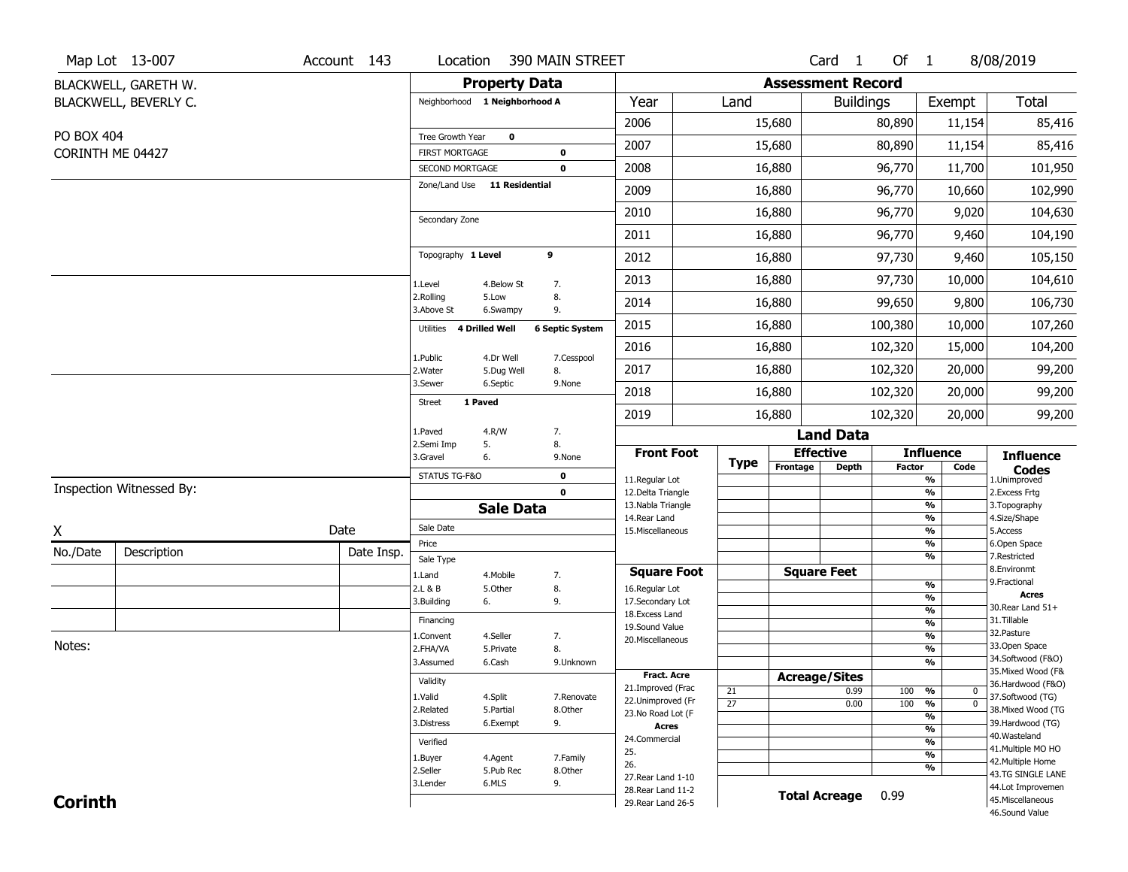|                  | Map Lot 13-007           | Account 143 | Location                                 |                      | 390 MAIN STREET            |                                         |                       |                              | Card <sub>1</sub>    | Of 1          |                                           | 8/08/2019                           |
|------------------|--------------------------|-------------|------------------------------------------|----------------------|----------------------------|-----------------------------------------|-----------------------|------------------------------|----------------------|---------------|-------------------------------------------|-------------------------------------|
|                  | BLACKWELL, GARETH W.     |             |                                          | <b>Property Data</b> |                            |                                         |                       | <b>Assessment Record</b>     |                      |               |                                           |                                     |
|                  | BLACKWELL, BEVERLY C.    |             | Neighborhood 1 Neighborhood A            |                      |                            | Year                                    | Land                  |                              | <b>Buildings</b>     |               | Exempt                                    | <b>Total</b>                        |
|                  |                          |             |                                          |                      |                            | 2006                                    |                       | 15,680                       |                      | 80,890        | 11,154                                    | 85,416                              |
| PO BOX 404       |                          |             | Tree Growth Year                         | $\mathbf 0$          |                            | 2007                                    |                       | 15,680                       |                      | 80,890        | 11,154                                    | 85,416                              |
| CORINTH ME 04427 |                          |             | <b>FIRST MORTGAGE</b><br>SECOND MORTGAGE |                      | $\mathbf 0$<br>$\mathbf 0$ | 2008                                    |                       | 16,880                       |                      | 96,770        | 11,700                                    | 101,950                             |
|                  |                          |             | Zone/Land Use 11 Residential             |                      |                            | 2009                                    |                       | 16,880                       |                      | 96,770        | 10,660                                    | 102,990                             |
|                  |                          |             |                                          |                      |                            | 2010                                    |                       | 16,880                       |                      | 96,770        | 9,020                                     | 104,630                             |
|                  |                          |             | Secondary Zone                           |                      |                            | 2011                                    |                       | 16,880                       |                      | 96,770        | 9,460                                     |                                     |
|                  |                          |             | Topography 1 Level                       |                      | 9                          |                                         |                       |                              |                      |               |                                           | 104,190                             |
|                  |                          |             |                                          |                      |                            | 2012                                    |                       | 16,880                       |                      | 97,730        | 9,460                                     | 105,150                             |
|                  |                          |             | 1.Level<br>2.Rolling                     | 4.Below St<br>5.Low  | 7.<br>8.                   | 2013                                    |                       | 16,880                       |                      | 97,730        | 10,000                                    | 104,610                             |
|                  |                          |             | 3.Above St                               | 6.Swampy             | 9.                         | 2014                                    |                       | 16,880                       |                      | 99,650        | 9,800                                     | 106,730                             |
|                  |                          |             | <b>4 Drilled Well</b><br>Utilities       |                      | <b>6 Septic System</b>     | 2015                                    |                       | 16,880                       |                      | 100,380       | 10,000                                    | 107,260                             |
|                  |                          |             | 1.Public                                 | 4.Dr Well            | 7.Cesspool                 | 2016                                    |                       | 16,880                       |                      | 102,320       | 15,000                                    | 104,200                             |
|                  |                          |             | 2.Water                                  | 5.Dug Well           | 8.                         | 2017                                    |                       | 16,880                       |                      | 102,320       | 20,000                                    | 99,200                              |
|                  |                          |             | 3.Sewer<br>1 Paved<br><b>Street</b>      | 6.Septic             | 9.None                     | 2018                                    |                       | 16,880                       |                      | 102,320       | 20,000                                    | 99,200                              |
|                  |                          |             |                                          |                      |                            | 2019                                    |                       | 16,880                       |                      | 102,320       | 20,000                                    | 99,200                              |
|                  |                          |             | 1.Paved<br>2.Semi Imp<br>5.              | 4.R/W                | 7.<br>8.                   |                                         |                       |                              | <b>Land Data</b>     |               |                                           |                                     |
|                  |                          |             | 3.Gravel<br>6.                           |                      | 9.None                     | <b>Front Foot</b>                       | <b>Type</b>           | <b>Effective</b><br>Frontage |                      |               | <b>Influence</b>                          | <b>Influence</b>                    |
|                  |                          |             | STATUS TG-F&O                            |                      | $\bf{0}$                   | 11.Regular Lot                          |                       |                              | <b>Depth</b>         | <b>Factor</b> | Code<br>$\frac{9}{6}$                     | <b>Codes</b><br>1.Unimproved        |
|                  | Inspection Witnessed By: |             |                                          |                      | $\mathbf 0$                | 12.Delta Triangle<br>13. Nabla Triangle |                       |                              |                      |               | $\overline{\frac{9}{6}}$<br>$\frac{9}{6}$ | 2. Excess Frtg<br>3. Topography     |
|                  |                          |             |                                          | <b>Sale Data</b>     |                            | 14. Rear Land                           |                       |                              |                      |               | $\frac{9}{6}$                             | 4.Size/Shape                        |
| X                |                          | Date        | Sale Date                                |                      |                            | 15. Miscellaneous                       |                       |                              |                      |               | $\frac{9}{6}$                             | 5.Access                            |
| No./Date         | Description              | Date Insp.  | Price<br>Sale Type                       |                      |                            |                                         |                       |                              |                      |               | %<br>%                                    | 6.Open Space<br>7.Restricted        |
|                  |                          |             | 1.Land                                   | 4. Mobile            | 7.                         | <b>Square Foot</b>                      |                       | <b>Square Feet</b>           |                      |               |                                           | 8.Environmt                         |
|                  |                          |             | 2.L & B                                  | 5.Other              | 8.                         | 16.Regular Lot                          |                       |                              |                      |               | %                                         | 9. Fractional<br><b>Acres</b>       |
|                  |                          |             | 3.Building<br>6.                         |                      | 9.                         | 17.Secondary Lot                        |                       |                              |                      |               | %<br>$\frac{9}{6}$                        | 30. Rear Land 51+                   |
|                  |                          |             | Financing                                |                      |                            | 18.Excess Land<br>19.Sound Value        |                       |                              |                      |               | $\overline{\frac{9}{6}}$                  | 31.Tillable                         |
|                  |                          |             | 1.Convent                                | 4.Seller             | 7.                         | 20.Miscellaneous                        |                       |                              |                      |               | $\frac{9}{6}$                             | 32. Pasture                         |
| Notes:           |                          |             | 2.FHA/VA                                 | 5.Private            | 8.                         |                                         |                       |                              |                      |               | $\overline{\frac{9}{6}}$                  | 33.Open Space<br>34.Softwood (F&O)  |
|                  |                          |             | 3.Assumed                                | 6.Cash               | 9.Unknown                  | <b>Fract, Acre</b>                      |                       |                              |                      |               | $\overline{\frac{9}{6}}$                  | 35. Mixed Wood (F&                  |
|                  |                          |             | Validity                                 |                      |                            | 21.Improved (Frac                       |                       | <b>Acreage/Sites</b>         |                      |               |                                           | 36.Hardwood (F&O)                   |
|                  |                          |             | 1.Valid                                  | 4.Split              | 7.Renovate                 | 22.Unimproved (Fr                       | 21<br>$\overline{27}$ |                              | 0.99<br>0.00         | 100<br>100    | %<br>0<br>$\overline{0}$<br>$\frac{9}{6}$ | 37.Softwood (TG)                    |
|                  |                          |             | 2.Related                                | 5.Partial            | 8.Other                    | 23.No Road Lot (F                       |                       |                              |                      |               | $\overline{\frac{9}{6}}$                  | 38. Mixed Wood (TG                  |
|                  |                          |             | 3.Distress                               | 6.Exempt             | 9.                         | <b>Acres</b>                            |                       |                              |                      |               | $\overline{\frac{9}{6}}$                  | 39.Hardwood (TG)                    |
|                  |                          |             | Verified                                 |                      |                            | 24.Commercial                           |                       |                              |                      |               | $\overline{\frac{9}{6}}$                  | 40. Wasteland<br>41. Multiple MO HO |
|                  |                          |             | 1.Buyer                                  | 4.Agent              | 7.Family                   | 25.                                     |                       |                              |                      |               | $\overline{\frac{9}{6}}$                  | 42. Multiple Home                   |
|                  |                          |             | 2.Seller                                 | 5.Pub Rec            | 8.Other                    | 26.<br>27. Rear Land 1-10               |                       |                              |                      |               | $\frac{9}{6}$                             | 43.TG SINGLE LANE                   |
|                  |                          |             | 3.Lender                                 | 6.MLS                | 9.                         |                                         |                       |                              |                      |               |                                           | 44.Lot Improvemen                   |
|                  |                          |             |                                          |                      |                            | 28. Rear Land 11-2                      |                       |                              |                      |               |                                           |                                     |
| <b>Corinth</b>   |                          |             |                                          |                      |                            | 29. Rear Land 26-5                      |                       |                              | <b>Total Acreage</b> | 0.99          |                                           | 45. Miscellaneous<br>46.Sound Value |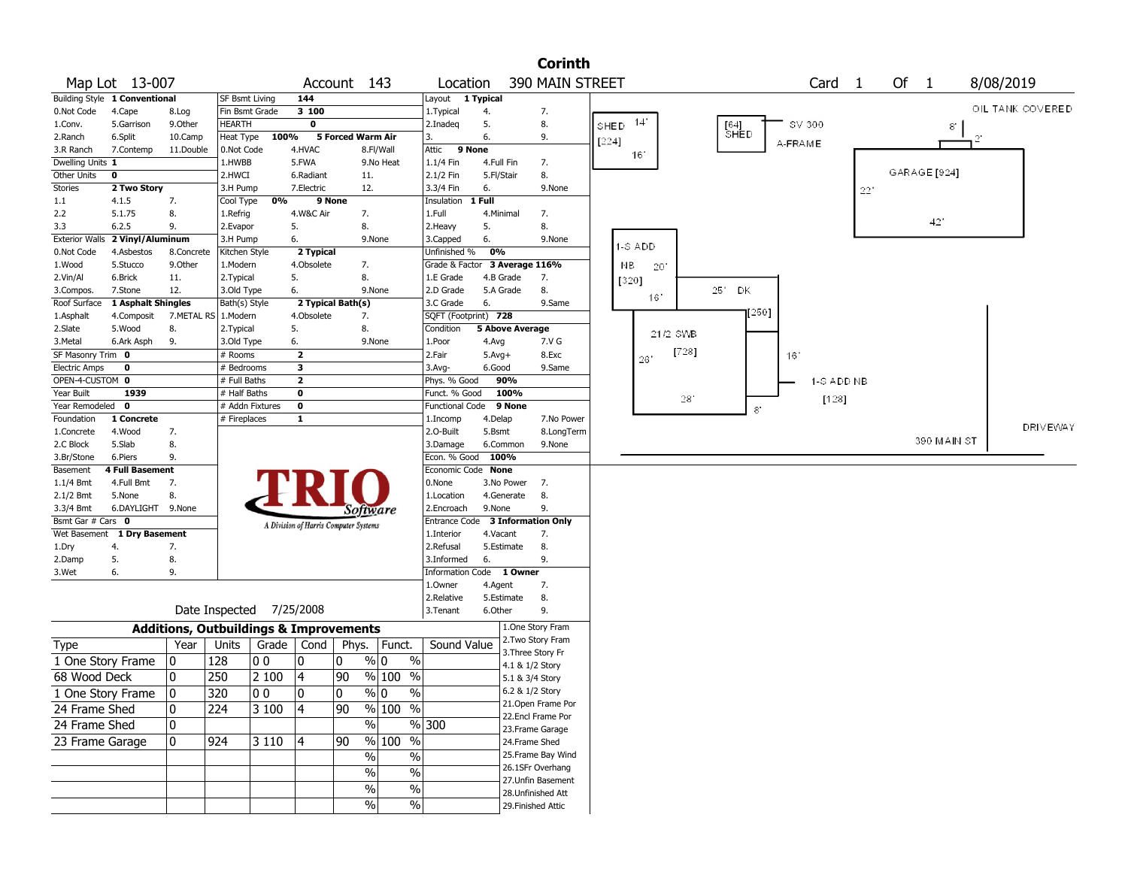|                                |                               |                                                   |                                 |                |                                       |        |                   |                                    |            |                        | <b>Corinth</b>     |       |                 |          |                           |                |                   |     |      |              |                  |                 |
|--------------------------------|-------------------------------|---------------------------------------------------|---------------------------------|----------------|---------------------------------------|--------|-------------------|------------------------------------|------------|------------------------|--------------------|-------|-----------------|----------|---------------------------|----------------|-------------------|-----|------|--------------|------------------|-----------------|
|                                | Map Lot 13-007                |                                                   |                                 |                |                                       |        | Account 143       | Location                           |            |                        | 390 MAIN STREET    |       |                 |          |                           |                | Card <sub>1</sub> |     | Of 1 |              | 8/08/2019        |                 |
|                                | Building Style 1 Conventional |                                                   | SF Bsmt Living                  |                | 144                                   |        |                   | Layout 1 Typical                   |            |                        |                    |       |                 |          |                           |                |                   |     |      |              |                  |                 |
| 0.Not Code                     | 4.Cape                        | 8.Log                                             | Fin Bsmt Grade                  |                | 3 100                                 |        |                   | 1.Typical                          | 4.         |                        | 7.                 |       |                 |          |                           |                |                   |     |      |              | OIL TANK COVERED |                 |
| 1.Conv.                        | 5.Garrison                    | 9.Other                                           | HEARTH                          |                | 0                                     |        |                   | 2.Inadeg                           | 5.         |                        | 8.                 | SHED  | $14^{\circ}$    |          |                           |                | SV 300            |     |      | 8            |                  |                 |
| 2.Ranch                        | 6.Split                       | 10.Camp                                           | Heat Type                       | 100%           |                                       |        | 5 Forced Warm Air | 3.                                 | 6.         |                        | 9.                 | [224] |                 |          | $^{[64]}_{\mathsf{SHED}}$ |                |                   |     |      |              | $\gamma$         |                 |
| 3.R Ranch                      | 7.Contemp                     | 11.Double                                         | 0.Not Code                      |                | 4.HVAC                                |        | 8.Fl/Wall         | 9 None<br>Attic                    |            |                        |                    |       | 16 <sup>°</sup> |          |                           |                | A-FRAME           |     |      |              |                  |                 |
| Dwelling Units 1               |                               |                                                   | 1.HWBB                          |                | 5.FWA                                 |        | 9.No Heat         | 1.1/4 Fin                          | 4.Full Fin |                        | 7.                 |       |                 |          |                           |                |                   |     |      |              |                  |                 |
| Other Units                    | $\mathbf 0$                   |                                                   | 2.HWCI                          |                | 6.Radiant                             |        | 11.               | 2.1/2 Fin                          | 5.Fl/Stair |                        | 8.                 |       |                 |          |                           |                |                   |     |      | GARAGE [924] |                  |                 |
| Stories                        | 2 Two Story                   |                                                   | 3.H Pump                        |                | 7.Electric                            |        | 12.               | 3.3/4 Fin                          | 6.         |                        | 9.None             |       |                 |          |                           |                |                   | 22" |      |              |                  |                 |
| 1.1                            | 4.1.5                         | 7.                                                | Cool Type                       | 0%             |                                       | 9 None |                   | Insulation                         | 1 Full     |                        |                    |       |                 |          |                           |                |                   |     |      |              |                  |                 |
| 2.2                            | 5.1.75                        | 8.                                                | 1.Refrig                        |                | 4.W&C Air                             |        | 7.                | 1.Full                             |            | 4.Minimal              | 7.                 |       |                 |          |                           |                |                   |     |      | 421          |                  |                 |
| 3.3                            | 6.2.5                         | 9.                                                | 2.Evapor                        |                | 5.                                    |        | 8.                | 2.Heavy                            | 5.         |                        | 8.                 |       |                 |          |                           |                |                   |     |      |              |                  |                 |
| <b>Exterior Walls</b>          | 2 Vinyl/Aluminum              |                                                   | 3.H Pump                        |                | 6.                                    |        | 9.None            | 3.Capped                           | 6.         |                        | 9.None             |       | 1-S ADD         |          |                           |                |                   |     |      |              |                  |                 |
| 0.Not Code                     | 4.Asbestos                    | 8.Concrete                                        | Kitchen Style                   |                | 2 Typical                             |        |                   | Unfinished %                       | 0%         |                        |                    |       |                 |          |                           |                |                   |     |      |              |                  |                 |
| 1.Wood                         | 5.Stucco                      | 9.Other                                           | 1.Modern                        |                | 4.Obsolete                            |        | 7.                | Grade & Factor 3 Average 116%      |            |                        |                    |       | NB.<br>20       |          |                           |                |                   |     |      |              |                  |                 |
| 2.Vin/Al                       | 6.Brick                       | 11.                                               | 2. Typical                      |                | 5.                                    |        | 8.                | 1.E Grade                          |            | 4.B Grade              | 7.                 |       | [320]           |          |                           |                |                   |     |      |              |                  |                 |
| 3.Compos.                      | 7.Stone                       | 12.                                               | 3.Old Type                      |                | 6.                                    |        | 9.None            | 2.D Grade                          |            | 5.A Grade              | 8.                 |       | 16'             |          | 251<br>DK                 |                |                   |     |      |              |                  |                 |
| Roof Surface                   | 1 Asphalt Shingles            |                                                   | Bath(s) Style                   |                | 2 Typical Bath(s)                     |        |                   | 3.C Grade                          | 6.         |                        | 9.Same             |       |                 |          |                           | [250]          |                   |     |      |              |                  |                 |
| 1.Asphalt                      | 4.Composit                    | 7.METAL RS 1.Modern                               |                                 |                | 4.Obsolete                            |        | 7.                | SQFT (Footprint) 728               |            |                        |                    |       |                 |          |                           |                |                   |     |      |              |                  |                 |
| 2.Slate                        | 5.Wood                        | 8.                                                | 2.Typical                       |                | 5.                                    |        | 8.                | Condition                          |            | <b>5 Above Average</b> |                    |       |                 | 21/2 SWB |                           |                |                   |     |      |              |                  |                 |
| 3.Metal                        | 6.Ark Asph                    | 9.                                                | 3.Old Type                      |                | 6.                                    |        | 9.None            | 1.Poor                             | 4.Avg      |                        | 7.V G              |       |                 | [728]    |                           |                |                   |     |      |              |                  |                 |
| SF Masonry Trim 0              |                               |                                                   | # Rooms                         |                | $\overline{2}$                        |        |                   | 2.Fair                             | $5.Avg+$   |                        | 8.Exc              |       | 26              |          |                           |                | 16 <sup>°</sup>   |     |      |              |                  |                 |
| <b>Electric Amps</b>           | 0                             |                                                   | # Bedrooms                      |                | 3                                     |        |                   | $3.$ Avg-                          | 6.Good     |                        | 9.Same             |       |                 |          |                           |                |                   |     |      |              |                  |                 |
| OPEN-4-CUSTOM 0                |                               |                                                   | # Full Baths                    |                | $\mathbf{2}$                          |        |                   | Phys. % Good                       |            | 90%                    |                    |       |                 |          |                           |                | 1-S ADD NB        |     |      |              |                  |                 |
| Year Built<br>Year Remodeled 0 | 1939                          |                                                   | # Half Baths<br># Addn Fixtures |                | 0<br>0                                |        |                   | Funct. % Good                      |            | 100%                   |                    |       |                 | 28'      |                           |                | [128]             |     |      |              |                  |                 |
| Foundation                     | 1 Concrete                    |                                                   | # Fireplaces                    |                | 1                                     |        |                   | <b>Functional Code</b><br>1.Incomp | 4.Delap    | 9 None                 | 7.No Power         |       |                 |          |                           | $\mathbf{S}^*$ |                   |     |      |              |                  |                 |
| 1.Concrete                     | 4.Wood                        | 7.                                                |                                 |                |                                       |        |                   | 2.0-Built                          | 5.Bsmt     |                        | 8.LongTerm         |       |                 |          |                           |                |                   |     |      |              |                  | <b>DRIVEWAY</b> |
| 2.C Block                      | 5.Slab                        | 8.                                                |                                 |                |                                       |        |                   | 3.Damage                           |            | 6.Common               | 9.None             |       |                 |          |                           |                |                   |     |      | 390 MAIN ST  |                  |                 |
| 3.Br/Stone                     | 6.Piers                       | 9.                                                |                                 |                |                                       |        |                   | Econ. % Good                       | 100%       |                        |                    |       |                 |          |                           |                |                   |     |      |              |                  |                 |
| Basement                       | 4 Full Basement               |                                                   |                                 |                |                                       |        |                   | Economic Code None                 |            |                        |                    |       |                 |          |                           |                |                   |     |      |              |                  |                 |
| 1.1/4 Bmt                      | 4.Full Bmt                    | 7.                                                |                                 |                |                                       |        |                   | 0.None                             |            | 3.No Power             | 7.                 |       |                 |          |                           |                |                   |     |      |              |                  |                 |
| $2.1/2$ Bmt                    | 5.None                        | 8.                                                |                                 |                |                                       |        |                   | 1.Location                         |            | 4.Generate             | 8.                 |       |                 |          |                           |                |                   |     |      |              |                  |                 |
| 3.3/4 Bmt                      | 6.DAYLIGHT 9.None             |                                                   |                                 |                |                                       |        | Software          | 2.Encroach                         | 9.None     |                        | 9.                 |       |                 |          |                           |                |                   |     |      |              |                  |                 |
| Bsmt Gar # Cars 0              |                               |                                                   |                                 |                |                                       |        |                   | Entrance Code 3 Information Only   |            |                        |                    |       |                 |          |                           |                |                   |     |      |              |                  |                 |
|                                | Wet Basement 1 Dry Basement   |                                                   |                                 |                | A Division of Harris Computer Systems |        |                   | 1.Interior                         | 4.Vacant   |                        | 7.                 |       |                 |          |                           |                |                   |     |      |              |                  |                 |
| 1.Dry                          | 4.                            | 7.                                                |                                 |                |                                       |        |                   | 2.Refusal                          |            | 5.Estimate             | 8.                 |       |                 |          |                           |                |                   |     |      |              |                  |                 |
| 2.Damp                         | 5.                            | 8.                                                |                                 |                |                                       |        |                   | 3.Informed                         | 6.         |                        | 9.                 |       |                 |          |                           |                |                   |     |      |              |                  |                 |
| 3.Wet                          | 6.                            | 9.                                                |                                 |                |                                       |        |                   | Information Code 1 Owner           |            |                        |                    |       |                 |          |                           |                |                   |     |      |              |                  |                 |
|                                |                               |                                                   |                                 |                |                                       |        |                   | 1.0wner                            | 4.Agent    |                        | 7.                 |       |                 |          |                           |                |                   |     |      |              |                  |                 |
|                                |                               |                                                   |                                 |                |                                       |        |                   | 2.Relative                         |            | 5.Estimate             | 8.                 |       |                 |          |                           |                |                   |     |      |              |                  |                 |
|                                |                               |                                                   | Date Inspected 7/25/2008        |                |                                       |        |                   | 3. Tenant                          | 6.Other    |                        | 9.                 |       |                 |          |                           |                |                   |     |      |              |                  |                 |
|                                |                               | <b>Additions, Outbuildings &amp; Improvements</b> |                                 |                |                                       |        |                   |                                    |            |                        | 1.One Story Fram   |       |                 |          |                           |                |                   |     |      |              |                  |                 |
|                                |                               |                                                   |                                 |                |                                       |        |                   | Sound Value                        |            |                        | 2. Two Story Fram  |       |                 |          |                           |                |                   |     |      |              |                  |                 |
| Type                           |                               | Year                                              | Units                           | Grade          | Cond                                  | Phys.  | Funct.            |                                    |            |                        | 3. Three Story Fr  |       |                 |          |                           |                |                   |     |      |              |                  |                 |
| 1 One Story Frame              |                               | 0                                                 | 128                             | 0 <sub>0</sub> | 0                                     | 0      | $\%$ 0<br>$\%$    |                                    |            |                        | 4.1 & 1/2 Story    |       |                 |          |                           |                |                   |     |      |              |                  |                 |
| 68 Wood Deck                   |                               | 0                                                 | 250                             | 2 100          | $\overline{4}$                        | 90     | % 100 %           |                                    |            |                        | 5.1 & 3/4 Story    |       |                 |          |                           |                |                   |     |      |              |                  |                 |
| 1 One Story Frame              |                               | 10                                                | 320                             | 00             | 10                                    | 10     | % 0<br>%          |                                    |            |                        | 6.2 & 1/2 Story    |       |                 |          |                           |                |                   |     |      |              |                  |                 |
| 24 Frame Shed                  |                               | 0                                                 | 224                             | 3 100          | 4                                     | 90     | % 100 %           |                                    |            |                        | 21.Open Frame Por  |       |                 |          |                           |                |                   |     |      |              |                  |                 |
|                                |                               |                                                   |                                 |                |                                       |        |                   |                                    |            |                        | 22.Encl Frame Por  |       |                 |          |                           |                |                   |     |      |              |                  |                 |
| 24 Frame Shed                  |                               | 0                                                 |                                 |                |                                       |        | $\%$              | %300                               |            |                        | 23. Frame Garage   |       |                 |          |                           |                |                   |     |      |              |                  |                 |
| 23 Frame Garage                |                               | 10                                                | 924                             | 3 1 1 0        | 4                                     | 90     | % 100 %           |                                    |            |                        | 24.Frame Shed      |       |                 |          |                           |                |                   |     |      |              |                  |                 |
|                                |                               |                                                   |                                 |                |                                       |        | %<br>$\%$         |                                    |            |                        | 25. Frame Bay Wind |       |                 |          |                           |                |                   |     |      |              |                  |                 |
|                                |                               |                                                   |                                 |                |                                       |        | $\%$<br>$\%$      |                                    |            |                        | 26.1SFr Overhang   |       |                 |          |                           |                |                   |     |      |              |                  |                 |
|                                |                               |                                                   |                                 |                |                                       |        | $\%$<br>$\%$      |                                    |            |                        | 27.Unfin Basement  |       |                 |          |                           |                |                   |     |      |              |                  |                 |
|                                |                               |                                                   |                                 |                |                                       |        |                   |                                    |            |                        | 28. Unfinished Att |       |                 |          |                           |                |                   |     |      |              |                  |                 |
|                                |                               |                                                   |                                 |                |                                       |        | $\%$<br>$\%$      |                                    |            |                        | 29. Finished Attic |       |                 |          |                           |                |                   |     |      |              |                  |                 |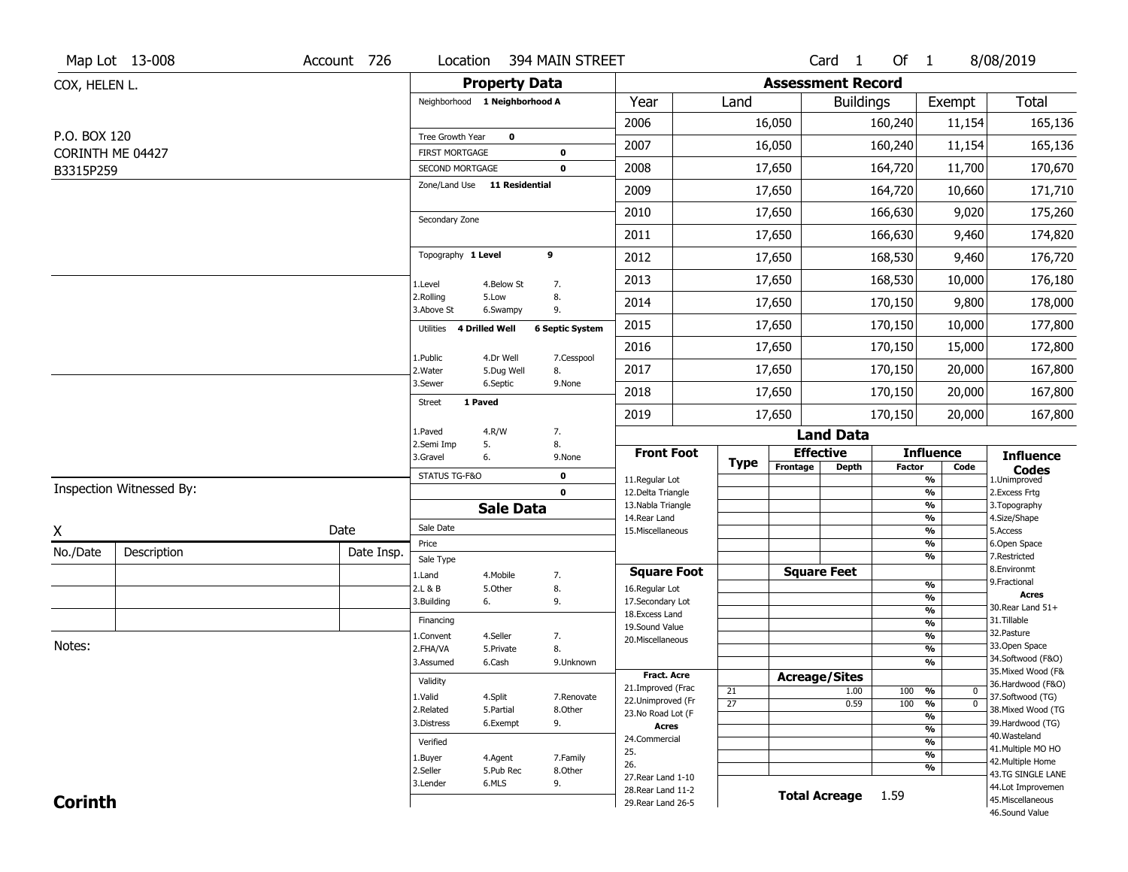|                               | Map Lot 13-008                  | Account 726 | Location                           |                        | 394 MAIN STREET            |                                          |                 |                          | Card <sub>1</sub>         | Of 1          |                                                      | 8/08/2019                              |
|-------------------------------|---------------------------------|-------------|------------------------------------|------------------------|----------------------------|------------------------------------------|-----------------|--------------------------|---------------------------|---------------|------------------------------------------------------|----------------------------------------|
| COX, HELEN L.                 |                                 |             |                                    | <b>Property Data</b>   |                            |                                          |                 | <b>Assessment Record</b> |                           |               |                                                      |                                        |
|                               |                                 |             | Neighborhood 1 Neighborhood A      |                        |                            | Year                                     | Land            |                          | <b>Buildings</b>          |               | Exempt                                               | Total                                  |
|                               |                                 |             |                                    |                        |                            | 2006                                     |                 | 16,050                   |                           | 160,240       | 11,154                                               | 165,136                                |
| P.O. BOX 120                  |                                 |             | Tree Growth Year                   | $\bf{0}$               |                            | 2007                                     |                 | 16,050                   |                           | 160,240       | 11,154                                               | 165,136                                |
| CORINTH ME 04427<br>B3315P259 |                                 |             | FIRST MORTGAGE<br>SECOND MORTGAGE  |                        | $\mathbf 0$<br>$\mathbf 0$ | 2008                                     |                 | 17,650                   |                           | 164,720       | 11,700                                               | 170,670                                |
|                               |                                 |             | Zone/Land Use 11 Residential       |                        |                            | 2009                                     |                 | 17,650                   |                           | 164,720       | 10,660                                               | 171,710                                |
|                               |                                 |             |                                    |                        |                            | 2010                                     |                 | 17,650                   |                           | 166,630       | 9,020                                                | 175,260                                |
|                               |                                 |             | Secondary Zone                     |                        |                            | 2011                                     |                 | 17,650                   |                           | 166,630       | 9,460                                                | 174,820                                |
|                               |                                 |             | Topography 1 Level                 |                        | 9                          | 2012                                     |                 | 17,650                   |                           | 168,530       | 9,460                                                | 176,720                                |
|                               |                                 |             |                                    |                        |                            |                                          |                 |                          |                           |               |                                                      |                                        |
|                               |                                 |             | 1.Level<br>2.Rolling               | 4.Below St<br>5.Low    | 7.<br>8.                   | 2013                                     |                 | 17,650                   |                           | 168,530       | 10,000                                               | 176,180                                |
|                               |                                 |             | 3.Above St                         | 6.Swampy               | 9.                         | 2014                                     |                 | 17,650                   |                           | 170,150       | 9,800                                                | 178,000                                |
|                               |                                 |             | <b>4 Drilled Well</b><br>Utilities |                        | <b>6 Septic System</b>     | 2015                                     |                 | 17,650                   |                           | 170,150       | 10,000                                               | 177,800                                |
|                               |                                 |             | 1.Public                           | 4.Dr Well              | 7.Cesspool                 | 2016                                     |                 | 17,650                   |                           | 170,150       | 15,000                                               | 172,800                                |
|                               |                                 |             | 2.Water<br>3.Sewer                 | 5.Dug Well<br>6.Septic | 8.<br>9.None               | 2017                                     |                 | 17,650                   |                           | 170,150       | 20,000                                               | 167,800                                |
|                               |                                 |             | 1 Paved<br><b>Street</b>           |                        |                            | 2018                                     |                 | 17,650                   |                           | 170,150       | 20,000                                               | 167,800                                |
|                               |                                 |             |                                    |                        |                            | 2019                                     |                 | 17,650                   |                           | 170,150       | 20,000                                               | 167,800                                |
|                               |                                 |             | 1.Paved<br>2.Semi Imp              | 4.R/W<br>5.            | 7.<br>8.                   |                                          |                 |                          | <b>Land Data</b>          |               |                                                      |                                        |
|                               |                                 |             | 3.Gravel                           | 6.                     | 9.None                     | <b>Front Foot</b>                        | Type            | Frontage                 | <b>Effective</b><br>Depth | <b>Factor</b> | <b>Influence</b><br>Code                             | <b>Influence</b>                       |
|                               | <b>Inspection Witnessed By:</b> |             | STATUS TG-F&O                      |                        | $\mathbf 0$                | 11.Regular Lot                           |                 |                          |                           |               | %                                                    | <b>Codes</b><br>1.Unimproved           |
|                               |                                 |             |                                    | <b>Sale Data</b>       | $\mathbf 0$                | 12.Delta Triangle<br>13. Nabla Triangle  |                 |                          |                           |               | $\overline{\frac{9}{6}}$<br>$\overline{\frac{9}{6}}$ | 2.Excess Frtg<br>3. Topography         |
|                               |                                 |             | Sale Date                          |                        |                            | 14. Rear Land                            |                 |                          |                           |               | $\frac{9}{6}$                                        | 4.Size/Shape                           |
| X                             |                                 | Date        | Price                              |                        |                            | 15. Miscellaneous                        |                 |                          |                           |               | $\overline{\frac{9}{6}}$<br>%                        | 5.Access<br>6.Open Space               |
| No./Date                      | Description                     | Date Insp.  | Sale Type                          |                        |                            |                                          |                 |                          |                           |               | %                                                    | 7.Restricted                           |
|                               |                                 |             | 1.Land                             | 4. Mobile              | 7.                         | <b>Square Foot</b>                       |                 |                          | <b>Square Feet</b>        |               |                                                      | 8.Environmt<br>9. Fractional           |
|                               |                                 |             | 2.L & B                            | 5.Other                | 8.                         | 16.Regular Lot                           |                 |                          |                           |               | %<br>%                                               | <b>Acres</b>                           |
|                               |                                 |             | 3.Building                         | 6.                     | 9.                         | 17.Secondary Lot<br>18.Excess Land       |                 |                          |                           |               | $\frac{9}{6}$                                        | 30. Rear Land 51+                      |
|                               |                                 |             | Financing                          |                        |                            | 19.Sound Value                           |                 |                          |                           |               | $\frac{9}{6}$                                        | 31.Tillable                            |
| Notes:                        |                                 |             | 1.Convent                          | 4.Seller               | 7.                         | 20.Miscellaneous                         |                 |                          |                           |               | $\frac{9}{6}$                                        | 32.Pasture<br>33.Open Space            |
|                               |                                 |             | 2.FHA/VA<br>3.Assumed              | 5.Private<br>6.Cash    | 8.<br>9.Unknown            |                                          |                 |                          |                           |               | $\overline{\frac{9}{6}}$<br>%                        | 34.Softwood (F&O)                      |
|                               |                                 |             |                                    |                        |                            | <b>Fract. Acre</b>                       |                 |                          | <b>Acreage/Sites</b>      |               |                                                      | 35. Mixed Wood (F&                     |
|                               |                                 |             | Validity                           |                        |                            | 21.Improved (Frac                        | 21              |                          | 1.00                      | 100           | %<br>$\bf{0}$                                        | 36.Hardwood (F&O)                      |
|                               |                                 |             | 1.Valid                            | 4.Split                | 7.Renovate                 | 22.Unimproved (Fr                        | $\overline{27}$ |                          | 0.59                      | 100           | $\overline{\mathfrak{o}}$<br>%                       | 37.Softwood (TG)                       |
|                               |                                 |             | 2.Related<br>3.Distress            | 5.Partial<br>6.Exempt  | 8.Other<br>9.              | 23.No Road Lot (F                        |                 |                          |                           |               | %                                                    | 38. Mixed Wood (TG<br>39.Hardwood (TG) |
|                               |                                 |             |                                    |                        |                            | Acres<br>24.Commercial                   |                 |                          |                           |               | $\frac{9}{6}$                                        | 40. Wasteland                          |
|                               |                                 |             | Verified                           |                        |                            | 25.                                      |                 |                          |                           |               | %                                                    | 41. Multiple MO HO                     |
|                               |                                 |             | 1.Buyer                            | 4.Agent                | 7.Family                   | 26.                                      |                 |                          |                           |               | $\overline{\frac{9}{6}}$<br>%                        | 42. Multiple Home                      |
|                               |                                 |             | 2.Seller                           | 5.Pub Rec              | 8.Other                    | 27. Rear Land 1-10                       |                 |                          |                           |               |                                                      | 43.TG SINGLE LANE                      |
|                               |                                 |             |                                    |                        |                            |                                          |                 |                          |                           |               |                                                      |                                        |
| <b>Corinth</b>                |                                 |             | 3.Lender                           | 6.MLS                  | 9.                         | 28. Rear Land 11-2<br>29. Rear Land 26-5 |                 |                          | <b>Total Acreage</b>      | 1.59          |                                                      | 44.Lot Improvemen<br>45. Miscellaneous |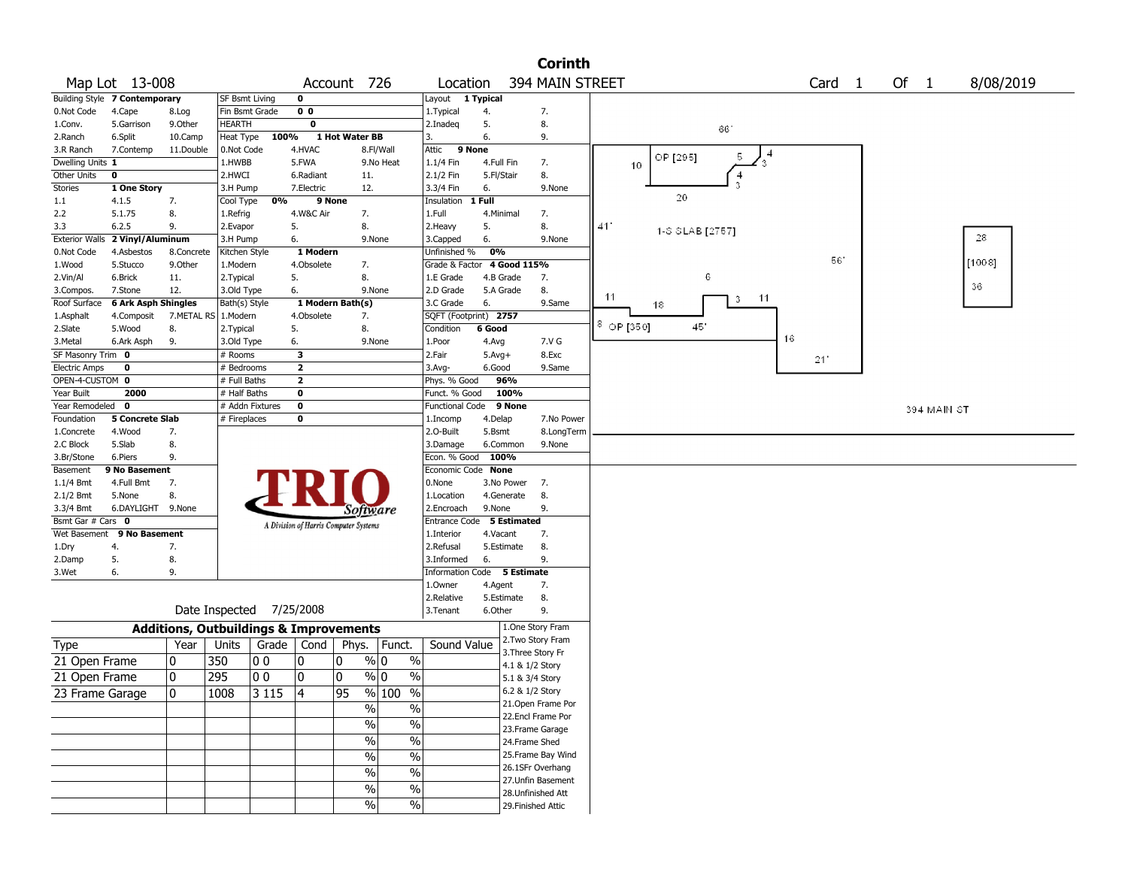|                           |                               |                                                   |                             |       |                         |                                       |                |                                        |                       |                   | <b>Corinth</b>     |                      |          |                 |    |                   |      |             |           |
|---------------------------|-------------------------------|---------------------------------------------------|-----------------------------|-------|-------------------------|---------------------------------------|----------------|----------------------------------------|-----------------------|-------------------|--------------------|----------------------|----------|-----------------|----|-------------------|------|-------------|-----------|
|                           | Map Lot 13-008                |                                                   |                             |       |                         | Account 726                           |                | Location                               |                       |                   | 394 MAIN STREET    |                      |          |                 |    | Card <sub>1</sub> | Of 1 |             | 8/08/2019 |
|                           | Building Style 7 Contemporary |                                                   | SF Bsmt Living              |       | $\mathbf 0$             |                                       |                | Layout 1 Typical                       |                       |                   |                    |                      |          |                 |    |                   |      |             |           |
| 0.Not Code                | 4.Cape                        | 8.Log                                             | Fin Bsmt Grade              |       | 0 <sub>0</sub>          |                                       |                | 1. Typical                             | 4.                    |                   | 7.                 |                      |          |                 |    |                   |      |             |           |
| 1.Conv.                   | 5.Garrison                    | 9.0ther                                           | <b>HEARTH</b>               |       | $\mathbf 0$             |                                       |                | 2.Inadeg                               | 5.                    |                   | 8.                 |                      |          | -661            |    |                   |      |             |           |
| 2.Ranch                   | 6.Split                       | 10.Camp                                           | Heat Type                   | 100%  |                         | 1 Hot Water BB                        |                | 3.                                     | 6.                    |                   | 9.                 |                      |          |                 |    |                   |      |             |           |
| 3.R Ranch                 | 7.Contemp                     | 11.Double                                         | 0.Not Code                  |       | 4.HVAC                  |                                       | 8.Fl/Wall      | Attic<br>9 None                        |                       |                   |                    |                      |          | 5.              |    |                   |      |             |           |
| Dwelling Units 1          |                               |                                                   | 1.HWBB                      |       | 5.FWA                   |                                       | 9.No Heat      | $1.1/4$ Fin                            | 4.Full Fin            |                   | 7.                 | 10                   | OP [295] |                 |    |                   |      |             |           |
| Other Units               | 0                             |                                                   | 2.HWCI                      |       | 6.Radiant               | 11.                                   |                | 2.1/2 Fin                              | 5.Fl/Stair            |                   | 8.                 |                      |          | 4               |    |                   |      |             |           |
| <b>Stories</b>            | 1 One Story                   |                                                   | 3.H Pump                    |       | 7.Electric              | 12.                                   |                | 3.3/4 Fin                              | 6.                    |                   | 9.None             |                      | 20       | 3               |    |                   |      |             |           |
| 1.1                       | 4.1.5                         | 7.                                                | Cool Type                   | 0%    |                         | 9 None                                |                | Insulation                             | 1 Full                |                   |                    |                      |          |                 |    |                   |      |             |           |
| 2.2                       | 5.1.75                        | 8.                                                | 1.Refrig                    |       | 4.W&C Air               | 7.                                    |                | 1.Full                                 | 4.Minimal             |                   | 7.                 |                      |          |                 |    |                   |      |             |           |
| 3.3                       | 6.2.5                         | 9.                                                | 2.Evapor                    |       | 5.                      | 8.                                    |                | 2.Heavy                                | 5.                    |                   | 8.                 | 41'                  |          | 1-S SLAB [2757] |    |                   |      |             | 28        |
| <b>Exterior Walls</b>     | 2 Vinyl/Aluminum              |                                                   | 3.H Pump                    |       | 6.                      |                                       | 9.None         | 3.Capped                               | 6.                    |                   | 9.None             |                      |          |                 |    |                   |      |             |           |
| 0.Not Code                | 4.Asbestos                    | 8.Concrete                                        | Kitchen Style               |       | 1 Modern                |                                       |                | Unfinished %                           | 0%                    |                   |                    |                      |          |                 |    | 56'               |      |             | [1008]    |
| 1.Wood                    | 5.Stucco                      | 9.Other                                           | 1.Modern                    |       | 4.Obsolete              | 7.                                    |                | Grade & Factor                         | 4.B Grade             | 4 Good 115%       |                    |                      |          | 6               |    |                   |      |             |           |
| 2.Vin/Al                  | 6.Brick<br>7.Stone            | 11.<br>12.                                        | 2. Typical                  |       | 5.<br>6.                | 8.                                    | 9.None         | 1.E Grade                              |                       |                   | 7.<br>8.           |                      |          |                 |    |                   |      |             | 36        |
| 3.Compos.<br>Roof Surface | 6 Ark Asph Shingles           |                                                   | 3.Old Type<br>Bath(s) Style |       |                         | 1 Modern Bath(s)                      |                | 2.D Grade<br>3.C Grade                 | 5.A Grade<br>6.       |                   | 9.Same             | -11                  | 18       | $3 - 11$        |    |                   |      |             |           |
| 1.Asphalt                 | 4.Composit                    | 7.METAL RS                                        | 1.Modern                    |       | 4.Obsolete              | 7.                                    |                | SQFT (Footprint) 2757                  |                       |                   |                    |                      |          |                 |    |                   |      |             |           |
| 2.Slate                   | 5.Wood                        | 8.                                                | 2. Typical                  |       | 5.                      | 8.                                    |                | Condition                              | 6 Good                |                   |                    | $3^{\circ}$ OP [350] |          | 45.             |    |                   |      |             |           |
| 3.Metal                   | 6.Ark Asph                    | 9.                                                | 3.Old Type                  |       | 6.                      |                                       | 9.None         | 1.Poor                                 | 4.Avg                 |                   | 7.V G              |                      |          |                 | 16 |                   |      |             |           |
| SF Masonry Trim 0         |                               |                                                   | # Rooms                     |       | $\overline{\mathbf{3}}$ |                                       |                | 2.Fair                                 | $5.Avg+$              |                   | 8.Exc              |                      |          |                 |    |                   |      |             |           |
| <b>Electric Amps</b>      | 0                             |                                                   | # Bedrooms                  |       | $\overline{\mathbf{2}}$ |                                       |                | $3.$ Avg-                              | 6.Good                |                   | 9.Same             |                      |          |                 |    | 21'               |      |             |           |
| OPEN-4-CUSTOM 0           |                               |                                                   | # Full Baths                |       | $\overline{2}$          |                                       |                | Phys. % Good                           | 96%                   |                   |                    |                      |          |                 |    |                   |      |             |           |
| Year Built                | 2000                          |                                                   | $#$ Half Baths              |       | $\mathbf 0$             |                                       |                | Funct. % Good                          |                       | 100%              |                    |                      |          |                 |    |                   |      |             |           |
| Year Remodeled            | 0                             |                                                   | # Addn Fixtures             |       | $\mathbf 0$             |                                       |                | Functional Code                        |                       | 9 None            |                    |                      |          |                 |    |                   |      | 394 MAIN ST |           |
| Foundation                | <b>5 Concrete Slab</b>        |                                                   | # Fireplaces                |       | $\mathbf 0$             |                                       |                | 1.Incomp                               | 4.Delap               |                   | 7.No Power         |                      |          |                 |    |                   |      |             |           |
| 1.Concrete                | 4.Wood                        | 7.                                                |                             |       |                         |                                       |                | 2.0-Built                              | 5.Bsmt                |                   | 8.LongTerm         |                      |          |                 |    |                   |      |             |           |
| 2.C Block                 | 5.Slab                        | 8.                                                |                             |       |                         |                                       |                | 3.Damage                               | 6.Common              |                   | 9.None             |                      |          |                 |    |                   |      |             |           |
| 3.Br/Stone                | 6.Piers                       | 9.                                                |                             |       |                         |                                       |                | Econ. % Good 100%                      |                       |                   |                    |                      |          |                 |    |                   |      |             |           |
| Basement                  | 9 No Basement                 |                                                   |                             |       |                         |                                       |                | Economic Code None                     |                       |                   |                    |                      |          |                 |    |                   |      |             |           |
| 1.1/4 Bmt                 | 4.Full Bmt                    | 7.                                                |                             |       |                         |                                       |                | 0.None                                 |                       | 3.No Power        | 7.                 |                      |          |                 |    |                   |      |             |           |
| $2.1/2$ Bmt               | 5.None                        | 8.                                                |                             |       |                         |                                       |                | 1.Location                             | 4.Generate            |                   | 8.                 |                      |          |                 |    |                   |      |             |           |
| 3.3/4 Bmt                 | 6.DAYLIGHT 9.None             |                                                   |                             |       |                         | Software                              |                | 2.Encroach                             | 9.None                |                   | 9.                 |                      |          |                 |    |                   |      |             |           |
| Bsmt Gar # Cars 0         |                               |                                                   |                             |       |                         | A Division of Harris Computer Systems |                | Entrance Code                          |                       | 5 Estimated       |                    |                      |          |                 |    |                   |      |             |           |
| Wet Basement              | 9 No Basement                 |                                                   |                             |       |                         |                                       |                | 1.Interior                             | 4.Vacant              |                   | 7.                 |                      |          |                 |    |                   |      |             |           |
| 1.Dry                     | 4.                            | 7.                                                |                             |       |                         |                                       |                | 2.Refusal                              | 5.Estimate            |                   | 8.                 |                      |          |                 |    |                   |      |             |           |
| 2.Damp                    | 5.                            | 8.<br>9.                                          |                             |       |                         |                                       |                | 3.Informed                             | 6.                    |                   | 9.                 |                      |          |                 |    |                   |      |             |           |
| 3.Wet                     | 6.                            |                                                   |                             |       |                         |                                       |                | Information Code 5 Estimate<br>1.0wner |                       |                   | 7.                 |                      |          |                 |    |                   |      |             |           |
|                           |                               |                                                   |                             |       |                         |                                       |                | 2.Relative                             | 4.Agent<br>5.Estimate |                   | 8.                 |                      |          |                 |    |                   |      |             |           |
|                           |                               |                                                   | Date Inspected              |       | 7/25/2008               |                                       |                | 3.Tenant                               | 6.Other               |                   | 9.                 |                      |          |                 |    |                   |      |             |           |
|                           |                               |                                                   |                             |       |                         |                                       |                |                                        |                       |                   | 1.One Story Fram   |                      |          |                 |    |                   |      |             |           |
|                           |                               | <b>Additions, Outbuildings &amp; Improvements</b> |                             |       |                         |                                       |                |                                        |                       |                   | 2. Two Story Fram  |                      |          |                 |    |                   |      |             |           |
| Type                      |                               | Year                                              | Units                       | Grade | Cond                    | Phys.                                 | Funct.         | Sound Value                            |                       | 3. Three Story Fr |                    |                      |          |                 |    |                   |      |             |           |
| 21 Open Frame             |                               | 0                                                 | 350                         | 00    | 10                      | 10                                    | $\%$<br>% 0    |                                        |                       | 4.1 & 1/2 Story   |                    |                      |          |                 |    |                   |      |             |           |
| 21 Open Frame             |                               | $\mathbf 0$                                       | 295                         | 00    | 0                       | 0                                     | $\%$ 0<br>$\%$ |                                        |                       | 5.1 & 3/4 Story   |                    |                      |          |                 |    |                   |      |             |           |
| 23 Frame Garage           |                               | 10                                                | 1008                        | 3115  | 4                       | 95                                    | % 100 %        |                                        |                       | 6.2 & 1/2 Story   |                    |                      |          |                 |    |                   |      |             |           |
|                           |                               |                                                   |                             |       |                         |                                       |                |                                        |                       |                   | 21. Open Frame Por |                      |          |                 |    |                   |      |             |           |
|                           |                               |                                                   |                             |       |                         | $\sqrt{6}$                            | $\%$           |                                        |                       |                   | 22.Encl Frame Por  |                      |          |                 |    |                   |      |             |           |
|                           |                               |                                                   |                             |       |                         | $\frac{9}{6}$                         | $\frac{1}{2}$  |                                        |                       |                   | 23. Frame Garage   |                      |          |                 |    |                   |      |             |           |
|                           |                               |                                                   |                             |       |                         | $\sqrt{20}$                           | $\%$           |                                        |                       | 24.Frame Shed     |                    |                      |          |                 |    |                   |      |             |           |
|                           |                               |                                                   |                             |       |                         | $\sqrt{6}$                            | $\frac{1}{2}$  |                                        |                       |                   | 25. Frame Bay Wind |                      |          |                 |    |                   |      |             |           |
|                           |                               |                                                   |                             |       |                         | $\sqrt{20}$                           | $\%$           |                                        |                       |                   | 26.1SFr Overhang   |                      |          |                 |    |                   |      |             |           |
|                           |                               |                                                   |                             |       |                         |                                       |                |                                        |                       |                   | 27.Unfin Basement  |                      |          |                 |    |                   |      |             |           |
|                           |                               |                                                   |                             |       |                         | %                                     | $\%$           |                                        |                       |                   | 28. Unfinished Att |                      |          |                 |    |                   |      |             |           |
|                           |                               |                                                   |                             |       |                         | $\%$                                  | %              |                                        |                       |                   | 29. Finished Attic |                      |          |                 |    |                   |      |             |           |
|                           |                               |                                                   |                             |       |                         |                                       |                |                                        |                       |                   |                    |                      |          |                 |    |                   |      |             |           |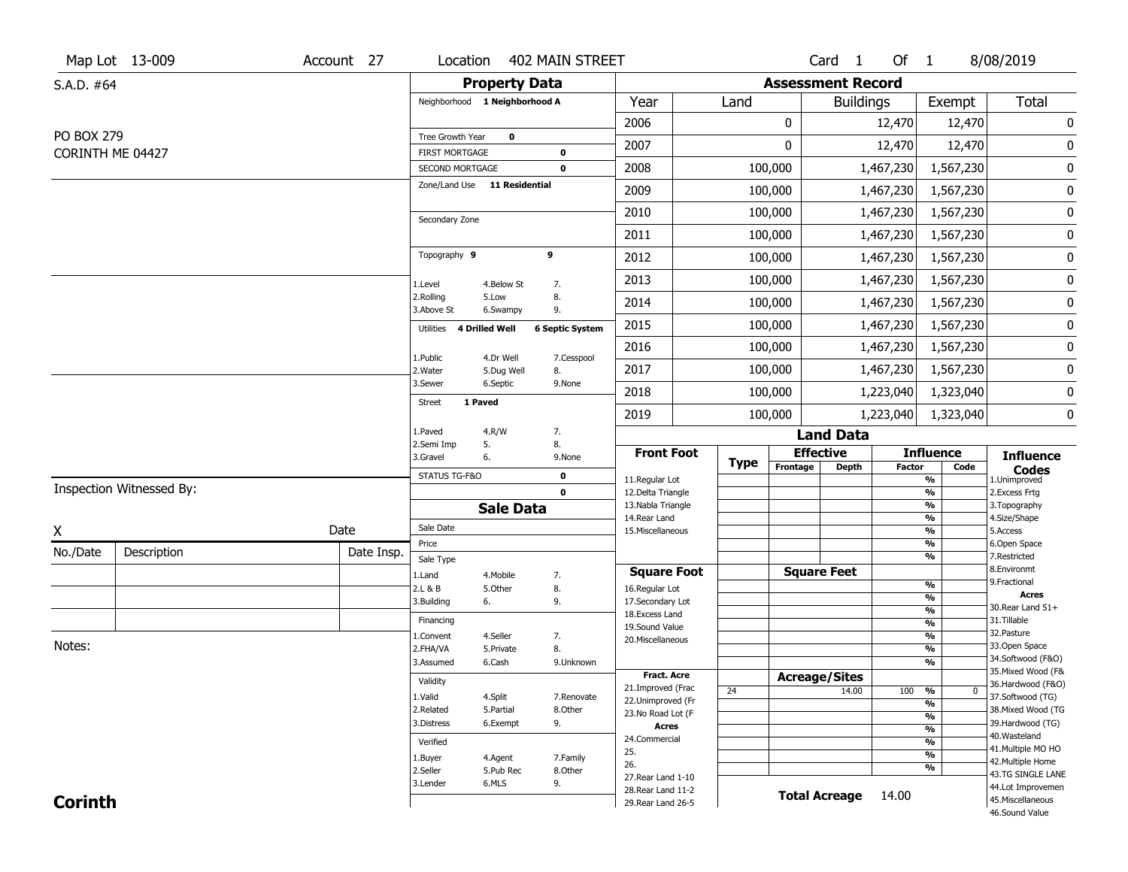|                   | Map Lot 13-009           | Account 27 | Location                            |                       | 402 MAIN STREET            |                                         |             |          | Card <sub>1</sub>        | Of 1          |                                                      | 8/08/2019                              |
|-------------------|--------------------------|------------|-------------------------------------|-----------------------|----------------------------|-----------------------------------------|-------------|----------|--------------------------|---------------|------------------------------------------------------|----------------------------------------|
| S.A.D. #64        |                          |            |                                     | <b>Property Data</b>  |                            |                                         |             |          | <b>Assessment Record</b> |               |                                                      |                                        |
|                   |                          |            | Neighborhood 1 Neighborhood A       |                       |                            | Year                                    | Land        |          | <b>Buildings</b>         |               | Exempt                                               | <b>Total</b>                           |
|                   |                          |            |                                     |                       |                            | 2006                                    |             | 0        |                          | 12,470        | 12,470                                               | $\pmb{0}$                              |
| <b>PO BOX 279</b> |                          |            | Tree Growth Year                    | $\mathbf 0$           |                            | 2007                                    |             | 0        |                          | 12,470        | 12,470                                               | 0                                      |
|                   | CORINTH ME 04427         |            | FIRST MORTGAGE<br>SECOND MORTGAGE   |                       | $\mathbf 0$<br>$\mathbf 0$ | 2008                                    |             | 100,000  |                          | 1,467,230     | 1,567,230                                            | $\pmb{0}$                              |
|                   |                          |            | Zone/Land Use 11 Residential        |                       |                            | 2009                                    |             | 100,000  |                          | 1,467,230     | 1,567,230                                            | 0                                      |
|                   |                          |            |                                     |                       |                            | 2010                                    |             | 100,000  |                          | 1,467,230     | 1,567,230                                            | 0                                      |
|                   |                          |            | Secondary Zone                      |                       |                            | 2011                                    |             | 100,000  |                          | 1,467,230     | 1,567,230                                            | 0                                      |
|                   |                          |            | Topography 9                        |                       | 9                          | 2012                                    |             | 100,000  |                          | 1,467,230     | 1,567,230                                            | 0                                      |
|                   |                          |            |                                     |                       |                            |                                         |             |          |                          |               |                                                      |                                        |
|                   |                          |            | 1.Level<br>2.Rolling                | 4.Below St<br>5.Low   | 7.<br>8.                   | 2013                                    |             | 100,000  |                          | 1,467,230     | 1,567,230                                            | 0                                      |
|                   |                          |            | 3.Above St                          | 6.Swampy              | 9.                         | 2014                                    |             | 100,000  |                          | 1,467,230     | 1,567,230                                            | 0                                      |
|                   |                          |            | <b>4 Drilled Well</b><br>Utilities  |                       | <b>6 Septic System</b>     | 2015                                    |             | 100,000  |                          | 1,467,230     | 1,567,230                                            | 0                                      |
|                   |                          |            | 1.Public                            | 4.Dr Well             | 7.Cesspool                 | 2016                                    |             | 100,000  |                          | 1,467,230     | 1,567,230                                            | 0                                      |
|                   |                          |            | 2.Water                             | 5.Dug Well            | 8.                         | 2017                                    |             | 100,000  |                          | 1,467,230     | 1,567,230                                            | 0                                      |
|                   |                          |            | 3.Sewer<br>1 Paved<br><b>Street</b> | 6.Septic              | 9.None                     | 2018                                    |             | 100,000  |                          | 1,223,040     | 1,323,040                                            | 0                                      |
|                   |                          |            |                                     |                       |                            | 2019                                    |             | 100,000  |                          | 1,223,040     | 1,323,040                                            | 0                                      |
|                   |                          |            | 1.Paved<br>2.Semi Imp               | 4.R/W<br>5.           | 7.<br>8.                   |                                         |             |          | <b>Land Data</b>         |               |                                                      |                                        |
|                   |                          |            | 3.Gravel                            | 6.                    | 9.None                     | <b>Front Foot</b>                       | <b>Type</b> |          | <b>Effective</b>         |               | <b>Influence</b>                                     | <b>Influence</b>                       |
|                   |                          |            | STATUS TG-F&O                       |                       | $\mathbf 0$                | 11.Regular Lot                          |             | Frontage | <b>Depth</b>             | <b>Factor</b> | Code<br>$\overline{\frac{9}{6}}$                     | <b>Codes</b><br>1.Unimproved           |
|                   | Inspection Witnessed By: |            |                                     |                       | $\mathbf 0$                | 12.Delta Triangle<br>13. Nabla Triangle |             |          |                          |               | $\frac{9}{6}$<br>%                                   | 2. Excess Frtg<br>3. Topography        |
|                   |                          |            |                                     | <b>Sale Data</b>      |                            | 14. Rear Land                           |             |          |                          |               | $\frac{9}{6}$                                        | 4.Size/Shape                           |
| X                 |                          | Date       | Sale Date<br>Price                  |                       |                            | 15. Miscellaneous                       |             |          |                          |               | $\frac{9}{6}$<br>%                                   | 5.Access<br>6.Open Space               |
| No./Date          | Description              | Date Insp. | Sale Type                           |                       |                            |                                         |             |          |                          |               | %                                                    | 7.Restricted                           |
|                   |                          |            | 1.Land                              | 4. Mobile             | 7.                         | <b>Square Foot</b>                      |             |          | <b>Square Feet</b>       |               |                                                      | 8.Environmt<br>9. Fractional           |
|                   |                          |            | 2.L & B                             | 5.Other               | 8.                         | 16.Regular Lot                          |             |          |                          |               | %<br>%                                               | <b>Acres</b>                           |
|                   |                          |            | 3.Building                          | 6.                    | 9.                         | 17.Secondary Lot<br>18.Excess Land      |             |          |                          |               | $\frac{9}{6}$                                        | 30. Rear Land 51+                      |
|                   |                          |            | Financing                           |                       |                            | 19.Sound Value                          |             |          |                          |               | $\overline{\frac{9}{6}}$                             | 31.Tillable                            |
| Notes:            |                          |            | 1.Convent                           | 4.Seller              | 7.                         | 20.Miscellaneous                        |             |          |                          |               | $\frac{9}{6}$                                        | 32.Pasture<br>33.Open Space            |
|                   |                          |            | 2.FHA/VA<br>3.Assumed               | 5.Private<br>6.Cash   | 8.<br>9.Unknown            |                                         |             |          |                          |               | $\overline{\frac{9}{6}}$<br>$\frac{9}{6}$            | 34.Softwood (F&O)                      |
|                   |                          |            |                                     |                       |                            | <b>Fract. Acre</b>                      |             |          | <b>Acreage/Sites</b>     |               |                                                      | 35. Mixed Wood (F&                     |
|                   |                          |            | Validity                            |                       |                            | 21.Improved (Frac                       | 24          |          | 14.00                    | 100           | %<br>$\bf{0}$                                        | 36.Hardwood (F&O)                      |
|                   |                          |            | 1.Valid                             | 4.Split               | 7.Renovate                 | 22.Unimproved (Fr                       |             |          |                          |               | $\frac{9}{6}$                                        | 37.Softwood (TG)                       |
|                   |                          |            | 2.Related<br>3.Distress             | 5.Partial<br>6.Exempt | 8.Other<br>9.              | 23.No Road Lot (F                       |             |          |                          |               | $\overline{\frac{9}{6}}$                             | 38. Mixed Wood (TG<br>39.Hardwood (TG) |
|                   |                          |            |                                     |                       |                            | <b>Acres</b><br>24.Commercial           |             |          |                          |               | $\overline{\frac{9}{6}}$                             | 40. Wasteland                          |
|                   |                          |            | Verified                            |                       |                            | 25.                                     |             |          |                          |               | $\overline{\frac{9}{6}}$<br>$\overline{\frac{9}{6}}$ | 41. Multiple MO HO                     |
|                   |                          |            | 1.Buyer                             | 4.Agent               | 7.Family                   | 26.                                     |             |          |                          |               | $\overline{\frac{9}{6}}$                             | 42. Multiple Home                      |
|                   |                          |            | 2.Seller<br>3.Lender                | 5.Pub Rec<br>6.MLS    | 8.Other<br>9.              | 27. Rear Land 1-10                      |             |          |                          |               |                                                      | 43.TG SINGLE LANE                      |
|                   |                          |            |                                     |                       |                            | 28. Rear Land 11-2                      |             |          | <b>Total Acreage</b>     | 14.00         |                                                      | 44.Lot Improvemen<br>45. Miscellaneous |
| <b>Corinth</b>    |                          |            |                                     |                       |                            | 29. Rear Land 26-5                      |             |          |                          |               |                                                      | 46.Sound Value                         |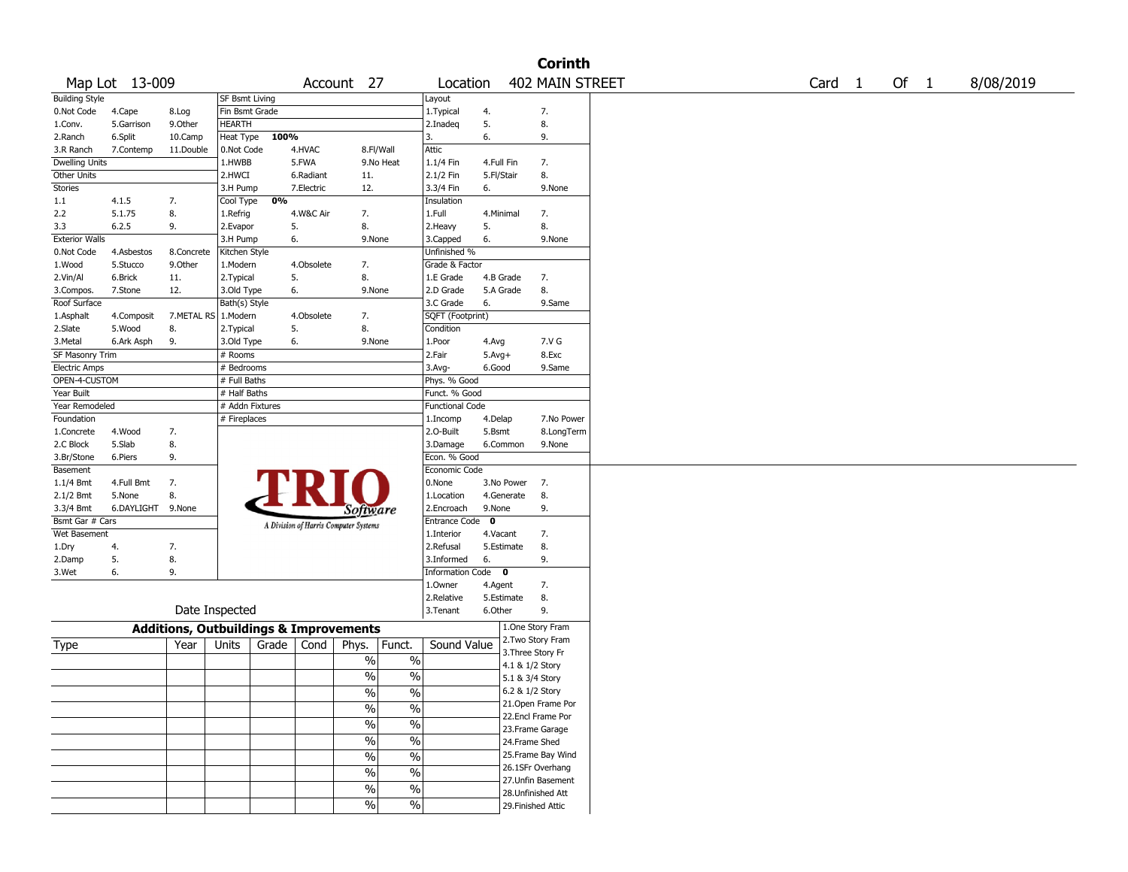|                       |                             |                                                   |                 |       |            |                                        |                        |             |                    | <b>Corinth</b>    |                   |      |           |
|-----------------------|-----------------------------|---------------------------------------------------|-----------------|-------|------------|----------------------------------------|------------------------|-------------|--------------------|-------------------|-------------------|------|-----------|
|                       | Map Lot 13-009              |                                                   |                 |       |            | Account 27                             | Location               |             |                    | 402 MAIN STREET   | Card <sub>1</sub> | Of 1 | 8/08/2019 |
| <b>Building Style</b> |                             |                                                   | SF Bsmt Living  |       |            |                                        | Layout                 |             |                    |                   |                   |      |           |
| 0.Not Code            | 4.Cape                      | 8.Log                                             | Fin Bsmt Grade  |       |            |                                        | 1. Typical             | 4.          |                    | 7.                |                   |      |           |
| 1.Conv.               | 5.Garrison                  | 9.0ther                                           | HEARTH          |       |            |                                        | 2.Inadeq               | 5.          |                    | 8.                |                   |      |           |
| 2.Ranch               | 6.Split                     | 10.Camp                                           | Heat Type       | 100%  |            |                                        | 3.                     | 6.          |                    | 9.                |                   |      |           |
| 3.R Ranch             | 7.Contemp                   | 11.Double                                         | 0.Not Code      |       | 4.HVAC     | 8.Fl/Wall                              | Attic                  |             |                    |                   |                   |      |           |
| Dwelling Units        |                             |                                                   | 1.HWBB          |       | 5.FWA      | 9.No Heat                              | 1.1/4 Fin              | 4.Full Fin  |                    | 7.                |                   |      |           |
| Other Units           |                             |                                                   | 2.HWCI          |       | 6.Radiant  | 11.                                    | 2.1/2 Fin              | 5.Fl/Stair  |                    | 8.                |                   |      |           |
| Stories               |                             |                                                   | 3.H Pump        |       | 7.Electric | 12.                                    | 3.3/4 Fin              | 6.          |                    | 9.None            |                   |      |           |
| 1.1                   | 4.1.5                       | 7.                                                | Cool Type       | 0%    |            |                                        | Insulation             |             |                    |                   |                   |      |           |
| 2.2                   | 5.1.75                      | 8.                                                | 1.Refrig        |       | 4.W&C Air  | 7.                                     | 1.Full                 | 4.Minimal   |                    | 7.                |                   |      |           |
| 3.3                   | 6.2.5                       | 9.                                                | 2.Evapor        |       | 5.         | 8.                                     | 2.Heavy                | 5.          |                    | 8.                |                   |      |           |
| <b>Exterior Walls</b> |                             |                                                   | 3.H Pump        |       | 6.         | 9.None                                 | 3.Capped               | 6.          |                    | 9.None            |                   |      |           |
| 0.Not Code            | 4.Asbestos                  | 8.Concrete                                        | Kitchen Style   |       |            |                                        | Unfinished %           |             |                    |                   |                   |      |           |
| 1.Wood                | 5.Stucco                    | 9.Other                                           | 1.Modern        |       | 4.Obsolete | 7.                                     | Grade & Factor         |             |                    |                   |                   |      |           |
| 2.Vin/Al              | 6.Brick                     | 11.                                               | 2. Typical      |       | 5.         | 8.                                     | 1.E Grade              | 4.B Grade   |                    | 7.                |                   |      |           |
| 3.Compos.             | 7.Stone                     | 12.                                               | 3.Old Type      |       | 6.         | 9.None                                 | 2.D Grade              | 5.A Grade   |                    | 8.                |                   |      |           |
| Roof Surface          |                             |                                                   | Bath(s) Style   |       |            |                                        | 3.C Grade              | 6.          |                    | 9.Same            |                   |      |           |
| 1.Asphalt             | 4.Composit                  | 7.METAL RS   1.Modern                             |                 |       | 4.Obsolete | 7.                                     | SQFT (Footprint)       |             |                    |                   |                   |      |           |
| 2.Slate               | 5.Wood                      | 8.                                                | 2. Typical      |       | 5.         | 8.                                     | Condition              |             |                    |                   |                   |      |           |
| 3.Metal               | 6.Ark Asph                  | 9.                                                | 3.Old Type      |       | 6.         | 9.None                                 | 1.Poor                 | 4.Avg       |                    | 7.V G             |                   |      |           |
| SF Masonry Trim       |                             |                                                   | # Rooms         |       |            |                                        | 2.Fair                 | $5.Avg+$    |                    | 8.Exc             |                   |      |           |
| <b>Electric Amps</b>  |                             |                                                   | # Bedrooms      |       |            |                                        | 3.Avg-                 | 6.Good      |                    | 9.Same            |                   |      |           |
| OPEN-4-CUSTOM         |                             |                                                   | # Full Baths    |       |            |                                        | Phys. % Good           |             |                    |                   |                   |      |           |
| Year Built            |                             |                                                   | # Half Baths    |       |            |                                        | Funct. % Good          |             |                    |                   |                   |      |           |
| Year Remodeled        |                             |                                                   | # Addn Fixtures |       |            |                                        | <b>Functional Code</b> |             |                    |                   |                   |      |           |
| Foundation            |                             |                                                   | # Fireplaces    |       |            |                                        | 1.Incomp               | 4.Delap     |                    | 7.No Power        |                   |      |           |
| 1.Concrete            | 4.Wood                      | 7.                                                |                 |       |            |                                        | 2.0-Built              | 5.Bsmt      |                    | 8.LongTerm        |                   |      |           |
| 2.C Block             | 5.Slab                      | 8.                                                |                 |       |            |                                        | 3.Damage               | 6.Common    |                    | 9.None            |                   |      |           |
| 3.Br/Stone            | 6.Piers                     | 9.                                                |                 |       |            |                                        | Econ. % Good           |             |                    |                   |                   |      |           |
| Basement              |                             |                                                   |                 |       |            |                                        | Economic Code          |             |                    |                   |                   |      |           |
|                       |                             |                                                   |                 |       |            |                                        | 0.None                 |             |                    |                   |                   |      |           |
| $1.1/4$ Bmt           | 4.Full Bmt                  | 7.<br>8.                                          |                 |       |            |                                        |                        | 3.No Power  |                    | 7.                |                   |      |           |
| 2.1/2 Bmt             | 5.None<br>6.DAYLIGHT 9.None |                                                   |                 |       |            |                                        | 1.Location             | 4.Generate  |                    | 8.                |                   |      |           |
| 3.3/4 Bmt             |                             |                                                   |                 |       |            | Software                               | 2.Encroach             | 9.None      |                    | 9.                |                   |      |           |
| Bsmt Gar # Cars       |                             |                                                   |                 |       |            | A Division of Harris Computer Systems  | Entrance Code          | $\mathbf 0$ |                    |                   |                   |      |           |
| Wet Basement          |                             |                                                   |                 |       |            |                                        | 1.Interior             | 4.Vacant    |                    | 7.                |                   |      |           |
| 1.Dry                 | 4.                          | 7.                                                |                 |       |            |                                        | 2.Refusal              | 5.Estimate  |                    | 8.                |                   |      |           |
| 2.Damp                | 5.                          | 8.                                                |                 |       |            |                                        | 3.Informed             | 6.          |                    | 9.                |                   |      |           |
| 3.Wet                 | 6.                          | 9.                                                |                 |       |            |                                        | Information Code 0     |             |                    |                   |                   |      |           |
|                       |                             |                                                   |                 |       |            |                                        | 1.0wner                | 4.Agent     |                    | 7.                |                   |      |           |
|                       |                             |                                                   |                 |       |            |                                        | 2.Relative             | 5.Estimate  |                    | 8.                |                   |      |           |
|                       |                             | Date Inspected                                    |                 |       |            |                                        | 3.Tenant               | 6.Other     |                    | 9.                |                   |      |           |
|                       |                             | <b>Additions, Outbuildings &amp; Improvements</b> |                 |       |            |                                        |                        |             |                    | 1.One Story Fram  |                   |      |           |
| Type                  |                             | Year                                              | Units           | Grade | Cond       | Phys.<br>Funct.                        | Sound Value            |             | 3. Three Story Fr  | 2. Two Story Fram |                   |      |           |
|                       |                             |                                                   |                 |       |            | $\%$<br>$\%$                           |                        |             | 4.1 & 1/2 Story    |                   |                   |      |           |
|                       |                             |                                                   |                 |       |            | %<br>%                                 |                        |             |                    |                   |                   |      |           |
|                       |                             |                                                   |                 |       |            |                                        |                        |             | 5.1 & 3/4 Story    |                   |                   |      |           |
|                       |                             |                                                   |                 |       |            | $\frac{9}{0}$<br>$\frac{0}{0}$         |                        |             | 6.2 & 1/2 Story    |                   |                   |      |           |
|                       |                             |                                                   |                 |       |            | %<br>$\%$                              |                        |             |                    | 21.Open Frame Por |                   |      |           |
|                       |                             |                                                   |                 |       |            | $\overline{\frac{0}{6}}$<br>$\%$       |                        |             |                    | 22.Encl Frame Por |                   |      |           |
|                       |                             |                                                   |                 |       |            |                                        |                        |             |                    | 23. Frame Garage  |                   |      |           |
|                       |                             |                                                   |                 |       |            | $\overline{\frac{0}{6}}$<br>$\sqrt{6}$ |                        |             | 24.Frame Shed      |                   |                   |      |           |
|                       |                             |                                                   |                 |       |            | $\overline{\frac{0}{6}}$<br>$\%$       |                        |             |                    | 25.Frame Bay Wind |                   |      |           |
|                       |                             |                                                   |                 |       |            | $\%$<br>$\frac{0}{0}$                  |                        |             |                    | 26.1SFr Overhang  |                   |      |           |
|                       |                             |                                                   |                 |       |            | $\%$<br>$\%$                           |                        |             |                    | 27.Unfin Basement |                   |      |           |
|                       |                             |                                                   |                 |       |            |                                        |                        |             |                    | 28.Unfinished Att |                   |      |           |
|                       |                             |                                                   |                 |       |            | $\sqrt{6}$<br>$\%$                     |                        |             | 29. Finished Attic |                   |                   |      |           |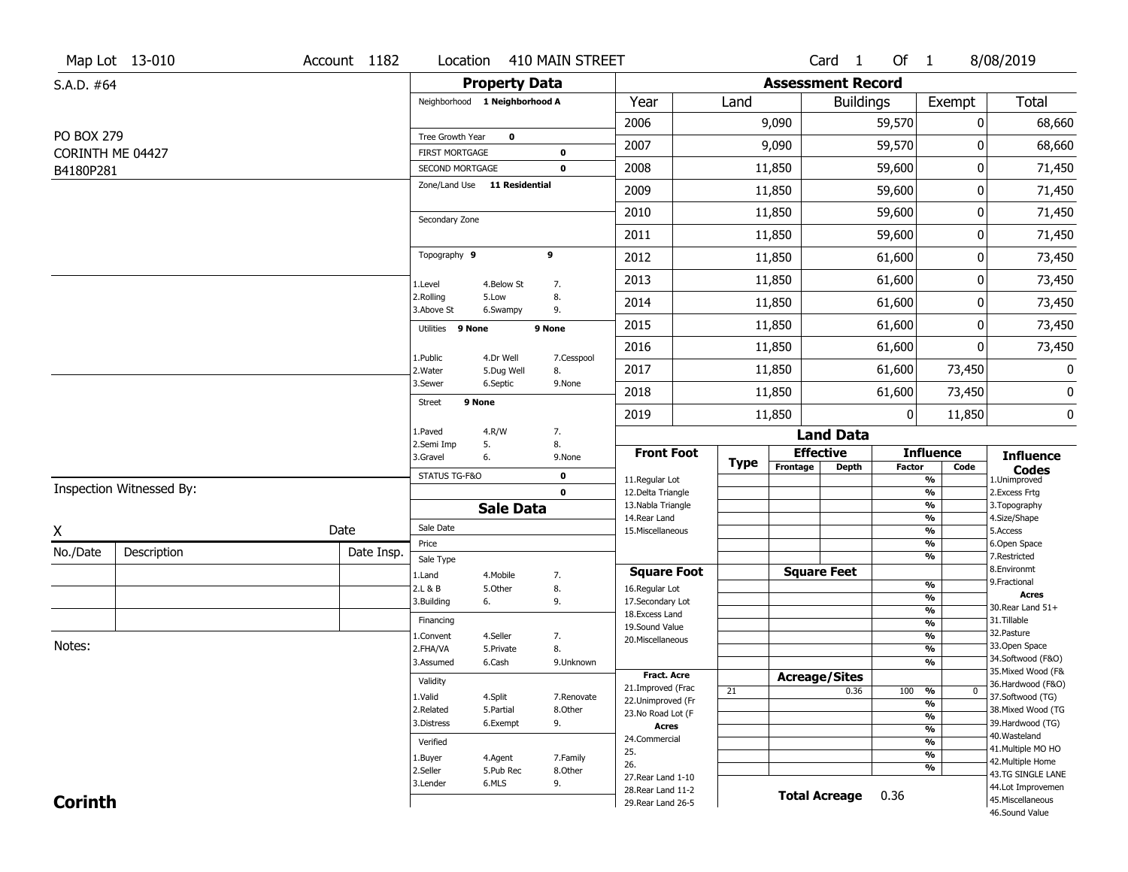|                   | Map Lot 13-010           | Account 1182 | Location                                 |                        | 410 MAIN STREET            |                                          |      |          | Card <sub>1</sub>                | Of 1         |                                | 8/08/2019                              |
|-------------------|--------------------------|--------------|------------------------------------------|------------------------|----------------------------|------------------------------------------|------|----------|----------------------------------|--------------|--------------------------------|----------------------------------------|
| S.A.D. #64        |                          |              |                                          | <b>Property Data</b>   |                            |                                          |      |          | <b>Assessment Record</b>         |              |                                |                                        |
|                   |                          |              | Neighborhood 1 Neighborhood A            |                        |                            | Year                                     | Land |          | <b>Buildings</b>                 |              | Exempt                         | Total                                  |
|                   |                          |              |                                          |                        |                            | 2006                                     |      | 9,090    |                                  | 59,570       | 0                              | 68,660                                 |
| <b>PO BOX 279</b> |                          |              | Tree Growth Year                         | $\mathbf 0$            |                            | 2007                                     |      | 9,090    |                                  | 59,570       | 0                              | 68,660                                 |
| B4180P281         | CORINTH ME 04427         |              | <b>FIRST MORTGAGE</b><br>SECOND MORTGAGE |                        | $\mathbf 0$<br>$\mathbf 0$ | 2008                                     |      | 11,850   |                                  | 59,600       | 0                              | 71,450                                 |
|                   |                          |              | Zone/Land Use 11 Residential             |                        |                            | 2009                                     |      | 11,850   |                                  | 59,600       | 0                              | 71,450                                 |
|                   |                          |              |                                          |                        |                            | 2010                                     |      | 11,850   |                                  | 59,600       | 0                              | 71,450                                 |
|                   |                          |              | Secondary Zone                           |                        |                            | 2011                                     |      | 11,850   |                                  | 59,600       | 0                              | 71,450                                 |
|                   |                          |              | Topography 9                             |                        | 9                          | 2012                                     |      | 11,850   |                                  | 61,600       | 0                              | 73,450                                 |
|                   |                          |              |                                          |                        |                            | 2013                                     |      | 11,850   |                                  | 61,600       | 0                              | 73,450                                 |
|                   |                          |              | 1.Level<br>2.Rolling                     | 4.Below St<br>5.Low    | 7.<br>8.                   | 2014                                     |      | 11,850   |                                  | 61,600       | 0                              | 73,450                                 |
|                   |                          |              | 3.Above St                               | 6.Swampy               | 9.                         |                                          |      |          |                                  |              |                                |                                        |
|                   |                          |              | Utilities 9 None                         |                        | 9 None                     | 2015                                     |      | 11,850   |                                  | 61,600       | 0                              | 73,450                                 |
|                   |                          |              | 1.Public                                 | 4.Dr Well              | 7.Cesspool                 | 2016                                     |      | 11,850   |                                  | 61,600       | 0                              | 73,450                                 |
|                   |                          |              | 2. Water<br>3.Sewer                      | 5.Dug Well<br>6.Septic | 8.<br>9.None               | 2017                                     |      | 11,850   |                                  | 61,600       | 73,450                         | $\mathbf 0$                            |
|                   |                          |              | 9 None<br><b>Street</b>                  |                        |                            | 2018                                     |      | 11,850   |                                  | 61,600       | 73,450                         | 0                                      |
|                   |                          |              |                                          |                        |                            | 2019                                     |      | 11,850   |                                  | $\mathbf{0}$ | 11,850                         | 0                                      |
|                   |                          |              | 1.Paved<br>2.Semi Imp                    | 4.R/W<br>5.            | 7.<br>8.                   |                                          |      |          | <b>Land Data</b>                 |              |                                |                                        |
|                   |                          |              | 3.Gravel                                 | 6.                     | 9.None                     | <b>Front Foot</b>                        | Type | Frontage | <b>Effective</b><br><b>Depth</b> | Factor       | <b>Influence</b><br>Code       | <b>Influence</b><br><b>Codes</b>       |
|                   | Inspection Witnessed By: |              | STATUS TG-F&O                            |                        | $\mathbf 0$                | 11.Regular Lot                           |      |          |                                  |              | $\overline{\frac{9}{6}}$       | 1.Unimproved                           |
|                   |                          |              |                                          | <b>Sale Data</b>       | $\mathbf 0$                | 12.Delta Triangle<br>13. Nabla Triangle  |      |          |                                  |              | $\frac{9}{6}$<br>$\frac{9}{6}$ | 2.Excess Frtg<br>3. Topography         |
|                   |                          |              | Sale Date                                |                        |                            | 14. Rear Land                            |      |          |                                  |              | $\frac{9}{6}$                  | 4.Size/Shape                           |
| Χ                 |                          | Date         | Price                                    |                        |                            | 15. Miscellaneous                        |      |          |                                  |              | $\frac{9}{6}$<br>%             | 5.Access<br>6.Open Space               |
| No./Date          | Description              | Date Insp.   | Sale Type                                |                        |                            |                                          |      |          |                                  |              | $\frac{9}{6}$                  | 7.Restricted                           |
|                   |                          |              | 1.Land                                   | 4. Mobile              | 7.                         | <b>Square Foot</b>                       |      |          | <b>Square Feet</b>               |              |                                | 8.Environmt<br>9. Fractional           |
|                   |                          |              | 2.L & B<br>3.Building                    | 5.Other<br>6.          | 8.<br>9.                   | 16.Regular Lot<br>17.Secondary Lot       |      |          |                                  |              | $\frac{9}{6}$<br>%             | <b>Acres</b>                           |
|                   |                          |              |                                          |                        |                            | 18. Excess Land                          |      |          |                                  |              | $\frac{9}{6}$                  | 30. Rear Land 51+                      |
|                   |                          |              | Financing                                |                        |                            | 19.Sound Value                           |      |          |                                  |              | $\frac{9}{6}$                  | 31.Tillable<br>32.Pasture              |
| Notes:            |                          |              | 1.Convent<br>2.FHA/VA                    | 4.Seller<br>5.Private  | 7.<br>8.                   | 20.Miscellaneous                         |      |          |                                  |              | $\frac{9}{6}$<br>$\frac{9}{6}$ | 33.Open Space                          |
|                   |                          |              | 3.Assumed                                | 6.Cash                 | 9.Unknown                  |                                          |      |          |                                  |              | %                              | 34.Softwood (F&O)                      |
|                   |                          |              | Validity                                 |                        |                            | <b>Fract. Acre</b>                       |      |          | <b>Acreage/Sites</b>             |              |                                | 35. Mixed Wood (F&                     |
|                   |                          |              | 1.Valid                                  | 4.Split                | 7.Renovate                 | 21.Improved (Frac                        | 21   |          | 0.36                             | 100          | %<br>$\bf{0}$                  | 36.Hardwood (F&O)<br>37.Softwood (TG)  |
|                   |                          |              | 2.Related                                | 5.Partial              | 8.Other                    | 22.Unimproved (Fr                        |      |          |                                  |              | %                              | 38. Mixed Wood (TG                     |
|                   |                          |              | 3.Distress                               | 6.Exempt               | 9.                         | 23.No Road Lot (F<br><b>Acres</b>        |      |          |                                  |              | %                              | 39.Hardwood (TG)                       |
|                   |                          |              | Verified                                 |                        |                            | 24.Commercial                            |      |          |                                  |              | $\frac{9}{6}$<br>$\frac{9}{6}$ | 40. Wasteland                          |
|                   |                          |              | 1.Buyer                                  | 4.Agent                | 7.Family                   | 25.                                      |      |          |                                  |              | $\frac{9}{6}$                  | 41. Multiple MO HO                     |
|                   |                          |              | 2.Seller                                 | 5.Pub Rec              | 8.Other                    | 26.                                      |      |          |                                  |              | %                              | 42. Multiple Home<br>43.TG SINGLE LANE |
|                   |                          |              | 3.Lender                                 | 6.MLS                  | 9.                         | 27. Rear Land 1-10<br>28. Rear Land 11-2 |      |          |                                  |              |                                | 44.Lot Improvemen                      |
| <b>Corinth</b>    |                          |              |                                          |                        |                            | 29. Rear Land 26-5                       |      |          | <b>Total Acreage</b>             | 0.36         |                                | 45. Miscellaneous                      |
|                   |                          |              |                                          |                        |                            |                                          |      |          |                                  |              |                                | 46.Sound Value                         |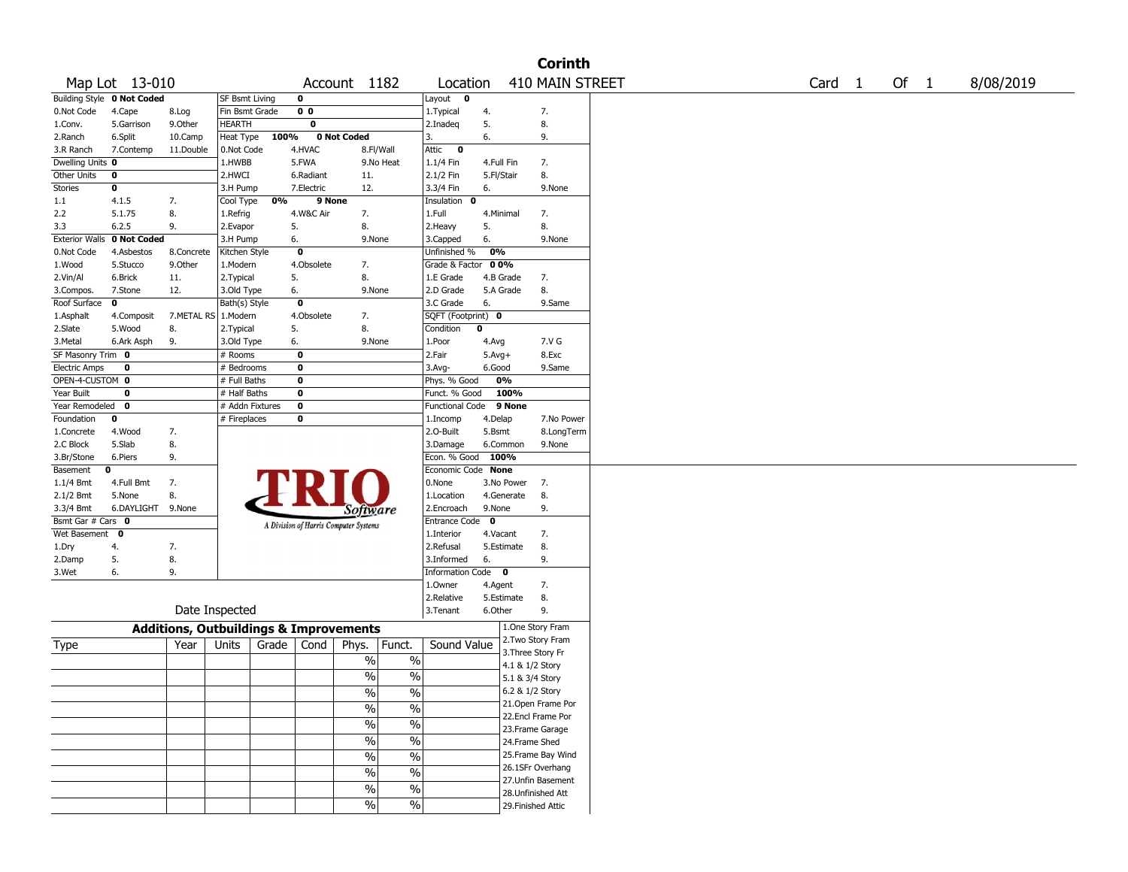|                       |                            |                                                   |                       |       |                |                                       |                          |                                |            |                    | <b>Corinth</b>  |                   |      |           |
|-----------------------|----------------------------|---------------------------------------------------|-----------------------|-------|----------------|---------------------------------------|--------------------------|--------------------------------|------------|--------------------|-----------------|-------------------|------|-----------|
|                       | Map Lot 13-010             |                                                   |                       |       |                | Account 1182                          |                          | Location                       |            |                    | 410 MAIN STREET | Card <sub>1</sub> | Of 1 | 8/08/2019 |
|                       | Building Style 0 Not Coded |                                                   | <b>SF Bsmt Living</b> |       | 0              |                                       |                          | Layout $\overline{\mathbf{0}}$ |            |                    |                 |                   |      |           |
| 0.Not Code            | 4.Cape                     | 8.Log                                             | Fin Bsmt Grade        |       | 0 <sub>0</sub> |                                       |                          | 1.Typical                      | 4.         |                    | 7.              |                   |      |           |
| 1.Conv.               | 5.Garrison                 | 9.0ther                                           | <b>HEARTH</b>         |       | 0              |                                       |                          | 2.Inadeq                       | 5.         |                    | 8.              |                   |      |           |
| 2.Ranch               | 6.Split                    | 10.Camp                                           | Heat Type             | 100%  |                | 0 Not Coded                           |                          | 3.                             | 6.         |                    | 9.              |                   |      |           |
| 3.R Ranch             | 7.Contemp                  | 11.Double                                         | 0.Not Code            |       | 4.HVAC         | 8.Fl/Wall                             |                          | Attic<br>$\bf{0}$              |            |                    |                 |                   |      |           |
| Dwelling Units 0      |                            |                                                   | 1.HWBB                |       | 5.FWA          |                                       | 9.No Heat                | 1.1/4 Fin                      | 4.Full Fin |                    | 7.              |                   |      |           |
| Other Units           | 0                          |                                                   | 2.HWCI                |       | 6.Radiant      | 11.                                   |                          | 2.1/2 Fin                      | 5.Fl/Stair |                    | 8.              |                   |      |           |
| <b>Stories</b>        | $\bf o$                    |                                                   | 3.H Pump              |       | 7.Electric     | 12.                                   |                          | 3.3/4 Fin                      | 6.         |                    | 9.None          |                   |      |           |
| 1.1                   | 4.1.5                      | 7.                                                | Cool Type             | 0%    | 9 None         |                                       |                          | Insulation 0                   |            |                    |                 |                   |      |           |
| 2.2                   | 5.1.75                     | 8.                                                | 1.Refrig              |       | 4.W&C Air      | 7.                                    |                          | 1.Full                         | 4.Minimal  |                    | 7.              |                   |      |           |
| 3.3                   | 6.2.5                      | 9.                                                | 2.Evapor              |       | 5.             | 8.                                    |                          | 2. Heavy                       | 5.         |                    | 8.              |                   |      |           |
| <b>Exterior Walls</b> | 0 Not Coded                |                                                   | 3.H Pump              |       | 6.             | 9.None                                |                          | 3.Capped                       | 6.         |                    | 9.None          |                   |      |           |
| 0.Not Code            | 4.Asbestos                 | 8.Concrete                                        | Kitchen Style         |       | 0              |                                       |                          | Unfinished %                   | 0%         |                    |                 |                   |      |           |
| 1.Wood                | 5.Stucco                   | 9.0ther                                           | 1.Modern              |       | 4.Obsolete     | 7.                                    |                          | Grade & Factor                 | 0 0%       |                    |                 |                   |      |           |
| 2.Vin/Al              | 6.Brick                    | 11.                                               | 2.Typical             |       | 5.             | 8.                                    |                          | 1.E Grade                      | 4.B Grade  |                    | 7.              |                   |      |           |
| 3.Compos.             | 7.Stone                    | 12.                                               | 3.Old Type            |       | 6.             | 9.None                                |                          | 2.D Grade                      | 5.A Grade  |                    | 8.              |                   |      |           |
| Roof Surface          | Ō                          |                                                   | Bath(s) Style         |       | 0              |                                       |                          | 3.C Grade                      | 6.         |                    | 9.Same          |                   |      |           |
| 1.Asphalt             | 4.Composit                 | 7.METAL RS 1.Modern                               |                       |       | 4.Obsolete     | 7.                                    |                          | SQFT (Footprint) 0             |            |                    |                 |                   |      |           |
| 2.Slate               | 5.Wood                     | 8.                                                | 2. Typical            |       | 5.             | 8.                                    |                          | Condition                      | 0          |                    |                 |                   |      |           |
| 3.Metal               | 6.Ark Asph                 | 9.                                                | 3.Old Type            |       | 6.             | 9.None                                |                          | 1.Poor                         | 4.Avg      |                    | 7.V G           |                   |      |           |
| SF Masonry Trim 0     |                            |                                                   | # Rooms               |       | 0              |                                       |                          | 2.Fair                         | $5.Avg+$   |                    | 8.Exc           |                   |      |           |
| <b>Electric Amps</b>  | 0                          |                                                   | # Bedrooms            |       | 0              |                                       |                          | 3.Avg-                         | 6.Good     |                    | 9.Same          |                   |      |           |
| OPEN-4-CUSTOM 0       |                            |                                                   | # Full Baths          |       | 0              |                                       |                          | Phys. % Good                   | 0%         |                    |                 |                   |      |           |
| Year Built            | 0                          |                                                   | # Half Baths          |       | 0              |                                       |                          | Funct. % Good                  |            | 100%               |                 |                   |      |           |
| Year Remodeled        | $\mathbf 0$                |                                                   | # Addn Fixtures       |       | $\mathbf 0$    |                                       |                          | <b>Functional Code</b>         |            | 9 None             |                 |                   |      |           |
| Foundation            | 0                          |                                                   | # Fireplaces          |       | 0              |                                       |                          | 1.Incomp                       | 4.Delap    |                    | 7.No Power      |                   |      |           |
| 1.Concrete            | 4.Wood                     | 7.                                                |                       |       |                |                                       |                          | 2.O-Built                      | 5.Bsmt     |                    | 8.LongTerm      |                   |      |           |
| 2.C Block             | 5.Slab                     | 8.                                                |                       |       |                |                                       |                          | 3.Damage                       | 6.Common   |                    | 9.None          |                   |      |           |
| 3.Br/Stone            | 6.Piers                    | 9.                                                |                       |       |                |                                       |                          | Econ. % Good 100%              |            |                    |                 |                   |      |           |
| Basement              | 0                          |                                                   |                       |       |                |                                       |                          | Economic Code None             |            |                    |                 |                   |      |           |
| 1.1/4 Bmt             | 4.Full Bmt                 | 7.                                                |                       |       |                |                                       |                          | 0.None                         |            | 7.<br>3.No Power   |                 |                   |      |           |
| 2.1/2 Bmt             | 5.None                     | 8.                                                |                       |       |                |                                       |                          | 1.Location                     | 4.Generate |                    | 8.              |                   |      |           |
| 3.3/4 Bmt             | 6.DAYLIGHT 9.None          |                                                   |                       |       |                | Software                              |                          | 2.Encroach                     | 9.None     |                    | 9.              |                   |      |           |
| Bsmt Gar # Cars 0     |                            |                                                   |                       |       |                | A Division of Harris Computer Systems |                          | Entrance Code 0                |            |                    |                 |                   |      |           |
| Wet Basement 0        |                            |                                                   |                       |       |                |                                       |                          | 1.Interior                     | 4.Vacant   |                    | 7.              |                   |      |           |
| 1.Dry                 | 4.                         | 7.                                                |                       |       |                |                                       |                          | 2.Refusal                      | 5.Estimate |                    | 8.              |                   |      |           |
| 2.Damp                | 5.                         | 8.                                                |                       |       |                |                                       |                          | 3.Informed                     | 6.         |                    | 9.              |                   |      |           |
| 3.Wet                 | 6.                         | 9.                                                |                       |       |                |                                       |                          | Information Code 0             |            |                    |                 |                   |      |           |
|                       |                            |                                                   |                       |       |                |                                       |                          | 1.Owner                        | 4.Agent    |                    | 7.              |                   |      |           |
|                       |                            |                                                   |                       |       |                |                                       |                          | 2.Relative                     | 5.Estimate |                    | 8.              |                   |      |           |
|                       |                            | Date Inspected                                    |                       |       |                |                                       |                          | 3. Tenant                      | 6.Other    |                    | 9.              |                   |      |           |
|                       |                            | <b>Additions, Outbuildings &amp; Improvements</b> |                       |       |                |                                       |                          |                                |            | 1.One Story Fram   |                 |                   |      |           |
|                       |                            |                                                   |                       |       |                |                                       |                          |                                |            | 2.Two Story Fram   |                 |                   |      |           |
| Type                  |                            | Year                                              | Units                 | Grade | Cond           | Phys.                                 | Funct.                   | Sound Value                    |            | 3. Three Story Fr  |                 |                   |      |           |
|                       |                            |                                                   |                       |       |                | $\%$                                  | $\%$                     |                                |            | 4.1 & 1/2 Story    |                 |                   |      |           |
|                       |                            |                                                   |                       |       |                | $\%$                                  | $\%$                     |                                |            | 5.1 & 3/4 Story    |                 |                   |      |           |
|                       |                            |                                                   |                       |       |                | $\frac{0}{0}$                         | $\%$                     |                                |            | 6.2 & 1/2 Story    |                 |                   |      |           |
|                       |                            |                                                   |                       |       |                | $\frac{0}{6}$                         | $\overline{\frac{0}{0}}$ |                                |            | 21.Open Frame Por  |                 |                   |      |           |
|                       |                            |                                                   |                       |       |                |                                       |                          |                                |            | 22.Encl Frame Por  |                 |                   |      |           |
|                       |                            |                                                   |                       |       |                | $\sqrt{20}$                           | $\overline{\frac{0}{0}}$ |                                |            | 23. Frame Garage   |                 |                   |      |           |
|                       |                            |                                                   |                       |       |                | $\sqrt{6}$                            | $\overline{\frac{0}{0}}$ |                                |            | 24.Frame Shed      |                 |                   |      |           |
|                       |                            |                                                   |                       |       |                | $\frac{9}{6}$                         | $\frac{0}{6}$            |                                |            | 25.Frame Bay Wind  |                 |                   |      |           |
|                       |                            |                                                   |                       |       |                |                                       |                          |                                |            | 26.1SFr Overhang   |                 |                   |      |           |
|                       |                            |                                                   |                       |       |                | $\overline{\frac{0}{0}}$              | $\overline{\frac{0}{0}}$ |                                |            | 27.Unfin Basement  |                 |                   |      |           |
|                       |                            |                                                   |                       |       |                | $\frac{9}{6}$                         | $\overline{\frac{0}{0}}$ |                                |            | 28. Unfinished Att |                 |                   |      |           |
|                       |                            |                                                   |                       |       |                | $\sqrt{20}$                           | $\sqrt[6]{\ }$           |                                |            | 29. Finished Attic |                 |                   |      |           |
|                       |                            |                                                   |                       |       |                |                                       |                          |                                |            |                    |                 |                   |      |           |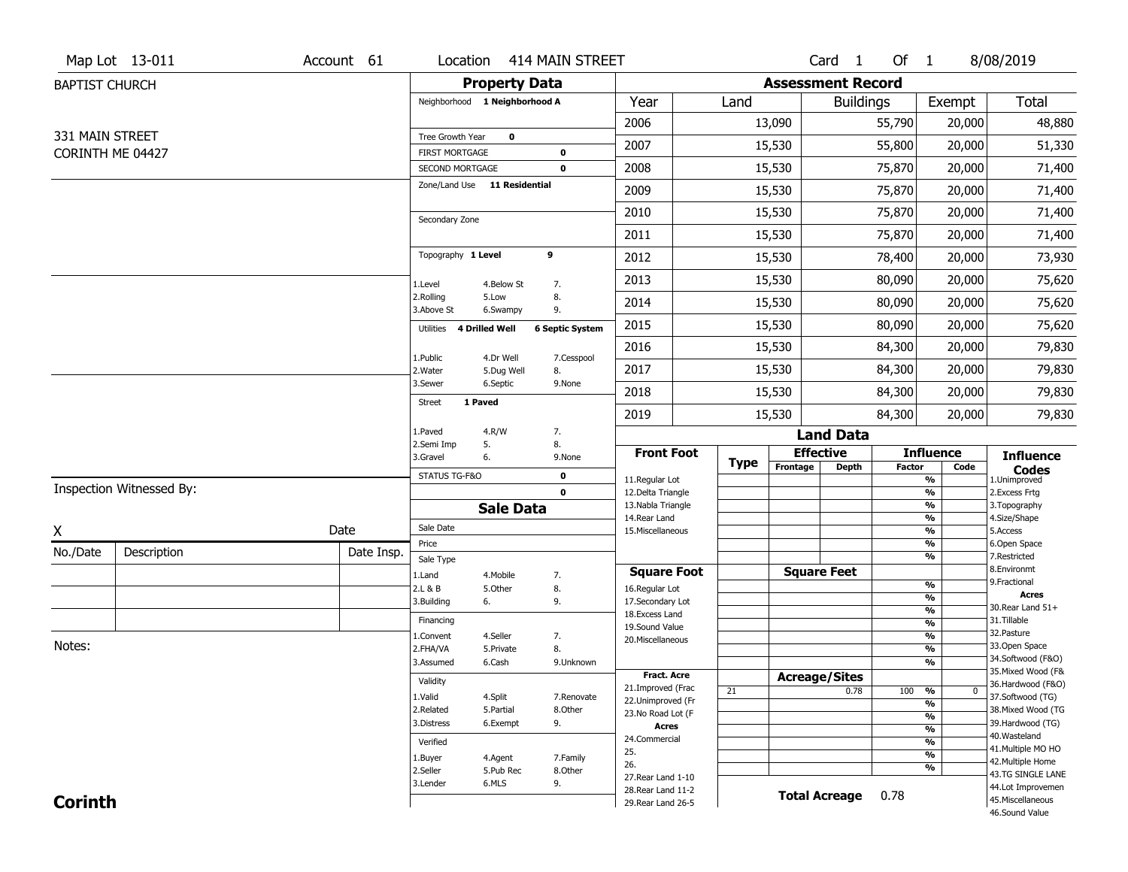|                       | Map Lot 13-011           | Account 61 | Location                                 |                      | 414 MAIN STREET        |                                          |             |          | Card <sub>1</sub>        | Of 1          |                                           | 8/08/2019                               |
|-----------------------|--------------------------|------------|------------------------------------------|----------------------|------------------------|------------------------------------------|-------------|----------|--------------------------|---------------|-------------------------------------------|-----------------------------------------|
| <b>BAPTIST CHURCH</b> |                          |            |                                          | <b>Property Data</b> |                        |                                          |             |          | <b>Assessment Record</b> |               |                                           |                                         |
|                       |                          |            | Neighborhood 1 Neighborhood A            |                      |                        | Year                                     | Land        |          | <b>Buildings</b>         |               | Exempt                                    | Total                                   |
|                       |                          |            |                                          |                      |                        | 2006                                     |             | 13,090   |                          | 55,790        | 20,000                                    | 48,880                                  |
| 331 MAIN STREET       |                          |            | Tree Growth Year                         | 0                    |                        | 2007                                     |             | 15,530   |                          | 55,800        | 20,000                                    | 51,330                                  |
| CORINTH ME 04427      |                          |            | <b>FIRST MORTGAGE</b><br>SECOND MORTGAGE |                      | 0<br>$\mathbf 0$       | 2008                                     |             | 15,530   |                          | 75,870        | 20,000                                    | 71,400                                  |
|                       |                          |            | Zone/Land Use 11 Residential             |                      |                        | 2009                                     |             | 15,530   |                          | 75,870        | 20,000                                    | 71,400                                  |
|                       |                          |            |                                          |                      |                        | 2010                                     |             | 15,530   |                          | 75,870        | 20,000                                    | 71,400                                  |
|                       |                          |            | Secondary Zone                           |                      |                        | 2011                                     |             | 15,530   |                          | 75,870        | 20,000                                    | 71,400                                  |
|                       |                          |            | Topography 1 Level                       |                      | 9                      | 2012                                     |             | 15,530   |                          | 78,400        | 20,000                                    | 73,930                                  |
|                       |                          |            | 1.Level                                  | 4.Below St           | 7.                     | 2013                                     |             | 15,530   |                          | 80,090        | 20,000                                    | 75,620                                  |
|                       |                          |            | 2.Rolling<br>3.Above St                  | 5.Low<br>6.Swampy    | 8.<br>9.               | 2014                                     |             | 15,530   |                          | 80,090        | 20,000                                    | 75,620                                  |
|                       |                          |            | 4 Drilled Well<br>Utilities              |                      | <b>6 Septic System</b> | 2015                                     |             | 15,530   |                          | 80,090        | 20,000                                    | 75,620                                  |
|                       |                          |            | 1.Public                                 | 4.Dr Well            | 7.Cesspool             | 2016                                     |             | 15,530   |                          | 84,300        | 20,000                                    | 79,830                                  |
|                       |                          |            | 2. Water                                 | 5.Dug Well           | 8.                     | 2017                                     |             | 15,530   |                          | 84,300        | 20,000                                    | 79,830                                  |
|                       |                          |            | 3.Sewer                                  | 6.Septic             | 9.None                 | 2018                                     |             | 15,530   |                          | 84,300        | 20,000                                    | 79,830                                  |
|                       |                          |            | 1 Paved<br><b>Street</b>                 |                      |                        | 2019                                     |             | 15,530   |                          | 84,300        | 20,000                                    | 79,830                                  |
|                       |                          |            | 1.Paved<br>2.Semi Imp                    | 4.R/W                | 7.<br>8.               |                                          |             |          | <b>Land Data</b>         |               |                                           |                                         |
|                       |                          |            | 3.Gravel                                 | 5.<br>6.             | 9.None                 | <b>Front Foot</b>                        | <b>Type</b> |          | <b>Effective</b>         |               | <b>Influence</b>                          | <b>Influence</b>                        |
|                       |                          |            | STATUS TG-F&O                            |                      | 0                      | 11.Regular Lot                           |             | Frontage | <b>Depth</b>             | <b>Factor</b> | Code<br>$\frac{9}{6}$                     | <b>Codes</b><br>1.Unimproved            |
|                       | Inspection Witnessed By: |            |                                          |                      | $\mathbf 0$            | 12.Delta Triangle<br>13. Nabla Triangle  |             |          |                          |               | $\frac{9}{6}$<br>$\overline{\frac{9}{6}}$ | 2.Excess Frtg<br>3. Topography          |
|                       |                          |            |                                          | <b>Sale Data</b>     |                        | 14. Rear Land                            |             |          |                          |               | $\frac{9}{6}$                             | 4.Size/Shape                            |
| X                     |                          | Date       | Sale Date<br>Price                       |                      |                        | 15. Miscellaneous                        |             |          |                          |               | $\overline{\frac{9}{6}}$<br>$\frac{9}{6}$ | 5.Access<br>6.Open Space                |
| No./Date              | Description              | Date Insp. | Sale Type                                |                      |                        |                                          |             |          |                          |               | $\overline{\frac{9}{6}}$                  | 7.Restricted                            |
|                       |                          |            | 1.Land                                   | 4. Mobile            | 7.                     | <b>Square Foot</b>                       |             |          | <b>Square Feet</b>       |               |                                           | 8.Environmt                             |
|                       |                          |            | 2.L & B                                  | 5.Other              | 8.                     | 16.Regular Lot                           |             |          |                          |               | $\frac{9}{6}$<br>%                        | 9. Fractional<br><b>Acres</b>           |
|                       |                          |            | 3.Building                               | 6.                   | 9.                     | 17.Secondary Lot                         |             |          |                          |               | $\frac{9}{6}$                             | 30. Rear Land 51+                       |
|                       |                          |            |                                          |                      |                        |                                          |             |          |                          |               |                                           | 31.Tillable                             |
|                       |                          |            | Financing                                |                      |                        | 18. Excess Land                          |             |          |                          |               | $\frac{9}{6}$                             |                                         |
|                       |                          |            | 1.Convent                                | 4.Seller             | 7.                     | 19.Sound Value<br>20.Miscellaneous       |             |          |                          |               | $\frac{9}{6}$                             | 32.Pasture                              |
| Notes:                |                          |            | 2.FHA/VA                                 | 5.Private            | 8.                     |                                          |             |          |                          |               | $\frac{9}{6}$                             | 33.Open Space                           |
|                       |                          |            | 3.Assumed                                | 6.Cash               | 9.Unknown              |                                          |             |          |                          |               | $\frac{9}{6}$                             | 34.Softwood (F&O)<br>35. Mixed Wood (F& |
|                       |                          |            | Validity                                 |                      |                        | Fract. Acre<br>21.Improved (Frac         |             |          | <b>Acreage/Sites</b>     |               |                                           | 36.Hardwood (F&O)                       |
|                       |                          |            | 1.Valid                                  | 4.Split              | 7.Renovate             | 22.Unimproved (Fr                        | 21          |          | 0.78                     | 100           | %<br>$\bf{0}$<br>%                        | 37.Softwood (TG)                        |
|                       |                          |            | 2.Related                                | 5.Partial            | 8.Other                | 23.No Road Lot (F                        |             |          |                          |               | %                                         | 38. Mixed Wood (TG                      |
|                       |                          |            | 3.Distress                               | 6.Exempt             | 9.                     | <b>Acres</b>                             |             |          |                          |               | $\frac{9}{6}$                             | 39.Hardwood (TG)                        |
|                       |                          |            | Verified                                 |                      |                        | 24.Commercial                            |             |          |                          |               | $\frac{9}{6}$                             | 40. Wasteland<br>41. Multiple MO HO     |
|                       |                          |            | 1.Buyer                                  | 4.Agent              | 7.Family               | 25.<br>26.                               |             |          |                          |               | $\overline{\frac{9}{6}}$                  | 42. Multiple Home                       |
|                       |                          |            | 2.Seller                                 | 5.Pub Rec            | 8.Other                | 27. Rear Land 1-10                       |             |          |                          |               | %                                         | 43.TG SINGLE LANE                       |
| <b>Corinth</b>        |                          |            | 3.Lender                                 | 6.MLS                | 9.                     | 28. Rear Land 11-2<br>29. Rear Land 26-5 |             |          | <b>Total Acreage</b>     | 0.78          |                                           | 44.Lot Improvemen<br>45. Miscellaneous  |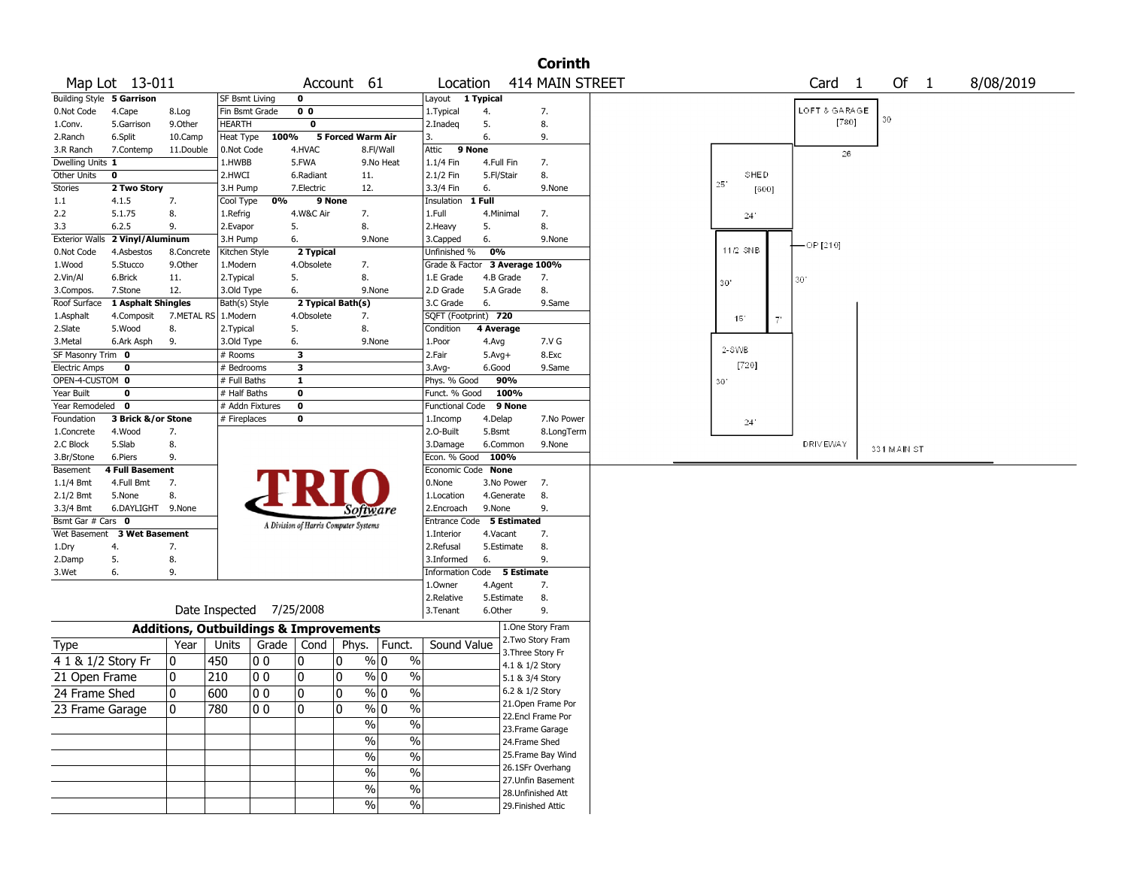|                           |                           |                                                   |                          |       |                         |                                       |                          |                               |              |                 | <b>Corinth</b>         |              |           |                   |             |           |  |
|---------------------------|---------------------------|---------------------------------------------------|--------------------------|-------|-------------------------|---------------------------------------|--------------------------|-------------------------------|--------------|-----------------|------------------------|--------------|-----------|-------------------|-------------|-----------|--|
|                           | Map Lot 13-011            |                                                   |                          |       |                         | Account 61                            |                          | Location                      |              |                 | <b>414 MAIN STREET</b> |              |           | Card <sub>1</sub> | Of 1        | 8/08/2019 |  |
| Building Style 5 Garrison |                           |                                                   | <b>SF Bsmt Living</b>    |       | $\mathbf 0$             |                                       |                          | Layout 1 Typical              |              |                 |                        |              |           |                   |             |           |  |
| 0.Not Code                | 4.Cape                    | 8.Log                                             | Fin Bsmt Grade           |       | 0 <sub>0</sub>          |                                       |                          | 1.Typical                     | 4.           |                 | 7.                     |              |           | LOFT & GARAGE     |             |           |  |
| 1.Conv.                   | 5.Garrison                | 9.0ther                                           | <b>HEARTH</b>            |       | $\overline{\mathbf{0}}$ |                                       |                          | 2.Inadeg                      | 5.           |                 | 8.                     |              |           | [780]             | 30          |           |  |
| 2.Ranch                   | 6.Split                   | 10.Camp                                           | Heat Type                | 100%  |                         | 5 Forced Warm Air                     |                          | 3.                            | 6.           |                 | 9.                     |              |           |                   |             |           |  |
| 3.R Ranch                 | 7.Contemp                 | 11.Double                                         | 0.Not Code               |       | 4.HVAC                  |                                       | 8.Fl/Wall                | Attic<br>9 None               |              |                 |                        |              |           | 26                |             |           |  |
| Dwelling Units 1          |                           |                                                   | 1.HWBB                   |       | 5.FWA                   |                                       | 9.No Heat                | 1.1/4 Fin                     | 4.Full Fin   |                 | 7.                     |              |           |                   |             |           |  |
| Other Units               | 0                         |                                                   | 2.HWCI                   |       | 6.Radiant               | 11.                                   |                          | 2.1/2 Fin                     | 5.Fl/Stair   |                 | 8.                     | SHED         |           |                   |             |           |  |
| Stories                   | 2 Two Story               |                                                   | 3.H Pump                 |       | 7.Electric              | 12.                                   |                          | 3.3/4 Fin                     | 6.           |                 | 9.None                 | 25'<br>[600] |           |                   |             |           |  |
| 1.1                       | 4.1.5                     | 7.                                                | Cool Type                | 0%    |                         | 9 None                                |                          | Insulation                    | 1 Full       |                 |                        |              |           |                   |             |           |  |
| 2.2                       | 5.1.75                    | 8.                                                | 1.Refrig                 |       | 4.W&C Air               | 7.                                    |                          | 1.Full                        | 4.Minimal    |                 | 7.                     | 24'          |           |                   |             |           |  |
| 3.3                       | 6.2.5                     | 9.                                                | 2.Evapor                 |       | 5.                      | 8.                                    |                          | 2.Heavy                       | 5.           |                 | 8.                     |              |           |                   |             |           |  |
| <b>Exterior Walls</b>     | 2 Vinyl/Aluminum          |                                                   | 3.H Pump                 |       | 6.                      |                                       | 9.None                   | 3.Capped                      | 6.           |                 | 9.None                 |              |           |                   |             |           |  |
| 0.Not Code                | 4.Asbestos                | 8.Concrete                                        | Kitchen Style            |       | 2 Typical               |                                       |                          | Unfinished %                  | 0%           |                 |                        | 11/2 SNB     |           | — OP [210]        |             |           |  |
| 1.Wood                    | 5.Stucco                  | 9.0ther                                           | 1.Modern                 |       | 4.Obsolete              | 7.                                    |                          | Grade & Factor 3 Average 100% |              |                 |                        |              |           |                   |             |           |  |
| 2.Vin/Al                  | 6.Brick                   | 11.                                               | 2. Typical               |       | 5.                      | 8.                                    |                          | 1.E Grade                     | 4.B Grade    |                 | 7.                     | 30"          |           | 30                |             |           |  |
| 3.Compos.                 | 7.Stone                   | 12.                                               | 3.Old Type               |       | 6.                      |                                       | 9.None                   | 2.D Grade                     | 5.A Grade    |                 | 8.                     |              |           |                   |             |           |  |
| Roof Surface              | <b>1 Asphalt Shingles</b> |                                                   | Bath(s) Style            |       |                         | 2 Typical Bath(s)                     |                          | 3.C Grade                     | 6.           |                 | 9.Same                 |              |           |                   |             |           |  |
| 1.Asphalt                 | 4.Composit                | 7.METAL RS 1.Modern                               |                          |       | 4.Obsolete              | 7.                                    |                          | SQFT (Footprint) 720          |              |                 |                        | 151          | $7^\circ$ |                   |             |           |  |
| 2.Slate                   | 5.Wood                    | 8.                                                | 2. Typical               |       | 5.                      | 8.                                    |                          | Condition                     | 4 Average    |                 |                        |              |           |                   |             |           |  |
| 3.Metal                   | 6.Ark Asph                | 9.                                                | 3.Old Type               |       | 6.                      |                                       | 9.None                   | 1.Poor                        | 4.Avg        |                 | 7.V G                  |              |           |                   |             |           |  |
| SF Masonry Trim 0         |                           |                                                   | $#$ Rooms                |       | 3                       |                                       |                          | 2.Fair                        | $5.$ Avg $+$ |                 | 8.Exc                  | 2-SWB        |           |                   |             |           |  |
| <b>Electric Amps</b>      | $\mathbf 0$               |                                                   | # Bedrooms               |       | $\overline{\mathbf{3}}$ |                                       |                          | $3.$ Avg-                     | 6.Good       |                 | 9.Same                 | [720]        |           |                   |             |           |  |
| OPEN-4-CUSTOM 0           |                           |                                                   | # Full Baths             |       | $\overline{\mathbf{1}}$ |                                       |                          | Phys. % Good                  |              | 90%             |                        | 30           |           |                   |             |           |  |
| Year Built                | $\mathbf 0$               |                                                   | # Half Baths             |       | $\bf{0}$                |                                       |                          | Funct. % Good                 |              | 100%            |                        |              |           |                   |             |           |  |
| Year Remodeled 0          |                           |                                                   | # Addn Fixtures          |       | $\bf{0}$                |                                       |                          | Functional Code               |              | 9 None          |                        |              |           |                   |             |           |  |
| Foundation                | 3 Brick &/or Stone        |                                                   | # Fireplaces             |       | $\bf{0}$                |                                       |                          | 1.Incomp                      | 4.Delap      |                 | 7.No Power             | $24^{\circ}$ |           |                   |             |           |  |
| 1.Concrete                | 4.Wood                    | 7.                                                |                          |       |                         |                                       |                          | 2.0-Built                     | 5.Bsmt       |                 | 8.LongTerm             |              |           |                   |             |           |  |
| 2.C Block                 | 5.Slab                    | 8.                                                |                          |       |                         |                                       |                          | 3.Damage                      | 6.Common     |                 | 9.None                 |              |           | <b>DRIVEWAY</b>   | 331 MAIN ST |           |  |
| 3.Br/Stone                | 6.Piers                   | 9.                                                |                          |       |                         |                                       |                          | Econ. % Good                  | 100%         |                 |                        |              |           |                   |             |           |  |
| Basement                  | <b>4 Full Basement</b>    |                                                   |                          |       |                         |                                       |                          | Economic Code None            |              |                 |                        |              |           |                   |             |           |  |
| 1.1/4 Bmt                 | 4.Full Bmt                | 7.                                                |                          |       |                         |                                       |                          | 0.None                        |              | 3.No Power      | 7.                     |              |           |                   |             |           |  |
| $2.1/2$ Bmt               | 5.None                    | 8.                                                |                          |       |                         |                                       |                          | 1.Location                    | 4.Generate   |                 | 8.                     |              |           |                   |             |           |  |
| 3.3/4 Bmt                 | 6.DAYLIGHT 9.None         |                                                   |                          |       |                         | <i>Software</i>                       |                          | 2.Encroach                    | 9.None       |                 | 9.                     |              |           |                   |             |           |  |
| Bsmt Gar # Cars 0         |                           |                                                   |                          |       |                         | A Division of Harris Computer Systems |                          | Entrance Code 5 Estimated     |              |                 |                        |              |           |                   |             |           |  |
| Wet Basement              | <b>3 Wet Basement</b>     |                                                   |                          |       |                         |                                       |                          | 1.Interior                    | 4.Vacant     |                 | 7.                     |              |           |                   |             |           |  |
| 1.Dry                     | 4.                        | 7.                                                |                          |       |                         |                                       |                          | 2.Refusal                     | 5.Estimate   |                 | 8.                     |              |           |                   |             |           |  |
| 2.Damp                    | 5.                        | 8.                                                |                          |       |                         |                                       |                          | 3.Informed                    | 6.           |                 | 9.                     |              |           |                   |             |           |  |
| 3.Wet                     | 6.                        | 9.                                                |                          |       |                         |                                       |                          | Information Code 5 Estimate   |              |                 |                        |              |           |                   |             |           |  |
|                           |                           |                                                   |                          |       |                         |                                       |                          | 1.0wner                       | 4.Agent      |                 | 7.                     |              |           |                   |             |           |  |
|                           |                           |                                                   |                          |       |                         |                                       |                          | 2.Relative                    | 5.Estimate   |                 | 8.                     |              |           |                   |             |           |  |
|                           |                           |                                                   | Date Inspected 7/25/2008 |       |                         |                                       |                          | 3.Tenant                      | 6.Other      |                 | 9.                     |              |           |                   |             |           |  |
|                           |                           | <b>Additions, Outbuildings &amp; Improvements</b> |                          |       |                         |                                       |                          |                               |              |                 | 1.One Story Fram       |              |           |                   |             |           |  |
|                           |                           |                                                   |                          |       |                         |                                       |                          |                               |              |                 | 2. Two Story Fram      |              |           |                   |             |           |  |
| Type                      |                           | Year                                              | Units                    | Grade | Cond                    | Phys.                                 | Funct.                   | Sound Value                   |              |                 | 3. Three Story Fr      |              |           |                   |             |           |  |
| 4 1 & 1/2 Story Fr        |                           | 0                                                 | 450                      | O O   | 0                       | 0                                     | $\frac{9}{0}$ 0<br>$\%$  |                               |              | 4.1 & 1/2 Story |                        |              |           |                   |             |           |  |
| 21 Open Frame             |                           | 0                                                 | 210                      | 00    | 0                       | $\mathbf 0$                           | $\%$ 0<br>$\%$           |                               |              | 5.1 & 3/4 Story |                        |              |           |                   |             |           |  |
| 24 Frame Shed             |                           | 0                                                 | 600                      | 00    | 10                      | 10                                    | % 0<br>$\frac{0}{0}$     |                               |              | 6.2 & 1/2 Story |                        |              |           |                   |             |           |  |
|                           |                           |                                                   |                          |       |                         |                                       |                          |                               |              |                 | 21.Open Frame Por      |              |           |                   |             |           |  |
| 23 Frame Garage           |                           | $\overline{0}$                                    | 780                      | 00    | 0                       | $\mathbf{0}$                          | $\sqrt{0}$<br>$\%$       |                               |              |                 | 22.Encl Frame Por      |              |           |                   |             |           |  |
|                           |                           |                                                   |                          |       |                         | $\frac{9}{6}$                         | $\overline{\frac{0}{6}}$ |                               |              |                 | 23.Frame Garage        |              |           |                   |             |           |  |
|                           |                           |                                                   |                          |       |                         | $\%$                                  | $\overline{\frac{0}{6}}$ |                               |              | 24.Frame Shed   |                        |              |           |                   |             |           |  |
|                           |                           |                                                   |                          |       |                         | $\frac{9}{6}$                         | $\overline{\frac{0}{6}}$ |                               |              |                 | 25.Frame Bay Wind      |              |           |                   |             |           |  |
|                           |                           |                                                   |                          |       |                         |                                       |                          |                               |              |                 | 26.1SFr Overhang       |              |           |                   |             |           |  |
|                           |                           |                                                   |                          |       |                         | $\sqrt{20}$                           | $\%$                     |                               |              |                 | 27.Unfin Basement      |              |           |                   |             |           |  |
|                           |                           |                                                   |                          |       |                         | $\sqrt{6}$                            | $\%$                     |                               |              |                 | 28.Unfinished Att      |              |           |                   |             |           |  |
|                           |                           |                                                   |                          |       |                         | $\%$                                  | $\%$                     |                               |              |                 | 29. Finished Attic     |              |           |                   |             |           |  |
|                           |                           |                                                   |                          |       |                         |                                       |                          |                               |              |                 |                        |              |           |                   |             |           |  |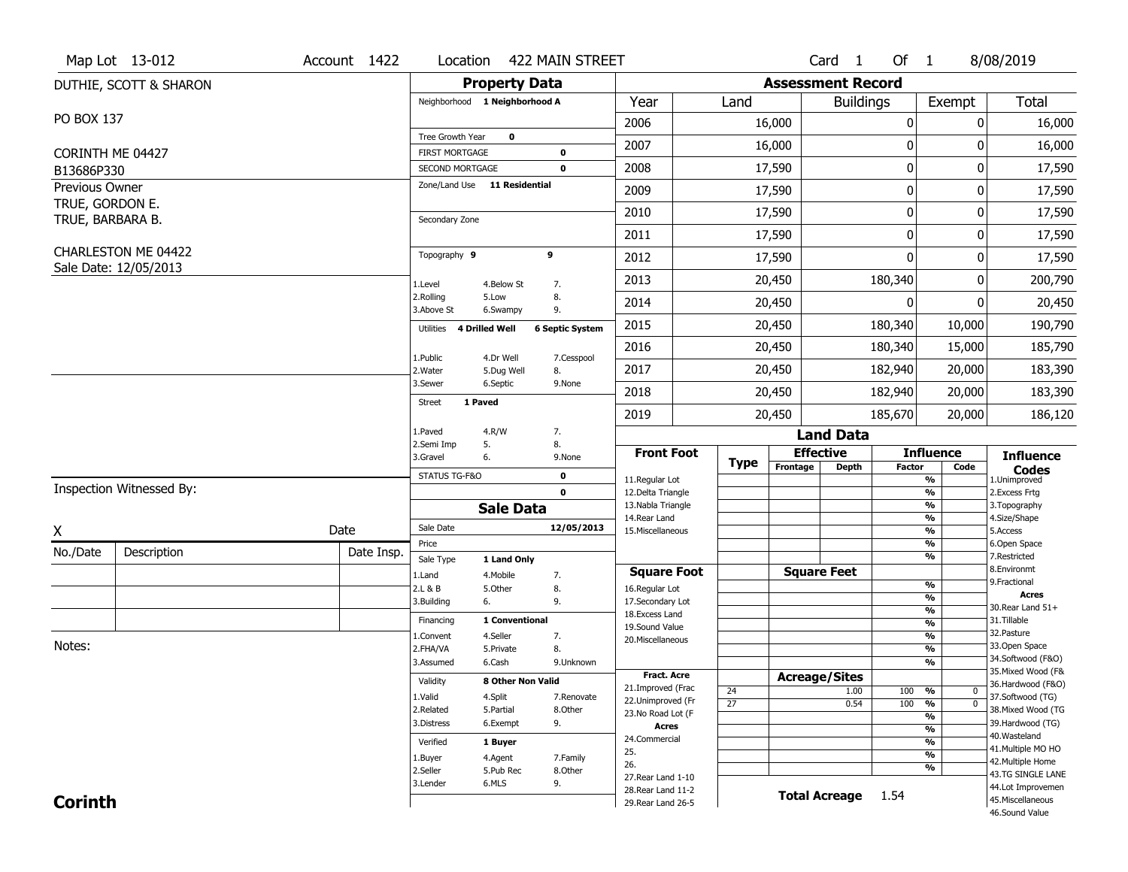|                                     | Map Lot 13-012           | Account 1422 | Location                                 |                         | 422 MAIN STREET        |                                          |                 |                          | Card <sub>1</sub>    | Of $1$           |                                           | 8/08/2019                               |
|-------------------------------------|--------------------------|--------------|------------------------------------------|-------------------------|------------------------|------------------------------------------|-----------------|--------------------------|----------------------|------------------|-------------------------------------------|-----------------------------------------|
|                                     | DUTHIE, SCOTT & SHARON   |              |                                          | <b>Property Data</b>    |                        |                                          |                 | <b>Assessment Record</b> |                      |                  |                                           |                                         |
|                                     |                          |              | Neighborhood 1 Neighborhood A            |                         |                        | Year                                     | Land            |                          | <b>Buildings</b>     |                  | Exempt                                    | Total                                   |
| PO BOX 137                          |                          |              |                                          |                         |                        | 2006                                     |                 | 16,000                   |                      | $\boldsymbol{0}$ | 0                                         | 16,000                                  |
|                                     |                          |              | Tree Growth Year                         | $\mathbf 0$             |                        | 2007                                     |                 | 16,000                   |                      | $\mathbf{0}$     | O                                         | 16,000                                  |
| CORINTH ME 04427                    |                          |              | <b>FIRST MORTGAGE</b><br>SECOND MORTGAGE |                         | 0<br>0                 | 2008                                     |                 | 17,590                   |                      | $\boldsymbol{0}$ | 0                                         | 17,590                                  |
| B13686P330<br><b>Previous Owner</b> |                          |              | Zone/Land Use 11 Residential             |                         |                        |                                          |                 |                          |                      |                  |                                           |                                         |
| TRUE, GORDON E.                     |                          |              |                                          |                         |                        | 2009                                     |                 | 17,590                   |                      | $\mathbf 0$      | 0                                         | 17,590                                  |
| TRUE, BARBARA B.                    |                          |              | Secondary Zone                           |                         |                        | 2010                                     |                 | 17,590                   |                      | $\mathbf 0$      | 0                                         | 17,590                                  |
|                                     |                          |              |                                          |                         |                        | 2011                                     |                 | 17,590                   |                      | $\mathbf{0}$     | 0                                         | 17,590                                  |
|                                     | CHARLESTON ME 04422      |              | Topography 9                             |                         | 9                      | 2012                                     |                 | 17,590                   |                      | $\mathbf{0}$     | 0                                         | 17,590                                  |
|                                     | Sale Date: 12/05/2013    |              | 1.Level                                  | 4.Below St              | 7.                     | 2013                                     |                 | 20,450                   |                      | 180,340          | 0                                         | 200,790                                 |
|                                     |                          |              | 2.Rolling<br>3.Above St                  | 5.Low<br>6.Swampy       | 8.<br>9.               | 2014                                     |                 | 20,450                   |                      | $\Omega$         | 0                                         | 20,450                                  |
|                                     |                          |              | Utilities<br>4 Drilled Well              |                         | <b>6 Septic System</b> | 2015                                     |                 | 20,450                   |                      | 180,340          | 10,000                                    | 190,790                                 |
|                                     |                          |              |                                          |                         |                        | 2016                                     |                 | 20,450                   |                      | 180,340          | 15,000                                    | 185,790                                 |
|                                     |                          |              | 1.Public<br>2. Water                     | 4.Dr Well<br>5.Dug Well | 7.Cesspool<br>8.       | 2017                                     |                 | 20,450                   |                      | 182,940          | 20,000                                    | 183,390                                 |
|                                     |                          |              | 3.Sewer                                  | 6.Septic                | 9.None                 | 2018                                     |                 | 20,450                   |                      | 182,940          | 20,000                                    | 183,390                                 |
|                                     |                          |              | 1 Paved<br><b>Street</b>                 |                         |                        | 2019                                     |                 | 20,450                   |                      | 185,670          | 20,000                                    | 186,120                                 |
|                                     |                          |              | 1.Paved                                  | 4.R/W                   | 7.                     |                                          |                 |                          | <b>Land Data</b>     |                  |                                           |                                         |
|                                     |                          |              | 2.Semi Imp<br>5.<br>3.Gravel<br>6.       |                         | 8.<br>9.None           | <b>Front Foot</b>                        |                 | <b>Effective</b>         |                      |                  | <b>Influence</b>                          | <b>Influence</b>                        |
|                                     |                          |              | STATUS TG-F&O                            |                         | 0                      |                                          | <b>Type</b>     | Frontage                 | <b>Depth</b>         | <b>Factor</b>    | Code                                      | <b>Codes</b>                            |
|                                     | Inspection Witnessed By: |              |                                          |                         | $\mathbf{0}$           | 11.Regular Lot<br>12.Delta Triangle      |                 |                          |                      |                  | $\overline{\frac{9}{6}}$<br>$\frac{9}{6}$ | 1.Unimproved<br>2.Excess Frtg           |
|                                     |                          |              |                                          | <b>Sale Data</b>        |                        | 13. Nabla Triangle                       |                 |                          |                      |                  | $\frac{9}{6}$                             | 3. Topography                           |
| X                                   |                          | Date         | Sale Date                                |                         | 12/05/2013             | 14. Rear Land<br>15. Miscellaneous       |                 |                          |                      |                  | $\frac{9}{6}$<br>$\frac{9}{6}$            | 4.Size/Shape<br>5.Access                |
| No./Date                            | Description              | Date Insp.   | Price                                    |                         |                        |                                          |                 |                          |                      |                  | $\frac{9}{6}$                             | 6.Open Space                            |
|                                     |                          |              | Sale Type                                | 1 Land Only             |                        | <b>Square Foot</b>                       |                 | <b>Square Feet</b>       |                      |                  | $\overline{\frac{9}{6}}$                  | 7.Restricted<br>8.Environmt             |
|                                     |                          |              | 1.Land<br>2.L & B                        | 4. Mobile<br>5.Other    | 7.<br>8.               | 16.Regular Lot                           |                 |                          |                      |                  | $\frac{9}{6}$                             | 9. Fractional                           |
|                                     |                          |              | 3.Building<br>6.                         |                         | 9.                     | 17.Secondary Lot                         |                 |                          |                      |                  | %                                         | <b>Acres</b><br>30. Rear Land 51+       |
|                                     |                          |              | Financing                                | 1 Conventional          |                        | 18. Excess Land                          |                 |                          |                      |                  | $\frac{9}{6}$<br>$\frac{9}{6}$            | 31.Tillable                             |
|                                     |                          |              | 1.Convent                                | 4.Seller                | 7.                     | 19.Sound Value<br>20.Miscellaneous       |                 |                          |                      |                  | $\frac{9}{6}$                             | 32.Pasture                              |
| Notes:                              |                          |              | 2.FHA/VA                                 | 5.Private               | 8.                     |                                          |                 |                          |                      |                  | $\frac{9}{6}$                             | 33.Open Space                           |
|                                     |                          |              | 3.Assumed                                | 6.Cash                  | 9.Unknown              |                                          |                 |                          |                      |                  | %                                         | 34.Softwood (F&O)<br>35. Mixed Wood (F& |
|                                     |                          |              | Validity                                 | 8 Other Non Valid       |                        | <b>Fract. Acre</b>                       |                 | <b>Acreage/Sites</b>     |                      |                  |                                           | 36.Hardwood (F&O)                       |
|                                     |                          |              |                                          |                         | 7.Renovate             | 21.Improved (Frac                        | 24              |                          | 1.00                 | 100              | %<br>$\mathbf{0}$                         | 37.Softwood (TG)                        |
|                                     |                          |              | 1.Valid                                  | 4.Split                 |                        |                                          |                 |                          |                      |                  |                                           |                                         |
|                                     |                          |              | 2.Related                                | 5.Partial               | 8.Other                | 22.Unimproved (Fr                        | $\overline{27}$ |                          | 0.54                 | 100 %            | $\overline{0}$                            | 38. Mixed Wood (TG                      |
|                                     |                          |              | 3.Distress                               | 6.Exempt                | 9.                     | 23.No Road Lot (F<br><b>Acres</b>        |                 |                          |                      |                  | %                                         | 39.Hardwood (TG)                        |
|                                     |                          |              | Verified                                 |                         |                        | 24.Commercial                            |                 |                          |                      |                  | $\frac{9}{6}$<br>%                        | 40. Wasteland                           |
|                                     |                          |              |                                          | 1 Buyer                 |                        | 25.                                      |                 |                          |                      |                  | $\overline{\frac{9}{6}}$                  | 41. Multiple MO HO                      |
|                                     |                          |              | 1.Buyer<br>2.Seller                      | 4.Agent<br>5.Pub Rec    | 7.Family<br>8.Other    | 26.                                      |                 |                          |                      |                  | %                                         | 42. Multiple Home                       |
|                                     |                          |              | 3.Lender                                 | 6.MLS                   | 9.                     | 27. Rear Land 1-10                       |                 |                          |                      |                  |                                           | 43.TG SINGLE LANE<br>44.Lot Improvemen  |
| <b>Corinth</b>                      |                          |              |                                          |                         |                        | 28. Rear Land 11-2<br>29. Rear Land 26-5 |                 |                          | <b>Total Acreage</b> | 1.54             |                                           | 45. Miscellaneous<br>46.Sound Value     |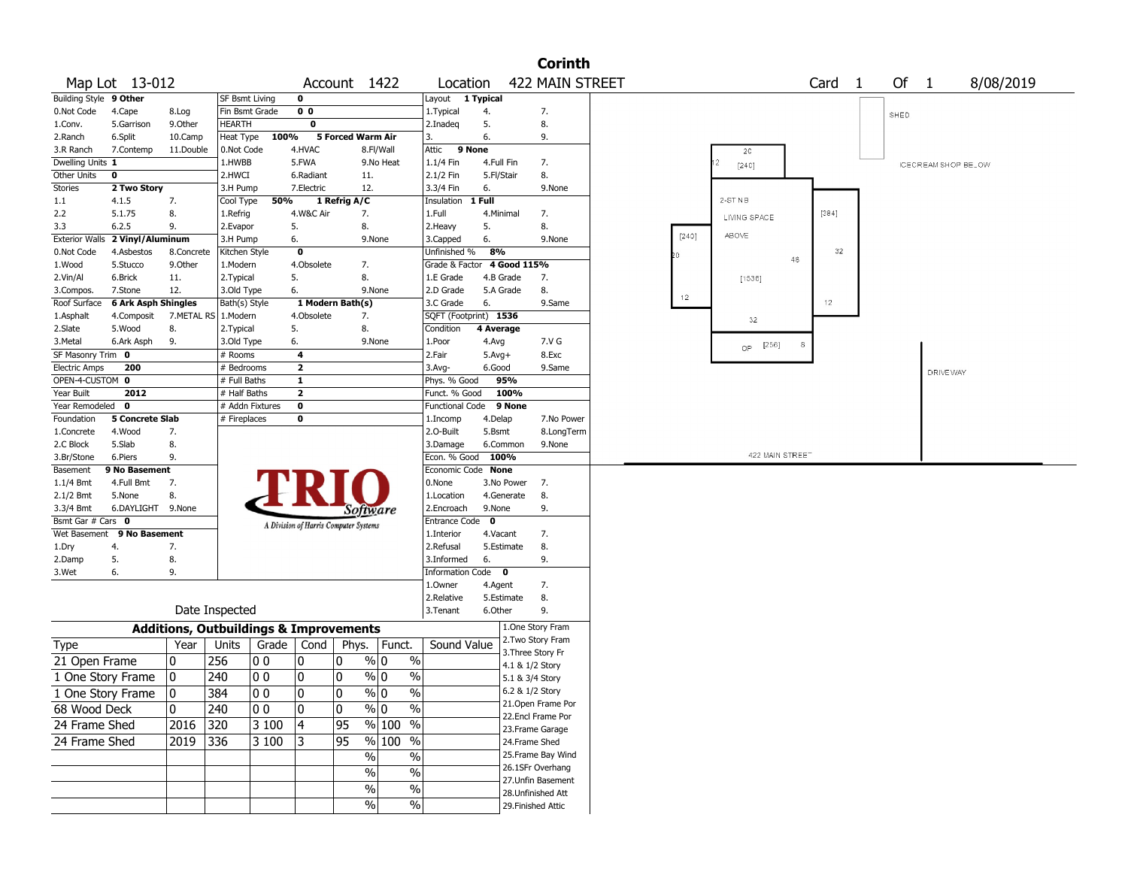| 422 MAIN STREET<br>Of<br>Map Lot 13-012<br>Card <sub>1</sub><br>Account 1422<br>Location<br>$\overline{1}$<br><b>Building Style</b><br>9 Other<br>$\mathbf 0$<br><b>SF Bsmt Living</b><br>Layout<br>1 Typical<br>0 <sub>0</sub><br>0.Not Code<br>4.Cape<br>Fin Bsmt Grade<br>1. Typical<br>7.<br>8.Log<br>4.<br>SHED<br>$\overline{\mathbf{0}}$<br>5.<br>HEARTH<br>8.<br>5.Garrison<br>9.0ther<br>2.Inadeq<br>1.Conv.<br>100%<br>5 Forced Warm Air<br>6.<br>9.<br>2.Ranch<br>6.Split<br>10.Camp<br>Heat Type<br>3.<br>4.HVAC<br>Attic<br>9 None<br>7.Contemp<br>11.Double<br>0.Not Code<br>8.Fl/Wall<br>3.R Ranch<br>2C<br>7.<br>Dwelling Units 1<br>1.HWBB<br>5.FWA<br>9.No Heat<br>1.1/4 Fin<br>4.Full Fin<br>$[24C]$<br>8.<br>Other Units<br>$\mathbf 0$<br>2.HWCI<br>6.Radiant<br>11.<br>2.1/2 Fin<br>5.Fl/Stair<br>Stories<br>2 Two Story<br>7.Electric<br>12.<br>3.3/4 Fin<br>3.H Pump<br>6.<br>9.None<br>$2-STNB$<br>50%<br>1 Full<br>1.1<br>4.1.5<br>7.<br>Cool Type<br>1 Refrig A/C<br>Insulation<br>[384]<br>2.2<br>5.1.75<br>8.<br>4.W&C Air<br>7.<br>1.Full<br>4.Minimal<br>7.<br>1.Refrig<br>LIVING SPACE<br>8.<br>2.Heavy<br>5.<br>3.3<br>6.2.5<br>9.<br>2.Evapor<br>5.<br>8.<br>ABOVE<br>[240]<br><b>Exterior Walls</b><br>2 Vinyl/Aluminum<br>6.<br>6.<br>3.H Pump<br>9.None<br>3.Capped<br>9.None<br>8%<br>32<br>$\mathbf 0$<br>Unfinished %<br>0.Not Code<br>4.Asbestos<br>8.Concrete<br>Kitchen Style<br>48<br>4.Obsolete<br>4 Good 115%<br>5.Stucco<br>9.Other<br>1.Modern<br>7.<br>Grade & Factor<br>1.Wood<br>5.<br>8.<br>2.Vin/Al<br>6.Brick<br>11.<br>2. Typical<br>1.E Grade<br>4.B Grade<br>7.<br>[1536]<br>12.<br>6.<br>8.<br>7.Stone<br>3.Old Type<br>9.None<br>2.D Grade<br>5.A Grade<br>3.Compos.<br>12 <sub>1</sub><br>12<br>6 Ark Asph Shingles<br>1 Modern Bath(s)<br>6.<br>Roof Surface<br>Bath(s) Style<br>3.C Grade<br>9.Same | 8/08/2019<br><b>ICECREAM SHOP BELOW</b> |
|-------------------------------------------------------------------------------------------------------------------------------------------------------------------------------------------------------------------------------------------------------------------------------------------------------------------------------------------------------------------------------------------------------------------------------------------------------------------------------------------------------------------------------------------------------------------------------------------------------------------------------------------------------------------------------------------------------------------------------------------------------------------------------------------------------------------------------------------------------------------------------------------------------------------------------------------------------------------------------------------------------------------------------------------------------------------------------------------------------------------------------------------------------------------------------------------------------------------------------------------------------------------------------------------------------------------------------------------------------------------------------------------------------------------------------------------------------------------------------------------------------------------------------------------------------------------------------------------------------------------------------------------------------------------------------------------------------------------------------------------------------------------------------------------------------------------------------------------------------------------|-----------------------------------------|
|                                                                                                                                                                                                                                                                                                                                                                                                                                                                                                                                                                                                                                                                                                                                                                                                                                                                                                                                                                                                                                                                                                                                                                                                                                                                                                                                                                                                                                                                                                                                                                                                                                                                                                                                                                                                                                                                   |                                         |
|                                                                                                                                                                                                                                                                                                                                                                                                                                                                                                                                                                                                                                                                                                                                                                                                                                                                                                                                                                                                                                                                                                                                                                                                                                                                                                                                                                                                                                                                                                                                                                                                                                                                                                                                                                                                                                                                   |                                         |
|                                                                                                                                                                                                                                                                                                                                                                                                                                                                                                                                                                                                                                                                                                                                                                                                                                                                                                                                                                                                                                                                                                                                                                                                                                                                                                                                                                                                                                                                                                                                                                                                                                                                                                                                                                                                                                                                   |                                         |
|                                                                                                                                                                                                                                                                                                                                                                                                                                                                                                                                                                                                                                                                                                                                                                                                                                                                                                                                                                                                                                                                                                                                                                                                                                                                                                                                                                                                                                                                                                                                                                                                                                                                                                                                                                                                                                                                   |                                         |
|                                                                                                                                                                                                                                                                                                                                                                                                                                                                                                                                                                                                                                                                                                                                                                                                                                                                                                                                                                                                                                                                                                                                                                                                                                                                                                                                                                                                                                                                                                                                                                                                                                                                                                                                                                                                                                                                   |                                         |
|                                                                                                                                                                                                                                                                                                                                                                                                                                                                                                                                                                                                                                                                                                                                                                                                                                                                                                                                                                                                                                                                                                                                                                                                                                                                                                                                                                                                                                                                                                                                                                                                                                                                                                                                                                                                                                                                   |                                         |
|                                                                                                                                                                                                                                                                                                                                                                                                                                                                                                                                                                                                                                                                                                                                                                                                                                                                                                                                                                                                                                                                                                                                                                                                                                                                                                                                                                                                                                                                                                                                                                                                                                                                                                                                                                                                                                                                   |                                         |
|                                                                                                                                                                                                                                                                                                                                                                                                                                                                                                                                                                                                                                                                                                                                                                                                                                                                                                                                                                                                                                                                                                                                                                                                                                                                                                                                                                                                                                                                                                                                                                                                                                                                                                                                                                                                                                                                   |                                         |
|                                                                                                                                                                                                                                                                                                                                                                                                                                                                                                                                                                                                                                                                                                                                                                                                                                                                                                                                                                                                                                                                                                                                                                                                                                                                                                                                                                                                                                                                                                                                                                                                                                                                                                                                                                                                                                                                   |                                         |
|                                                                                                                                                                                                                                                                                                                                                                                                                                                                                                                                                                                                                                                                                                                                                                                                                                                                                                                                                                                                                                                                                                                                                                                                                                                                                                                                                                                                                                                                                                                                                                                                                                                                                                                                                                                                                                                                   |                                         |
|                                                                                                                                                                                                                                                                                                                                                                                                                                                                                                                                                                                                                                                                                                                                                                                                                                                                                                                                                                                                                                                                                                                                                                                                                                                                                                                                                                                                                                                                                                                                                                                                                                                                                                                                                                                                                                                                   |                                         |
|                                                                                                                                                                                                                                                                                                                                                                                                                                                                                                                                                                                                                                                                                                                                                                                                                                                                                                                                                                                                                                                                                                                                                                                                                                                                                                                                                                                                                                                                                                                                                                                                                                                                                                                                                                                                                                                                   |                                         |
|                                                                                                                                                                                                                                                                                                                                                                                                                                                                                                                                                                                                                                                                                                                                                                                                                                                                                                                                                                                                                                                                                                                                                                                                                                                                                                                                                                                                                                                                                                                                                                                                                                                                                                                                                                                                                                                                   |                                         |
|                                                                                                                                                                                                                                                                                                                                                                                                                                                                                                                                                                                                                                                                                                                                                                                                                                                                                                                                                                                                                                                                                                                                                                                                                                                                                                                                                                                                                                                                                                                                                                                                                                                                                                                                                                                                                                                                   |                                         |
|                                                                                                                                                                                                                                                                                                                                                                                                                                                                                                                                                                                                                                                                                                                                                                                                                                                                                                                                                                                                                                                                                                                                                                                                                                                                                                                                                                                                                                                                                                                                                                                                                                                                                                                                                                                                                                                                   |                                         |
|                                                                                                                                                                                                                                                                                                                                                                                                                                                                                                                                                                                                                                                                                                                                                                                                                                                                                                                                                                                                                                                                                                                                                                                                                                                                                                                                                                                                                                                                                                                                                                                                                                                                                                                                                                                                                                                                   |                                         |
|                                                                                                                                                                                                                                                                                                                                                                                                                                                                                                                                                                                                                                                                                                                                                                                                                                                                                                                                                                                                                                                                                                                                                                                                                                                                                                                                                                                                                                                                                                                                                                                                                                                                                                                                                                                                                                                                   |                                         |
| SQFT (Footprint) 1536<br>4.Composit<br>7.METAL RS   1.Modern<br>4.Obsolete<br>7.<br>1.Asphalt                                                                                                                                                                                                                                                                                                                                                                                                                                                                                                                                                                                                                                                                                                                                                                                                                                                                                                                                                                                                                                                                                                                                                                                                                                                                                                                                                                                                                                                                                                                                                                                                                                                                                                                                                                     |                                         |
| 32<br>5.<br>8.<br>4 Average<br>2.Slate<br>5.Wood<br>8.<br>2. Typical<br>Condition                                                                                                                                                                                                                                                                                                                                                                                                                                                                                                                                                                                                                                                                                                                                                                                                                                                                                                                                                                                                                                                                                                                                                                                                                                                                                                                                                                                                                                                                                                                                                                                                                                                                                                                                                                                 |                                         |
| 6.<br>7.V G<br>3.Metal<br>6.Ark Asph<br>9.<br>3.Old Type<br>9.None<br>1.Poor<br>4.Avg                                                                                                                                                                                                                                                                                                                                                                                                                                                                                                                                                                                                                                                                                                                                                                                                                                                                                                                                                                                                                                                                                                                                                                                                                                                                                                                                                                                                                                                                                                                                                                                                                                                                                                                                                                             |                                         |
| $QP - [256]$<br>8<br>SF Masonry Trim 0<br>4<br>2.Fair<br>8.Exc<br># Rooms<br>$5.$ Avg $+$                                                                                                                                                                                                                                                                                                                                                                                                                                                                                                                                                                                                                                                                                                                                                                                                                                                                                                                                                                                                                                                                                                                                                                                                                                                                                                                                                                                                                                                                                                                                                                                                                                                                                                                                                                         |                                         |
| $\overline{2}$<br>200<br><b>Electric Amps</b><br># Bedrooms<br>$3.$ Avg-<br>6.Good<br>9.Same                                                                                                                                                                                                                                                                                                                                                                                                                                                                                                                                                                                                                                                                                                                                                                                                                                                                                                                                                                                                                                                                                                                                                                                                                                                                                                                                                                                                                                                                                                                                                                                                                                                                                                                                                                      |                                         |
| OPEN-4-CUSTOM 0<br>$\overline{\mathbf{1}}$<br>95%<br># Full Baths<br>Phys. % Good                                                                                                                                                                                                                                                                                                                                                                                                                                                                                                                                                                                                                                                                                                                                                                                                                                                                                                                                                                                                                                                                                                                                                                                                                                                                                                                                                                                                                                                                                                                                                                                                                                                                                                                                                                                 | DRIVE WAY                               |
| $\overline{2}$<br>Year Built<br>2012<br># Half Baths<br>100%<br>Funct. % Good                                                                                                                                                                                                                                                                                                                                                                                                                                                                                                                                                                                                                                                                                                                                                                                                                                                                                                                                                                                                                                                                                                                                                                                                                                                                                                                                                                                                                                                                                                                                                                                                                                                                                                                                                                                     |                                         |
| $\overline{\mathbf{0}}$<br># Addn Fixtures<br>9 None<br>Year Remodeled<br>$\mathbf 0$<br><b>Functional Code</b>                                                                                                                                                                                                                                                                                                                                                                                                                                                                                                                                                                                                                                                                                                                                                                                                                                                                                                                                                                                                                                                                                                                                                                                                                                                                                                                                                                                                                                                                                                                                                                                                                                                                                                                                                   |                                         |
| <b>5 Concrete Slab</b><br>$\bf{0}$<br>Foundation<br># Fireplaces<br>4.Delap<br>7.No Power<br>1.Incomp                                                                                                                                                                                                                                                                                                                                                                                                                                                                                                                                                                                                                                                                                                                                                                                                                                                                                                                                                                                                                                                                                                                                                                                                                                                                                                                                                                                                                                                                                                                                                                                                                                                                                                                                                             |                                         |
| 2.0-Built<br>8.LongTerm<br>4.Wood<br>7.<br>5.Bsmt<br>1.Concrete                                                                                                                                                                                                                                                                                                                                                                                                                                                                                                                                                                                                                                                                                                                                                                                                                                                                                                                                                                                                                                                                                                                                                                                                                                                                                                                                                                                                                                                                                                                                                                                                                                                                                                                                                                                                   |                                         |
| 5.Slab<br>8.<br>3.Damage<br>6.Common<br>9.None<br>2.C Block                                                                                                                                                                                                                                                                                                                                                                                                                                                                                                                                                                                                                                                                                                                                                                                                                                                                                                                                                                                                                                                                                                                                                                                                                                                                                                                                                                                                                                                                                                                                                                                                                                                                                                                                                                                                       |                                         |
| 422 MAIN STREET<br>Econ. % Good<br>100%<br>3.Br/Stone<br>6.Piers<br>9.                                                                                                                                                                                                                                                                                                                                                                                                                                                                                                                                                                                                                                                                                                                                                                                                                                                                                                                                                                                                                                                                                                                                                                                                                                                                                                                                                                                                                                                                                                                                                                                                                                                                                                                                                                                            |                                         |
| Economic Code None<br>9 No Basement<br>Basement                                                                                                                                                                                                                                                                                                                                                                                                                                                                                                                                                                                                                                                                                                                                                                                                                                                                                                                                                                                                                                                                                                                                                                                                                                                                                                                                                                                                                                                                                                                                                                                                                                                                                                                                                                                                                   |                                         |
| 7.<br>0.None<br>$1.1/4$ Bmt<br>4.Full Bmt<br>3.No Power<br>7.                                                                                                                                                                                                                                                                                                                                                                                                                                                                                                                                                                                                                                                                                                                                                                                                                                                                                                                                                                                                                                                                                                                                                                                                                                                                                                                                                                                                                                                                                                                                                                                                                                                                                                                                                                                                     |                                         |
| 8.<br>2.1/2 Bmt<br>5.None<br>8.<br>1.Location<br>4.Generate                                                                                                                                                                                                                                                                                                                                                                                                                                                                                                                                                                                                                                                                                                                                                                                                                                                                                                                                                                                                                                                                                                                                                                                                                                                                                                                                                                                                                                                                                                                                                                                                                                                                                                                                                                                                       |                                         |
| 9.<br>3.3/4 Bmt<br>6.DAYLIGHT 9.None<br>2.Encroach<br>9.None<br>Software                                                                                                                                                                                                                                                                                                                                                                                                                                                                                                                                                                                                                                                                                                                                                                                                                                                                                                                                                                                                                                                                                                                                                                                                                                                                                                                                                                                                                                                                                                                                                                                                                                                                                                                                                                                          |                                         |
| Bsmt Gar # Cars 0<br>Entrance Code<br>$\mathbf{o}$<br>A Division of Harris Computer Systems                                                                                                                                                                                                                                                                                                                                                                                                                                                                                                                                                                                                                                                                                                                                                                                                                                                                                                                                                                                                                                                                                                                                                                                                                                                                                                                                                                                                                                                                                                                                                                                                                                                                                                                                                                       |                                         |
| 9 No Basement<br>Wet Basement<br>1.Interior<br>4.Vacant<br>7.                                                                                                                                                                                                                                                                                                                                                                                                                                                                                                                                                                                                                                                                                                                                                                                                                                                                                                                                                                                                                                                                                                                                                                                                                                                                                                                                                                                                                                                                                                                                                                                                                                                                                                                                                                                                     |                                         |
| 8.<br>4.<br>7.<br>2.Refusal<br>5.Estimate<br>1.Dry                                                                                                                                                                                                                                                                                                                                                                                                                                                                                                                                                                                                                                                                                                                                                                                                                                                                                                                                                                                                                                                                                                                                                                                                                                                                                                                                                                                                                                                                                                                                                                                                                                                                                                                                                                                                                |                                         |
| 5.<br>3.Informed<br>6.<br>9.<br>8.<br>2.Damp                                                                                                                                                                                                                                                                                                                                                                                                                                                                                                                                                                                                                                                                                                                                                                                                                                                                                                                                                                                                                                                                                                                                                                                                                                                                                                                                                                                                                                                                                                                                                                                                                                                                                                                                                                                                                      |                                         |
| Information Code 0<br>3.Wet<br>6.<br>9.                                                                                                                                                                                                                                                                                                                                                                                                                                                                                                                                                                                                                                                                                                                                                                                                                                                                                                                                                                                                                                                                                                                                                                                                                                                                                                                                                                                                                                                                                                                                                                                                                                                                                                                                                                                                                           |                                         |
| 1.Owner<br>4.Agent<br>7.                                                                                                                                                                                                                                                                                                                                                                                                                                                                                                                                                                                                                                                                                                                                                                                                                                                                                                                                                                                                                                                                                                                                                                                                                                                                                                                                                                                                                                                                                                                                                                                                                                                                                                                                                                                                                                          |                                         |
| 8.<br>2.Relative<br>5.Estimate                                                                                                                                                                                                                                                                                                                                                                                                                                                                                                                                                                                                                                                                                                                                                                                                                                                                                                                                                                                                                                                                                                                                                                                                                                                                                                                                                                                                                                                                                                                                                                                                                                                                                                                                                                                                                                    |                                         |
| Date Inspected<br>6.Other<br>9.<br>3.Tenant                                                                                                                                                                                                                                                                                                                                                                                                                                                                                                                                                                                                                                                                                                                                                                                                                                                                                                                                                                                                                                                                                                                                                                                                                                                                                                                                                                                                                                                                                                                                                                                                                                                                                                                                                                                                                       |                                         |
| 1.One Story Fram<br><b>Additions, Outbuildings &amp; Improvements</b>                                                                                                                                                                                                                                                                                                                                                                                                                                                                                                                                                                                                                                                                                                                                                                                                                                                                                                                                                                                                                                                                                                                                                                                                                                                                                                                                                                                                                                                                                                                                                                                                                                                                                                                                                                                             |                                         |
| 2.Two Story Fram<br>Sound Value<br>Year<br>Units<br>Grade<br>  Cond<br>Phys.<br>Funct.<br>Type                                                                                                                                                                                                                                                                                                                                                                                                                                                                                                                                                                                                                                                                                                                                                                                                                                                                                                                                                                                                                                                                                                                                                                                                                                                                                                                                                                                                                                                                                                                                                                                                                                                                                                                                                                    |                                         |
| 3. Three Story Fr                                                                                                                                                                                                                                                                                                                                                                                                                                                                                                                                                                                                                                                                                                                                                                                                                                                                                                                                                                                                                                                                                                                                                                                                                                                                                                                                                                                                                                                                                                                                                                                                                                                                                                                                                                                                                                                 |                                         |
| 256<br>$\frac{9}{0}$ 0<br>$\%$<br>10<br>0<br>0<br>21 Open Frame<br> O O<br>4.1 & 1/2 Story                                                                                                                                                                                                                                                                                                                                                                                                                                                                                                                                                                                                                                                                                                                                                                                                                                                                                                                                                                                                                                                                                                                                                                                                                                                                                                                                                                                                                                                                                                                                                                                                                                                                                                                                                                        |                                         |
| 0<br>$\frac{9}{0}$ 0<br>$\%$<br>0<br>240<br>00  <br>0<br>1 One Story Frame<br>5.1 & 3/4 Story                                                                                                                                                                                                                                                                                                                                                                                                                                                                                                                                                                                                                                                                                                                                                                                                                                                                                                                                                                                                                                                                                                                                                                                                                                                                                                                                                                                                                                                                                                                                                                                                                                                                                                                                                                     |                                         |
| 0<br>0<br>$\sqrt[6]{0}$<br>$\frac{0}{0}$<br>6.2 & 1/2 Story<br>١o<br>384<br>00<br>1 One Story Frame                                                                                                                                                                                                                                                                                                                                                                                                                                                                                                                                                                                                                                                                                                                                                                                                                                                                                                                                                                                                                                                                                                                                                                                                                                                                                                                                                                                                                                                                                                                                                                                                                                                                                                                                                               |                                         |
| 21. Open Frame Por<br>$\overline{\frac{0}{0}}$<br>0<br>$\%$ 0<br>68 Wood Deck<br>10<br>240<br>00<br>0                                                                                                                                                                                                                                                                                                                                                                                                                                                                                                                                                                                                                                                                                                                                                                                                                                                                                                                                                                                                                                                                                                                                                                                                                                                                                                                                                                                                                                                                                                                                                                                                                                                                                                                                                             |                                         |
| 22.Encl Frame Por<br> 4<br>$\frac{9}{6}$ 100 %<br>24 Frame Shed<br>2016 320<br>3100<br>95                                                                                                                                                                                                                                                                                                                                                                                                                                                                                                                                                                                                                                                                                                                                                                                                                                                                                                                                                                                                                                                                                                                                                                                                                                                                                                                                                                                                                                                                                                                                                                                                                                                                                                                                                                         |                                         |
| 23. Frame Garage                                                                                                                                                                                                                                                                                                                                                                                                                                                                                                                                                                                                                                                                                                                                                                                                                                                                                                                                                                                                                                                                                                                                                                                                                                                                                                                                                                                                                                                                                                                                                                                                                                                                                                                                                                                                                                                  |                                         |
| $\overline{95}$<br>$\frac{9}{6}$ 100 %<br>24 Frame Shed<br>2019 336<br>3100<br>13<br>24.Frame Shed                                                                                                                                                                                                                                                                                                                                                                                                                                                                                                                                                                                                                                                                                                                                                                                                                                                                                                                                                                                                                                                                                                                                                                                                                                                                                                                                                                                                                                                                                                                                                                                                                                                                                                                                                                |                                         |
| 25.Frame Bay Wind<br>$\sqrt{6}$<br>$\overline{\frac{0}{0}}$                                                                                                                                                                                                                                                                                                                                                                                                                                                                                                                                                                                                                                                                                                                                                                                                                                                                                                                                                                                                                                                                                                                                                                                                                                                                                                                                                                                                                                                                                                                                                                                                                                                                                                                                                                                                       |                                         |
| 26.1SFr Overhang<br>$\sqrt{6}$<br>$\overline{\frac{0}{0}}$                                                                                                                                                                                                                                                                                                                                                                                                                                                                                                                                                                                                                                                                                                                                                                                                                                                                                                                                                                                                                                                                                                                                                                                                                                                                                                                                                                                                                                                                                                                                                                                                                                                                                                                                                                                                        |                                         |
| 27.Unfin Basement<br>$\overline{\frac{0}{0}}$<br>%                                                                                                                                                                                                                                                                                                                                                                                                                                                                                                                                                                                                                                                                                                                                                                                                                                                                                                                                                                                                                                                                                                                                                                                                                                                                                                                                                                                                                                                                                                                                                                                                                                                                                                                                                                                                                |                                         |
| 28.Unfinished Att                                                                                                                                                                                                                                                                                                                                                                                                                                                                                                                                                                                                                                                                                                                                                                                                                                                                                                                                                                                                                                                                                                                                                                                                                                                                                                                                                                                                                                                                                                                                                                                                                                                                                                                                                                                                                                                 |                                         |
| $\sqrt[6]{6}$<br>$\%$<br>29. Finished Attic                                                                                                                                                                                                                                                                                                                                                                                                                                                                                                                                                                                                                                                                                                                                                                                                                                                                                                                                                                                                                                                                                                                                                                                                                                                                                                                                                                                                                                                                                                                                                                                                                                                                                                                                                                                                                       |                                         |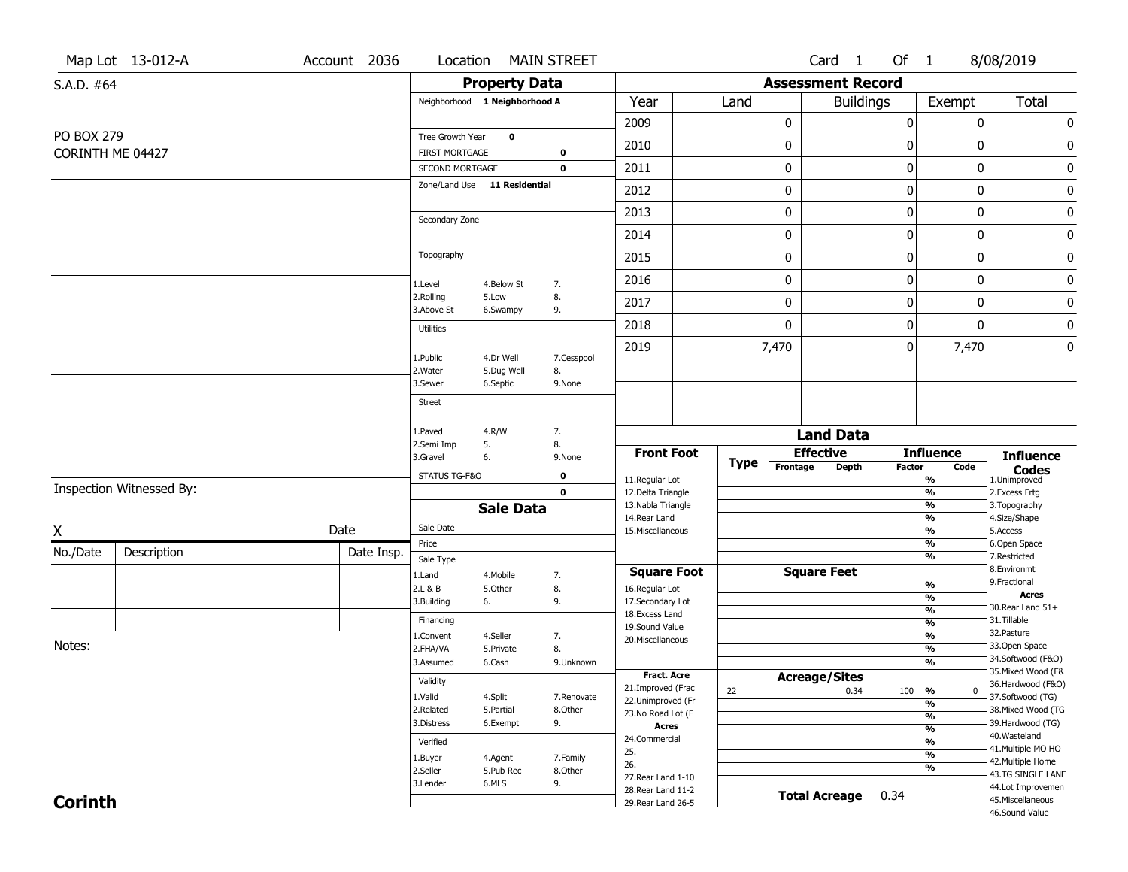| <b>Property Data</b><br><b>Assessment Record</b><br>S.A.D. #64<br>Year<br><b>Buildings</b><br>Total<br>Neighborhood 1 Neighborhood A<br>Land<br>Exempt<br>$\pmb{0}$<br>0<br>0<br>$\pmb{0}$<br>2009<br><b>PO BOX 279</b><br>Tree Growth Year<br>$\mathbf 0$<br>0<br>0<br>2010<br>0<br>0<br>CORINTH ME 04427<br><b>FIRST MORTGAGE</b><br>0<br>$\bf{0}$<br>$\pmb{0}$<br>0<br>0<br>2011<br><b>SECOND MORTGAGE</b><br>0<br>Zone/Land Use 11 Residential<br>$\pmb{0}$<br>0<br>$\bf{0}$<br>$\pmb{0}$<br>2012<br>0<br>0<br>$\bf{0}$<br>$\pmb{0}$<br>2013<br>Secondary Zone<br>$\pmb{0}$<br>2014<br>0<br>0<br>0<br>Topography<br>$\bf{0}$<br>0<br>$\mathbf 0$<br>$\pmb{0}$<br>2015<br>$\pmb{0}$<br>0<br>$\bf{0}$<br>$\pmb{0}$<br>2016<br>4.Below St<br>7.<br>1.Level<br>8.<br>2.Rolling<br>5.Low<br>0<br>0<br>$\mathbf 0$<br>$\pmb{0}$<br>2017<br>3.Above St<br>9.<br>6.Swampy<br>$\mathbf 0$<br>0<br>$\mathbf{0}$<br>$\pmb{0}$<br>2018<br>Utilities<br>7,470<br>0<br>7,470<br>$\bf{0}$<br>2019<br>4.Dr Well<br>1.Public<br>7.Cesspool<br>2. Water<br>5.Dug Well<br>8.<br>6.Septic<br>3.Sewer<br>9.None<br>Street<br>4.R/W<br>1.Paved<br>7.<br><b>Land Data</b><br>5.<br>8.<br>2.Semi Imp<br><b>Effective</b><br><b>Front Foot</b><br><b>Influence</b><br><b>Influence</b><br>3.Gravel<br>6.<br>9.None<br><b>Type</b><br>Frontage<br><b>Depth</b><br><b>Factor</b><br>Code<br><b>Codes</b><br>STATUS TG-F&O<br>0<br>11.Regular Lot<br>%<br>1.Unimproved<br>Inspection Witnessed By:<br>$\mathbf 0$<br>$\frac{9}{6}$<br>12.Delta Triangle<br>2. Excess Frtg<br>$\frac{9}{6}$<br>13. Nabla Triangle<br>3. Topography<br><b>Sale Data</b><br>$\frac{9}{6}$<br>4.Size/Shape<br>14. Rear Land<br>Sale Date<br>Date<br>$\frac{9}{6}$<br>15. Miscellaneous<br>5.Access<br>Price<br>%<br>6.Open Space<br>No./Date<br>Description<br>Date Insp.<br>%<br>7.Restricted<br>Sale Type<br>8.Environmt<br><b>Square Foot</b><br><b>Square Feet</b><br>1.Land<br>4. Mobile<br>7.<br>9. Fractional<br>%<br>2.L & B<br>5.Other<br>8.<br>16.Regular Lot<br><b>Acres</b><br>%<br>3.Building<br>9.<br>17.Secondary Lot<br>6.<br>30. Rear Land 51+<br>$\frac{9}{6}$<br>18.Excess Land<br>31.Tillable<br>Financing<br>$\frac{9}{6}$<br>19.Sound Value<br>32. Pasture<br>$\frac{9}{6}$<br>1.Convent<br>4.Seller<br>7.<br>20.Miscellaneous<br>Notes:<br>33.Open Space<br>$\frac{9}{6}$<br>2.FHA/VA<br>8.<br>5.Private<br>34.Softwood (F&O)<br>$\frac{9}{6}$<br>3.Assumed<br>6.Cash<br>9.Unknown<br>35. Mixed Wood (F&<br>Fract. Acre<br><b>Acreage/Sites</b><br>Validity<br>36.Hardwood (F&O)<br>21.Improved (Frac<br>%<br>100<br>22<br>0.34<br>$\mathbf{0}$<br>1.Valid<br>4.Split<br>37.Softwood (TG)<br>7.Renovate<br>22.Unimproved (Fr<br>%<br>38. Mixed Wood (TG<br>2.Related<br>5.Partial<br>8.Other<br>23.No Road Lot (F<br>%<br>39.Hardwood (TG)<br>3.Distress<br>9.<br>6.Exempt<br><b>Acres</b><br>$\frac{9}{6}$<br>40. Wasteland<br>24.Commercial<br>$\frac{9}{6}$<br>Verified<br>41. Multiple MO HO<br>25.<br>$\frac{9}{6}$<br>1.Buyer<br>4.Agent<br>7.Family<br>42. Multiple Home<br>26.<br>%<br>2.Seller<br>5.Pub Rec<br>8.Other<br>43.TG SINGLE LANE<br>27. Rear Land 1-10<br>3.Lender<br>6.MLS<br>9.<br>44.Lot Improvemen<br>28. Rear Land 11-2<br><b>Total Acreage</b><br>0.34<br><b>Corinth</b><br>45. Miscellaneous<br>29. Rear Land 26-5<br>46.Sound Value |   | Map Lot 13-012-A | Account 2036 | Location |  | <b>MAIN STREET</b> |  |  |  | Card <sub>1</sub> | Of 1 | 8/08/2019 |  |
|--------------------------------------------------------------------------------------------------------------------------------------------------------------------------------------------------------------------------------------------------------------------------------------------------------------------------------------------------------------------------------------------------------------------------------------------------------------------------------------------------------------------------------------------------------------------------------------------------------------------------------------------------------------------------------------------------------------------------------------------------------------------------------------------------------------------------------------------------------------------------------------------------------------------------------------------------------------------------------------------------------------------------------------------------------------------------------------------------------------------------------------------------------------------------------------------------------------------------------------------------------------------------------------------------------------------------------------------------------------------------------------------------------------------------------------------------------------------------------------------------------------------------------------------------------------------------------------------------------------------------------------------------------------------------------------------------------------------------------------------------------------------------------------------------------------------------------------------------------------------------------------------------------------------------------------------------------------------------------------------------------------------------------------------------------------------------------------------------------------------------------------------------------------------------------------------------------------------------------------------------------------------------------------------------------------------------------------------------------------------------------------------------------------------------------------------------------------------------------------------------------------------------------------------------------------------------------------------------------------------------------------------------------------------------------------------------------------------------------------------------------------------------------------------------------------------------------------------------------------------------------------------------------------------------------------------------------------------------------------------------------------------------------------------------------------------------------------------------------------------------------------------------------------------------------------------------------------------------------------------------------------------------------------------------------------------------------------------|---|------------------|--------------|----------|--|--------------------|--|--|--|-------------------|------|-----------|--|
|                                                                                                                                                                                                                                                                                                                                                                                                                                                                                                                                                                                                                                                                                                                                                                                                                                                                                                                                                                                                                                                                                                                                                                                                                                                                                                                                                                                                                                                                                                                                                                                                                                                                                                                                                                                                                                                                                                                                                                                                                                                                                                                                                                                                                                                                                                                                                                                                                                                                                                                                                                                                                                                                                                                                                                                                                                                                                                                                                                                                                                                                                                                                                                                                                                                                                                                                            |   |                  |              |          |  |                    |  |  |  |                   |      |           |  |
|                                                                                                                                                                                                                                                                                                                                                                                                                                                                                                                                                                                                                                                                                                                                                                                                                                                                                                                                                                                                                                                                                                                                                                                                                                                                                                                                                                                                                                                                                                                                                                                                                                                                                                                                                                                                                                                                                                                                                                                                                                                                                                                                                                                                                                                                                                                                                                                                                                                                                                                                                                                                                                                                                                                                                                                                                                                                                                                                                                                                                                                                                                                                                                                                                                                                                                                                            |   |                  |              |          |  |                    |  |  |  |                   |      |           |  |
|                                                                                                                                                                                                                                                                                                                                                                                                                                                                                                                                                                                                                                                                                                                                                                                                                                                                                                                                                                                                                                                                                                                                                                                                                                                                                                                                                                                                                                                                                                                                                                                                                                                                                                                                                                                                                                                                                                                                                                                                                                                                                                                                                                                                                                                                                                                                                                                                                                                                                                                                                                                                                                                                                                                                                                                                                                                                                                                                                                                                                                                                                                                                                                                                                                                                                                                                            |   |                  |              |          |  |                    |  |  |  |                   |      |           |  |
|                                                                                                                                                                                                                                                                                                                                                                                                                                                                                                                                                                                                                                                                                                                                                                                                                                                                                                                                                                                                                                                                                                                                                                                                                                                                                                                                                                                                                                                                                                                                                                                                                                                                                                                                                                                                                                                                                                                                                                                                                                                                                                                                                                                                                                                                                                                                                                                                                                                                                                                                                                                                                                                                                                                                                                                                                                                                                                                                                                                                                                                                                                                                                                                                                                                                                                                                            |   |                  |              |          |  |                    |  |  |  |                   |      |           |  |
|                                                                                                                                                                                                                                                                                                                                                                                                                                                                                                                                                                                                                                                                                                                                                                                                                                                                                                                                                                                                                                                                                                                                                                                                                                                                                                                                                                                                                                                                                                                                                                                                                                                                                                                                                                                                                                                                                                                                                                                                                                                                                                                                                                                                                                                                                                                                                                                                                                                                                                                                                                                                                                                                                                                                                                                                                                                                                                                                                                                                                                                                                                                                                                                                                                                                                                                                            |   |                  |              |          |  |                    |  |  |  |                   |      |           |  |
|                                                                                                                                                                                                                                                                                                                                                                                                                                                                                                                                                                                                                                                                                                                                                                                                                                                                                                                                                                                                                                                                                                                                                                                                                                                                                                                                                                                                                                                                                                                                                                                                                                                                                                                                                                                                                                                                                                                                                                                                                                                                                                                                                                                                                                                                                                                                                                                                                                                                                                                                                                                                                                                                                                                                                                                                                                                                                                                                                                                                                                                                                                                                                                                                                                                                                                                                            |   |                  |              |          |  |                    |  |  |  |                   |      |           |  |
|                                                                                                                                                                                                                                                                                                                                                                                                                                                                                                                                                                                                                                                                                                                                                                                                                                                                                                                                                                                                                                                                                                                                                                                                                                                                                                                                                                                                                                                                                                                                                                                                                                                                                                                                                                                                                                                                                                                                                                                                                                                                                                                                                                                                                                                                                                                                                                                                                                                                                                                                                                                                                                                                                                                                                                                                                                                                                                                                                                                                                                                                                                                                                                                                                                                                                                                                            |   |                  |              |          |  |                    |  |  |  |                   |      |           |  |
|                                                                                                                                                                                                                                                                                                                                                                                                                                                                                                                                                                                                                                                                                                                                                                                                                                                                                                                                                                                                                                                                                                                                                                                                                                                                                                                                                                                                                                                                                                                                                                                                                                                                                                                                                                                                                                                                                                                                                                                                                                                                                                                                                                                                                                                                                                                                                                                                                                                                                                                                                                                                                                                                                                                                                                                                                                                                                                                                                                                                                                                                                                                                                                                                                                                                                                                                            |   |                  |              |          |  |                    |  |  |  |                   |      |           |  |
|                                                                                                                                                                                                                                                                                                                                                                                                                                                                                                                                                                                                                                                                                                                                                                                                                                                                                                                                                                                                                                                                                                                                                                                                                                                                                                                                                                                                                                                                                                                                                                                                                                                                                                                                                                                                                                                                                                                                                                                                                                                                                                                                                                                                                                                                                                                                                                                                                                                                                                                                                                                                                                                                                                                                                                                                                                                                                                                                                                                                                                                                                                                                                                                                                                                                                                                                            |   |                  |              |          |  |                    |  |  |  |                   |      |           |  |
|                                                                                                                                                                                                                                                                                                                                                                                                                                                                                                                                                                                                                                                                                                                                                                                                                                                                                                                                                                                                                                                                                                                                                                                                                                                                                                                                                                                                                                                                                                                                                                                                                                                                                                                                                                                                                                                                                                                                                                                                                                                                                                                                                                                                                                                                                                                                                                                                                                                                                                                                                                                                                                                                                                                                                                                                                                                                                                                                                                                                                                                                                                                                                                                                                                                                                                                                            |   |                  |              |          |  |                    |  |  |  |                   |      |           |  |
|                                                                                                                                                                                                                                                                                                                                                                                                                                                                                                                                                                                                                                                                                                                                                                                                                                                                                                                                                                                                                                                                                                                                                                                                                                                                                                                                                                                                                                                                                                                                                                                                                                                                                                                                                                                                                                                                                                                                                                                                                                                                                                                                                                                                                                                                                                                                                                                                                                                                                                                                                                                                                                                                                                                                                                                                                                                                                                                                                                                                                                                                                                                                                                                                                                                                                                                                            |   |                  |              |          |  |                    |  |  |  |                   |      |           |  |
|                                                                                                                                                                                                                                                                                                                                                                                                                                                                                                                                                                                                                                                                                                                                                                                                                                                                                                                                                                                                                                                                                                                                                                                                                                                                                                                                                                                                                                                                                                                                                                                                                                                                                                                                                                                                                                                                                                                                                                                                                                                                                                                                                                                                                                                                                                                                                                                                                                                                                                                                                                                                                                                                                                                                                                                                                                                                                                                                                                                                                                                                                                                                                                                                                                                                                                                                            |   |                  |              |          |  |                    |  |  |  |                   |      |           |  |
|                                                                                                                                                                                                                                                                                                                                                                                                                                                                                                                                                                                                                                                                                                                                                                                                                                                                                                                                                                                                                                                                                                                                                                                                                                                                                                                                                                                                                                                                                                                                                                                                                                                                                                                                                                                                                                                                                                                                                                                                                                                                                                                                                                                                                                                                                                                                                                                                                                                                                                                                                                                                                                                                                                                                                                                                                                                                                                                                                                                                                                                                                                                                                                                                                                                                                                                                            |   |                  |              |          |  |                    |  |  |  |                   |      |           |  |
|                                                                                                                                                                                                                                                                                                                                                                                                                                                                                                                                                                                                                                                                                                                                                                                                                                                                                                                                                                                                                                                                                                                                                                                                                                                                                                                                                                                                                                                                                                                                                                                                                                                                                                                                                                                                                                                                                                                                                                                                                                                                                                                                                                                                                                                                                                                                                                                                                                                                                                                                                                                                                                                                                                                                                                                                                                                                                                                                                                                                                                                                                                                                                                                                                                                                                                                                            |   |                  |              |          |  |                    |  |  |  |                   |      |           |  |
|                                                                                                                                                                                                                                                                                                                                                                                                                                                                                                                                                                                                                                                                                                                                                                                                                                                                                                                                                                                                                                                                                                                                                                                                                                                                                                                                                                                                                                                                                                                                                                                                                                                                                                                                                                                                                                                                                                                                                                                                                                                                                                                                                                                                                                                                                                                                                                                                                                                                                                                                                                                                                                                                                                                                                                                                                                                                                                                                                                                                                                                                                                                                                                                                                                                                                                                                            |   |                  |              |          |  |                    |  |  |  |                   |      |           |  |
|                                                                                                                                                                                                                                                                                                                                                                                                                                                                                                                                                                                                                                                                                                                                                                                                                                                                                                                                                                                                                                                                                                                                                                                                                                                                                                                                                                                                                                                                                                                                                                                                                                                                                                                                                                                                                                                                                                                                                                                                                                                                                                                                                                                                                                                                                                                                                                                                                                                                                                                                                                                                                                                                                                                                                                                                                                                                                                                                                                                                                                                                                                                                                                                                                                                                                                                                            |   |                  |              |          |  |                    |  |  |  |                   |      |           |  |
|                                                                                                                                                                                                                                                                                                                                                                                                                                                                                                                                                                                                                                                                                                                                                                                                                                                                                                                                                                                                                                                                                                                                                                                                                                                                                                                                                                                                                                                                                                                                                                                                                                                                                                                                                                                                                                                                                                                                                                                                                                                                                                                                                                                                                                                                                                                                                                                                                                                                                                                                                                                                                                                                                                                                                                                                                                                                                                                                                                                                                                                                                                                                                                                                                                                                                                                                            |   |                  |              |          |  |                    |  |  |  |                   |      |           |  |
|                                                                                                                                                                                                                                                                                                                                                                                                                                                                                                                                                                                                                                                                                                                                                                                                                                                                                                                                                                                                                                                                                                                                                                                                                                                                                                                                                                                                                                                                                                                                                                                                                                                                                                                                                                                                                                                                                                                                                                                                                                                                                                                                                                                                                                                                                                                                                                                                                                                                                                                                                                                                                                                                                                                                                                                                                                                                                                                                                                                                                                                                                                                                                                                                                                                                                                                                            |   |                  |              |          |  |                    |  |  |  |                   |      |           |  |
|                                                                                                                                                                                                                                                                                                                                                                                                                                                                                                                                                                                                                                                                                                                                                                                                                                                                                                                                                                                                                                                                                                                                                                                                                                                                                                                                                                                                                                                                                                                                                                                                                                                                                                                                                                                                                                                                                                                                                                                                                                                                                                                                                                                                                                                                                                                                                                                                                                                                                                                                                                                                                                                                                                                                                                                                                                                                                                                                                                                                                                                                                                                                                                                                                                                                                                                                            |   |                  |              |          |  |                    |  |  |  |                   |      |           |  |
|                                                                                                                                                                                                                                                                                                                                                                                                                                                                                                                                                                                                                                                                                                                                                                                                                                                                                                                                                                                                                                                                                                                                                                                                                                                                                                                                                                                                                                                                                                                                                                                                                                                                                                                                                                                                                                                                                                                                                                                                                                                                                                                                                                                                                                                                                                                                                                                                                                                                                                                                                                                                                                                                                                                                                                                                                                                                                                                                                                                                                                                                                                                                                                                                                                                                                                                                            |   |                  |              |          |  |                    |  |  |  |                   |      |           |  |
|                                                                                                                                                                                                                                                                                                                                                                                                                                                                                                                                                                                                                                                                                                                                                                                                                                                                                                                                                                                                                                                                                                                                                                                                                                                                                                                                                                                                                                                                                                                                                                                                                                                                                                                                                                                                                                                                                                                                                                                                                                                                                                                                                                                                                                                                                                                                                                                                                                                                                                                                                                                                                                                                                                                                                                                                                                                                                                                                                                                                                                                                                                                                                                                                                                                                                                                                            |   |                  |              |          |  |                    |  |  |  |                   |      |           |  |
|                                                                                                                                                                                                                                                                                                                                                                                                                                                                                                                                                                                                                                                                                                                                                                                                                                                                                                                                                                                                                                                                                                                                                                                                                                                                                                                                                                                                                                                                                                                                                                                                                                                                                                                                                                                                                                                                                                                                                                                                                                                                                                                                                                                                                                                                                                                                                                                                                                                                                                                                                                                                                                                                                                                                                                                                                                                                                                                                                                                                                                                                                                                                                                                                                                                                                                                                            |   |                  |              |          |  |                    |  |  |  |                   |      |           |  |
|                                                                                                                                                                                                                                                                                                                                                                                                                                                                                                                                                                                                                                                                                                                                                                                                                                                                                                                                                                                                                                                                                                                                                                                                                                                                                                                                                                                                                                                                                                                                                                                                                                                                                                                                                                                                                                                                                                                                                                                                                                                                                                                                                                                                                                                                                                                                                                                                                                                                                                                                                                                                                                                                                                                                                                                                                                                                                                                                                                                                                                                                                                                                                                                                                                                                                                                                            | X |                  |              |          |  |                    |  |  |  |                   |      |           |  |
|                                                                                                                                                                                                                                                                                                                                                                                                                                                                                                                                                                                                                                                                                                                                                                                                                                                                                                                                                                                                                                                                                                                                                                                                                                                                                                                                                                                                                                                                                                                                                                                                                                                                                                                                                                                                                                                                                                                                                                                                                                                                                                                                                                                                                                                                                                                                                                                                                                                                                                                                                                                                                                                                                                                                                                                                                                                                                                                                                                                                                                                                                                                                                                                                                                                                                                                                            |   |                  |              |          |  |                    |  |  |  |                   |      |           |  |
|                                                                                                                                                                                                                                                                                                                                                                                                                                                                                                                                                                                                                                                                                                                                                                                                                                                                                                                                                                                                                                                                                                                                                                                                                                                                                                                                                                                                                                                                                                                                                                                                                                                                                                                                                                                                                                                                                                                                                                                                                                                                                                                                                                                                                                                                                                                                                                                                                                                                                                                                                                                                                                                                                                                                                                                                                                                                                                                                                                                                                                                                                                                                                                                                                                                                                                                                            |   |                  |              |          |  |                    |  |  |  |                   |      |           |  |
|                                                                                                                                                                                                                                                                                                                                                                                                                                                                                                                                                                                                                                                                                                                                                                                                                                                                                                                                                                                                                                                                                                                                                                                                                                                                                                                                                                                                                                                                                                                                                                                                                                                                                                                                                                                                                                                                                                                                                                                                                                                                                                                                                                                                                                                                                                                                                                                                                                                                                                                                                                                                                                                                                                                                                                                                                                                                                                                                                                                                                                                                                                                                                                                                                                                                                                                                            |   |                  |              |          |  |                    |  |  |  |                   |      |           |  |
|                                                                                                                                                                                                                                                                                                                                                                                                                                                                                                                                                                                                                                                                                                                                                                                                                                                                                                                                                                                                                                                                                                                                                                                                                                                                                                                                                                                                                                                                                                                                                                                                                                                                                                                                                                                                                                                                                                                                                                                                                                                                                                                                                                                                                                                                                                                                                                                                                                                                                                                                                                                                                                                                                                                                                                                                                                                                                                                                                                                                                                                                                                                                                                                                                                                                                                                                            |   |                  |              |          |  |                    |  |  |  |                   |      |           |  |
|                                                                                                                                                                                                                                                                                                                                                                                                                                                                                                                                                                                                                                                                                                                                                                                                                                                                                                                                                                                                                                                                                                                                                                                                                                                                                                                                                                                                                                                                                                                                                                                                                                                                                                                                                                                                                                                                                                                                                                                                                                                                                                                                                                                                                                                                                                                                                                                                                                                                                                                                                                                                                                                                                                                                                                                                                                                                                                                                                                                                                                                                                                                                                                                                                                                                                                                                            |   |                  |              |          |  |                    |  |  |  |                   |      |           |  |
|                                                                                                                                                                                                                                                                                                                                                                                                                                                                                                                                                                                                                                                                                                                                                                                                                                                                                                                                                                                                                                                                                                                                                                                                                                                                                                                                                                                                                                                                                                                                                                                                                                                                                                                                                                                                                                                                                                                                                                                                                                                                                                                                                                                                                                                                                                                                                                                                                                                                                                                                                                                                                                                                                                                                                                                                                                                                                                                                                                                                                                                                                                                                                                                                                                                                                                                                            |   |                  |              |          |  |                    |  |  |  |                   |      |           |  |
|                                                                                                                                                                                                                                                                                                                                                                                                                                                                                                                                                                                                                                                                                                                                                                                                                                                                                                                                                                                                                                                                                                                                                                                                                                                                                                                                                                                                                                                                                                                                                                                                                                                                                                                                                                                                                                                                                                                                                                                                                                                                                                                                                                                                                                                                                                                                                                                                                                                                                                                                                                                                                                                                                                                                                                                                                                                                                                                                                                                                                                                                                                                                                                                                                                                                                                                                            |   |                  |              |          |  |                    |  |  |  |                   |      |           |  |
|                                                                                                                                                                                                                                                                                                                                                                                                                                                                                                                                                                                                                                                                                                                                                                                                                                                                                                                                                                                                                                                                                                                                                                                                                                                                                                                                                                                                                                                                                                                                                                                                                                                                                                                                                                                                                                                                                                                                                                                                                                                                                                                                                                                                                                                                                                                                                                                                                                                                                                                                                                                                                                                                                                                                                                                                                                                                                                                                                                                                                                                                                                                                                                                                                                                                                                                                            |   |                  |              |          |  |                    |  |  |  |                   |      |           |  |
|                                                                                                                                                                                                                                                                                                                                                                                                                                                                                                                                                                                                                                                                                                                                                                                                                                                                                                                                                                                                                                                                                                                                                                                                                                                                                                                                                                                                                                                                                                                                                                                                                                                                                                                                                                                                                                                                                                                                                                                                                                                                                                                                                                                                                                                                                                                                                                                                                                                                                                                                                                                                                                                                                                                                                                                                                                                                                                                                                                                                                                                                                                                                                                                                                                                                                                                                            |   |                  |              |          |  |                    |  |  |  |                   |      |           |  |
|                                                                                                                                                                                                                                                                                                                                                                                                                                                                                                                                                                                                                                                                                                                                                                                                                                                                                                                                                                                                                                                                                                                                                                                                                                                                                                                                                                                                                                                                                                                                                                                                                                                                                                                                                                                                                                                                                                                                                                                                                                                                                                                                                                                                                                                                                                                                                                                                                                                                                                                                                                                                                                                                                                                                                                                                                                                                                                                                                                                                                                                                                                                                                                                                                                                                                                                                            |   |                  |              |          |  |                    |  |  |  |                   |      |           |  |
|                                                                                                                                                                                                                                                                                                                                                                                                                                                                                                                                                                                                                                                                                                                                                                                                                                                                                                                                                                                                                                                                                                                                                                                                                                                                                                                                                                                                                                                                                                                                                                                                                                                                                                                                                                                                                                                                                                                                                                                                                                                                                                                                                                                                                                                                                                                                                                                                                                                                                                                                                                                                                                                                                                                                                                                                                                                                                                                                                                                                                                                                                                                                                                                                                                                                                                                                            |   |                  |              |          |  |                    |  |  |  |                   |      |           |  |
|                                                                                                                                                                                                                                                                                                                                                                                                                                                                                                                                                                                                                                                                                                                                                                                                                                                                                                                                                                                                                                                                                                                                                                                                                                                                                                                                                                                                                                                                                                                                                                                                                                                                                                                                                                                                                                                                                                                                                                                                                                                                                                                                                                                                                                                                                                                                                                                                                                                                                                                                                                                                                                                                                                                                                                                                                                                                                                                                                                                                                                                                                                                                                                                                                                                                                                                                            |   |                  |              |          |  |                    |  |  |  |                   |      |           |  |
|                                                                                                                                                                                                                                                                                                                                                                                                                                                                                                                                                                                                                                                                                                                                                                                                                                                                                                                                                                                                                                                                                                                                                                                                                                                                                                                                                                                                                                                                                                                                                                                                                                                                                                                                                                                                                                                                                                                                                                                                                                                                                                                                                                                                                                                                                                                                                                                                                                                                                                                                                                                                                                                                                                                                                                                                                                                                                                                                                                                                                                                                                                                                                                                                                                                                                                                                            |   |                  |              |          |  |                    |  |  |  |                   |      |           |  |
|                                                                                                                                                                                                                                                                                                                                                                                                                                                                                                                                                                                                                                                                                                                                                                                                                                                                                                                                                                                                                                                                                                                                                                                                                                                                                                                                                                                                                                                                                                                                                                                                                                                                                                                                                                                                                                                                                                                                                                                                                                                                                                                                                                                                                                                                                                                                                                                                                                                                                                                                                                                                                                                                                                                                                                                                                                                                                                                                                                                                                                                                                                                                                                                                                                                                                                                                            |   |                  |              |          |  |                    |  |  |  |                   |      |           |  |
|                                                                                                                                                                                                                                                                                                                                                                                                                                                                                                                                                                                                                                                                                                                                                                                                                                                                                                                                                                                                                                                                                                                                                                                                                                                                                                                                                                                                                                                                                                                                                                                                                                                                                                                                                                                                                                                                                                                                                                                                                                                                                                                                                                                                                                                                                                                                                                                                                                                                                                                                                                                                                                                                                                                                                                                                                                                                                                                                                                                                                                                                                                                                                                                                                                                                                                                                            |   |                  |              |          |  |                    |  |  |  |                   |      |           |  |
|                                                                                                                                                                                                                                                                                                                                                                                                                                                                                                                                                                                                                                                                                                                                                                                                                                                                                                                                                                                                                                                                                                                                                                                                                                                                                                                                                                                                                                                                                                                                                                                                                                                                                                                                                                                                                                                                                                                                                                                                                                                                                                                                                                                                                                                                                                                                                                                                                                                                                                                                                                                                                                                                                                                                                                                                                                                                                                                                                                                                                                                                                                                                                                                                                                                                                                                                            |   |                  |              |          |  |                    |  |  |  |                   |      |           |  |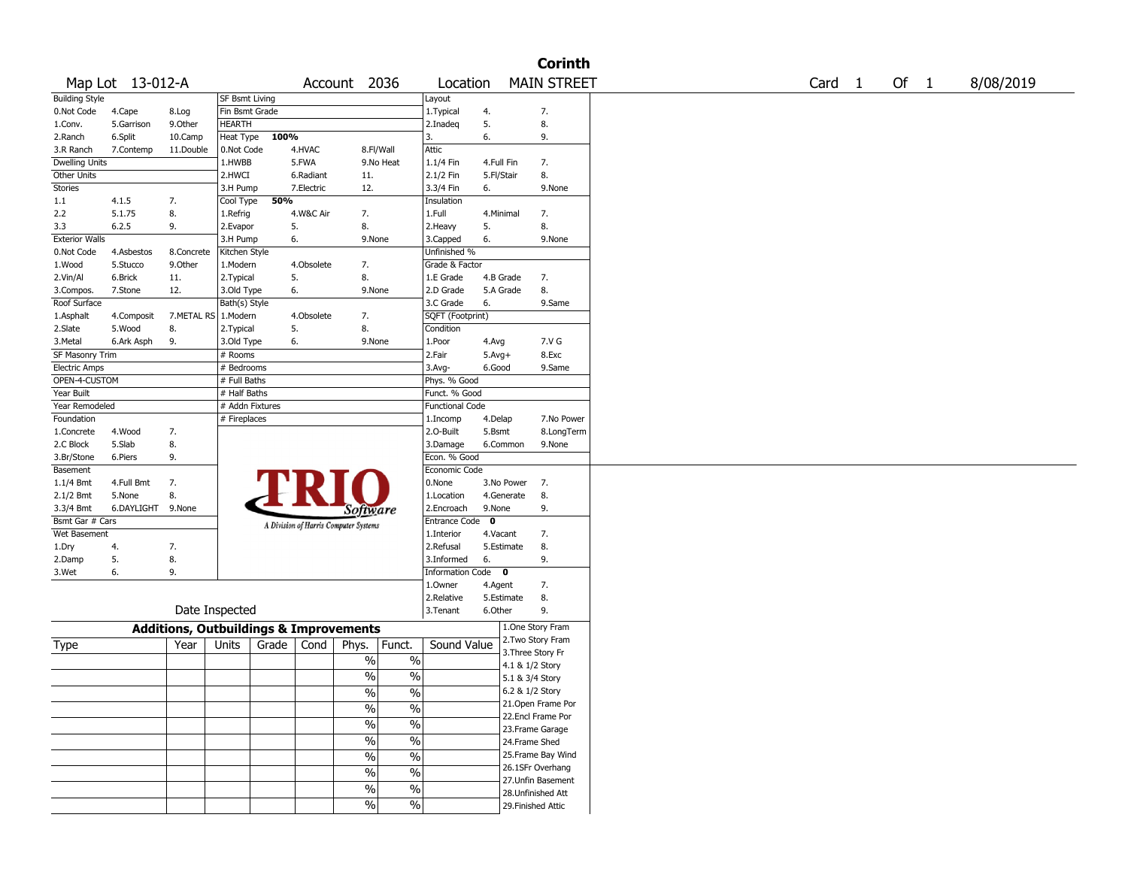|                                                   |                   |            |                 |       |            |                                       |               |                        |                  |                 | <b>Corinth</b>     |                   |      |           |
|---------------------------------------------------|-------------------|------------|-----------------|-------|------------|---------------------------------------|---------------|------------------------|------------------|-----------------|--------------------|-------------------|------|-----------|
|                                                   | Map Lot 13-012-A  |            |                 |       |            | Account 2036                          |               | Location               |                  |                 | <b>MAIN STREET</b> | Card <sub>1</sub> | Of 1 | 8/08/2019 |
| <b>Building Style</b>                             |                   |            | SF Bsmt Living  |       |            |                                       |               | Layout                 |                  |                 |                    |                   |      |           |
| 0.Not Code                                        | 4.Cape            | 8.Log      | Fin Bsmt Grade  |       |            |                                       |               | 1. Typical             | 4.               |                 | 7.                 |                   |      |           |
| 1.Conv.                                           | 5.Garrison        | 9.0ther    | HEARTH          |       |            |                                       |               | 2.Inadeg               | 5.               |                 | 8.                 |                   |      |           |
| 2.Ranch                                           | 6.Split           | 10.Camp    | Heat Type       | 100%  |            |                                       |               | 3.                     | 6.               |                 | 9.                 |                   |      |           |
| 3.R Ranch                                         | 7.Contemp         | 11.Double  | 0.Not Code      |       | 4.HVAC     | 8.Fl/Wall                             |               | Attic                  |                  |                 |                    |                   |      |           |
| <b>Dwelling Units</b>                             |                   |            | 1.HWBB          |       | 5.FWA      |                                       | 9.No Heat     | 1.1/4 Fin              | 4.Full Fin       |                 | 7.                 |                   |      |           |
| Other Units                                       |                   |            | 2.HWCI          |       | 6.Radiant  | 11.                                   |               | 2.1/2 Fin              | 5.Fl/Stair       |                 | 8.                 |                   |      |           |
| <b>Stories</b>                                    |                   |            | 3.H Pump        |       | 7.Electric | 12.                                   |               | 3.3/4 Fin              | 6.               |                 | 9.None             |                   |      |           |
| 1.1                                               | 4.1.5             | 7.         | Cool Type       | 50%   |            |                                       |               | Insulation             |                  |                 |                    |                   |      |           |
| 2.2                                               | 5.1.75            | 8.         | 1.Refrig        |       | 4.W&C Air  | 7.                                    |               | 1.Full                 | 4.Minimal        |                 | 7.                 |                   |      |           |
| 3.3                                               | 6.2.5             | 9.         | 2.Evapor        |       | 5.         | 8.                                    |               | 2. Heavy               | 5.               |                 | 8.                 |                   |      |           |
| <b>Exterior Walls</b>                             |                   |            | 3.H Pump        |       | 6.         | 9.None                                |               | 3.Capped               | 6.               |                 | 9.None             |                   |      |           |
| 0.Not Code                                        | 4.Asbestos        | 8.Concrete | Kitchen Style   |       |            |                                       |               | Unfinished %           |                  |                 |                    |                   |      |           |
| 1.Wood                                            | 5.Stucco          | 9.Other    | 1.Modern        |       | 4.Obsolete | 7.                                    |               | Grade & Factor         |                  |                 |                    |                   |      |           |
| 2.Vin/Al                                          | 6.Brick           | 11.        | 2. Typical      |       | 5.         | 8.                                    |               | 1.E Grade              |                  | 4.B Grade       | 7.                 |                   |      |           |
| 3.Compos.                                         | 7.Stone           | 12.        | 3.Old Type      |       | 6.         | 9.None                                |               | 2.D Grade              |                  | 5.A Grade       | 8.                 |                   |      |           |
| Roof Surface                                      |                   |            | Bath(s) Style   |       |            |                                       |               | 3.C Grade              | 6.               |                 | 9.Same             |                   |      |           |
| 1.Asphalt                                         | 4.Composit        | 7.METAL RS | 1.Modern        |       | 4.Obsolete | 7.                                    |               | SQFT (Footprint)       |                  |                 |                    |                   |      |           |
| 2.Slate                                           | 5.Wood            | 8.         | 2. Typical      |       | 5.         | 8.                                    |               | Condition              |                  |                 |                    |                   |      |           |
| 3.Metal                                           | 6.Ark Asph        | 9.         | 3.Old Type      |       | 6.         | 9.None                                |               | 1.Poor                 | 4.Avg            |                 | 7.V G              |                   |      |           |
| SF Masonry Trim                                   |                   |            | # Rooms         |       |            |                                       |               | 2.Fair                 | $5.$ Avg $+$     |                 | 8.Exc              |                   |      |           |
| <b>Electric Amps</b>                              |                   |            | # Bedrooms      |       |            |                                       |               | $3.$ Avg-              | 6.Good           |                 | 9.Same             |                   |      |           |
| OPEN-4-CUSTOM                                     |                   |            | # Full Baths    |       |            |                                       |               | Phys. % Good           |                  |                 |                    |                   |      |           |
| Year Built                                        |                   |            | # Half Baths    |       |            |                                       |               | Funct. % Good          |                  |                 |                    |                   |      |           |
| Year Remodeled                                    |                   |            | # Addn Fixtures |       |            |                                       |               | <b>Functional Code</b> |                  |                 |                    |                   |      |           |
| Foundation                                        |                   |            | # Fireplaces    |       |            |                                       |               | 1.Incomp               | 4.Delap          |                 | 7.No Power         |                   |      |           |
| 1.Concrete                                        | 4.Wood            | 7.         |                 |       |            |                                       |               | 2.O-Built              | 5.Bsmt           |                 | 8.LongTerm         |                   |      |           |
| 2.C Block                                         | 5.Slab            | 8.         |                 |       |            |                                       |               | 3.Damage               |                  | 6.Common        | 9.None             |                   |      |           |
| 3.Br/Stone                                        | 6.Piers           | 9.         |                 |       |            |                                       |               | Econ. % Good           |                  |                 |                    |                   |      |           |
| Basement                                          |                   |            |                 |       |            |                                       |               | Economic Code          |                  |                 |                    |                   |      |           |
| 1.1/4 Bmt                                         | 4.Full Bmt        | 7.         |                 |       |            |                                       |               | 0.None                 |                  | 3.No Power      | 7.                 |                   |      |           |
| $2.1/2$ Bmt                                       | 5.None            | 8.         |                 |       |            |                                       |               | 1.Location             |                  | 4.Generate      | 8.                 |                   |      |           |
| 3.3/4 Bmt                                         | 6.DAYLIGHT 9.None |            |                 |       |            | <i>Software</i>                       |               | 2.Encroach             | 9.None           |                 | 9.                 |                   |      |           |
| Bsmt Gar # Cars                                   |                   |            |                 |       |            | A Division of Harris Computer Systems |               | Entrance Code 0        |                  |                 |                    |                   |      |           |
| Wet Basement                                      |                   |            |                 |       |            |                                       |               | 1.Interior             | 4.Vacant         |                 | 7.                 |                   |      |           |
| 1.Dry                                             | 4.                | 7.         |                 |       |            |                                       |               | 2.Refusal              |                  | 5.Estimate      | 8.                 |                   |      |           |
| 2.Damp                                            | 5.                | 8.         |                 |       |            |                                       |               | 3.Informed             | 6.               |                 | 9.                 |                   |      |           |
| 3.Wet                                             | 6.                | 9.         |                 |       |            |                                       |               | Information Code 0     |                  |                 |                    |                   |      |           |
|                                                   |                   |            |                 |       |            |                                       |               | 1.Owner                | 4.Agent          |                 | 7.                 |                   |      |           |
|                                                   |                   |            |                 |       |            |                                       | 2.Relative    |                        | 5.Estimate       | 8.              |                    |                   |      |           |
|                                                   | Date Inspected    |            |                 |       | 3.Tenant   | 6.Other                               |               | 9.                     |                  |                 |                    |                   |      |           |
| <b>Additions, Outbuildings &amp; Improvements</b> |                   |            |                 |       |            |                                       |               |                        | 1.One Story Fram |                 |                    |                   |      |           |
| Type                                              |                   | Year       | Units           | Grade | Cond       | Phys.                                 | Funct.        | Sound Value            |                  |                 | 2.Two Story Fram   |                   |      |           |
|                                                   |                   |            |                 |       |            | $\%$                                  | $\%$          |                        |                  |                 | 3. Three Story Fr  |                   |      |           |
|                                                   |                   |            |                 |       |            |                                       |               |                        |                  |                 | 4.1 & 1/2 Story    |                   |      |           |
|                                                   |                   |            |                 |       |            | $\frac{0}{0}$                         | $\%$          |                        |                  | 5.1 & 3/4 Story |                    |                   |      |           |
|                                                   |                   |            |                 |       |            | $\frac{1}{2}$                         | $\frac{0}{6}$ |                        |                  | 6.2 & 1/2 Story |                    |                   |      |           |
|                                                   |                   |            |                 |       |            | $\frac{1}{2}$                         | $\frac{0}{6}$ |                        |                  |                 | 21.Open Frame Por  |                   |      |           |
|                                                   |                   |            |                 |       |            | $\frac{0}{6}$                         | $\frac{0}{6}$ |                        |                  |                 | 22.Encl Frame Por  |                   |      |           |
|                                                   |                   |            |                 |       |            |                                       |               |                        |                  |                 | 23. Frame Garage   |                   |      |           |
|                                                   |                   |            |                 |       |            | $\frac{1}{2}$                         | $\frac{0}{6}$ |                        |                  | 24.Frame Shed   |                    |                   |      |           |
|                                                   |                   |            |                 |       |            | $\frac{0}{0}$                         | $\frac{0}{6}$ |                        |                  |                 | 25. Frame Bay Wind |                   |      |           |
|                                                   |                   |            |                 |       |            | $\%$                                  | $\frac{1}{2}$ |                        |                  |                 | 26.1SFr Overhang   |                   |      |           |
|                                                   |                   |            |                 |       |            |                                       |               |                        |                  |                 | 27.Unfin Basement  |                   |      |           |
|                                                   |                   |            |                 |       |            | $\frac{0}{6}$                         | $\frac{0}{6}$ |                        |                  |                 | 28. Unfinished Att |                   |      |           |
|                                                   |                   |            |                 |       |            | $\sqrt{6}$                            | $\frac{0}{6}$ |                        |                  |                 | 29. Finished Attic |                   |      |           |
|                                                   |                   |            |                 |       |            |                                       |               |                        |                  |                 |                    |                   |      |           |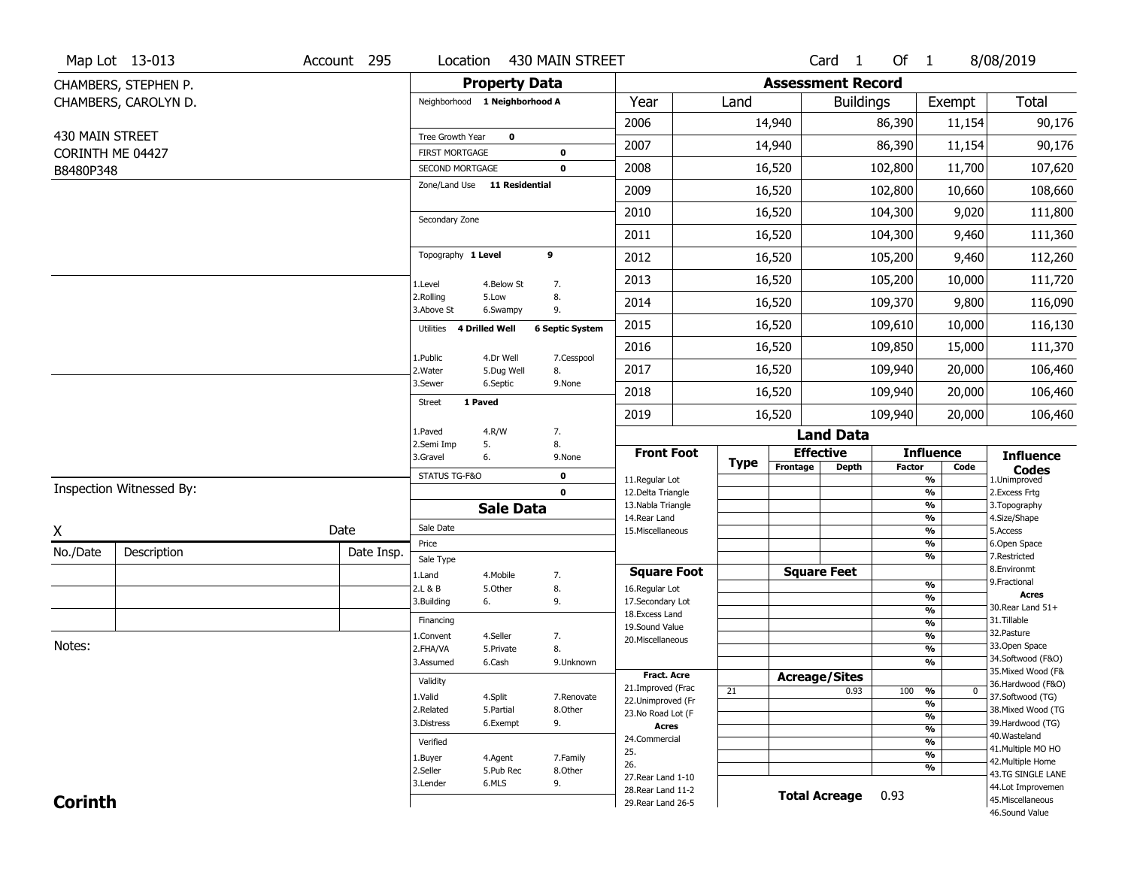|                 | Map Lot 13-013           | Account 295            | Location                                 |                         | 430 MAIN STREET                         |                                          |             |                              | Card <sub>1</sub>             | Of 1                                      |                                           | 8/08/2019                               |
|-----------------|--------------------------|------------------------|------------------------------------------|-------------------------|-----------------------------------------|------------------------------------------|-------------|------------------------------|-------------------------------|-------------------------------------------|-------------------------------------------|-----------------------------------------|
|                 | CHAMBERS, STEPHEN P.     |                        |                                          | <b>Property Data</b>    |                                         |                                          |             | <b>Assessment Record</b>     |                               |                                           |                                           |                                         |
|                 | CHAMBERS, CAROLYN D.     |                        | Neighborhood 1 Neighborhood A            |                         |                                         | Year                                     | Land        |                              | <b>Buildings</b>              |                                           | Exempt                                    | <b>Total</b>                            |
|                 |                          |                        |                                          |                         |                                         | 2006                                     |             | 14,940                       |                               | 86,390                                    | 11,154                                    | 90,176                                  |
| 430 MAIN STREET |                          |                        | Tree Growth Year                         | $\mathbf 0$             |                                         | 2007                                     |             | 14,940                       |                               | 86,390                                    | 11,154                                    | 90,176                                  |
|                 | CORINTH ME 04427         |                        | <b>FIRST MORTGAGE</b><br>SECOND MORTGAGE |                         | $\mathbf 0$<br>$\mathbf 0$              | 2008                                     |             | 16,520                       |                               | 102,800                                   | 11,700                                    | 107,620                                 |
| B8480P348       |                          |                        | Zone/Land Use 11 Residential             |                         |                                         |                                          |             |                              |                               |                                           |                                           |                                         |
|                 |                          |                        |                                          |                         |                                         | 2009                                     |             | 16,520                       |                               | 102,800                                   | 10,660                                    | 108,660                                 |
|                 |                          |                        | Secondary Zone                           |                         |                                         | 2010                                     |             | 16,520                       |                               | 104,300                                   | 9,020                                     | 111,800                                 |
|                 |                          |                        |                                          |                         |                                         | 2011                                     |             | 16,520                       |                               | 104,300                                   | 9,460                                     | 111,360                                 |
|                 |                          |                        | Topography 1 Level                       |                         | 9                                       | 2012                                     |             | 16,520                       |                               | 105,200                                   | 9,460                                     | 112,260                                 |
|                 |                          |                        | 1.Level                                  | 4.Below St              | 7.                                      | 2013                                     |             | 16,520                       |                               | 105,200                                   | 10,000                                    | 111,720                                 |
|                 |                          |                        | 2.Rolling<br>3.Above St                  | 5.Low<br>6.Swampy       | 8.<br>9.                                | 2014                                     |             | 16,520                       |                               | 109,370                                   | 9,800                                     | 116,090                                 |
|                 |                          |                        | <b>4 Drilled Well</b><br>Utilities       |                         | <b>6 Septic System</b>                  | 2015                                     |             | 16,520                       |                               | 109,610                                   | 10,000                                    | 116,130                                 |
|                 |                          |                        |                                          |                         | 7.Cesspool                              | 2016                                     |             | 16,520                       |                               | 109,850                                   | 15,000                                    | 111,370                                 |
|                 |                          |                        | 1.Public<br>2. Water                     | 4.Dr Well<br>5.Dug Well | 8.                                      | 2017                                     |             | 16,520                       |                               | 109,940                                   | 20,000                                    | 106,460                                 |
|                 |                          |                        | 3.Sewer                                  | 6.Septic                | 9.None                                  | 2018                                     |             | 16,520                       |                               | 109,940                                   | 20,000                                    | 106,460                                 |
|                 |                          |                        | 1 Paved<br><b>Street</b>                 |                         |                                         | 2019                                     |             | 16,520                       |                               | 109,940                                   | 20,000                                    | 106,460                                 |
|                 |                          | 1.Paved<br>4.R/W<br>7. |                                          |                         |                                         |                                          |             | <b>Land Data</b>             |                               |                                           |                                           |                                         |
|                 |                          |                        | 2.Semi Imp<br>3.Gravel                   | 5.<br>6.                | 8.<br>9.None                            | <b>Front Foot</b>                        |             |                              | <b>Effective</b>              |                                           | <b>Influence</b>                          | <b>Influence</b>                        |
|                 |                          |                        | STATUS TG-F&O<br>$\mathbf 0$             |                         |                                         | 11.Regular Lot                           | <b>Type</b> | Frontage                     | <b>Depth</b><br><b>Factor</b> |                                           | Code<br>$\overline{\frac{9}{6}}$          | <b>Codes</b><br>1.Unimproved            |
|                 | Inspection Witnessed By: |                        | $\mathbf 0$                              |                         |                                         | 12.Delta Triangle                        |             |                              |                               |                                           | $\frac{9}{6}$                             | 2.Excess Frtg                           |
|                 |                          |                        |                                          | <b>Sale Data</b>        |                                         | 13. Nabla Triangle<br>14. Rear Land      |             |                              |                               |                                           | $\overline{\frac{9}{6}}$<br>$\frac{9}{6}$ | 3. Topography<br>4.Size/Shape           |
| X               |                          | Date                   | Sale Date                                |                         |                                         | 15. Miscellaneous                        |             |                              |                               |                                           | $\overline{\frac{9}{6}}$                  | 5.Access                                |
| No./Date        | Description              | Date Insp.             | Price                                    |                         |                                         |                                          |             |                              |                               |                                           | %<br>%                                    | 6.Open Space<br>7.Restricted            |
|                 |                          |                        | Sale Type<br>1.Land                      | 4. Mobile               | 7.                                      | <b>Square Foot</b>                       |             |                              | <b>Square Feet</b>            |                                           |                                           | 8.Environmt                             |
|                 |                          |                        | 2.L & B                                  | 5.Other                 | 8.                                      | 16.Regular Lot                           |             |                              |                               |                                           | %                                         | 9. Fractional                           |
|                 |                          |                        | 3.Building                               | 6.                      | 9.                                      | 17.Secondary Lot                         |             |                              |                               |                                           | %<br>%                                    | <b>Acres</b><br>30.Rear Land 51+        |
|                 |                          |                        | Financing                                |                         |                                         | 18.Excess Land<br>19.Sound Value         |             |                              |                               |                                           | $\overline{\frac{9}{6}}$                  | 31.Tillable                             |
|                 |                          |                        | 1.Convent                                | 4.Seller                | 7.                                      | 20.Miscellaneous                         |             |                              |                               |                                           | %                                         | 32. Pasture                             |
| Notes:          |                          |                        | 2.FHA/VA                                 | 5.Private               | 8.                                      |                                          |             |                              |                               |                                           | %                                         | 33.Open Space                           |
|                 |                          | 3.Assumed              | 6.Cash                                   | 9.Unknown               |                                         |                                          |             |                              |                               | %                                         | 34.Softwood (F&O)<br>35. Mixed Wood (F&   |                                         |
|                 |                          | Validity               |                                          |                         | <b>Fract. Acre</b><br>21.Improved (Frac |                                          |             | <b>Acreage/Sites</b><br>0.93 |                               |                                           | 36.Hardwood (F&O)                         |                                         |
|                 |                          | 1.Valid                | 4.Split                                  | 7.Renovate              | 22.Unimproved (Fr                       |                                          | 21          |                              | 100                           | %<br>0                                    | 37.Softwood (TG)                          |                                         |
|                 |                          | 2.Related              | 5.Partial                                | 8.Other                 | 23.No Road Lot (F                       |                                          |             |                              |                               | $\frac{9}{6}$<br>$\overline{\frac{9}{6}}$ | 38. Mixed Wood (TG                        |                                         |
|                 |                          |                        | 3.Distress                               | 6.Exempt                | 9.                                      | <b>Acres</b>                             |             |                              |                               |                                           | $\frac{9}{6}$                             | 39.Hardwood (TG)                        |
|                 |                          | Verified               |                                          |                         | 24.Commercial                           |                                          |             |                              |                               | $\overline{\frac{9}{6}}$                  | 40. Wasteland                             |                                         |
|                 |                          |                        | 1.Buyer                                  | 4.Agent                 | 7.Family                                | 25.                                      |             |                              |                               |                                           | $\overline{\frac{9}{6}}$                  | 41. Multiple MO HO<br>42. Multiple Home |
|                 |                          |                        | 2.Seller                                 | 5.Pub Rec               | 8.Other                                 | 26.                                      |             |                              |                               |                                           | %                                         | 43.TG SINGLE LANE                       |
|                 |                          |                        | 3.Lender                                 | 6.MLS                   | 9.                                      | 27. Rear Land 1-10<br>28. Rear Land 11-2 |             |                              |                               |                                           |                                           | 44.Lot Improvemen                       |
| <b>Corinth</b>  |                          |                        |                                          |                         |                                         | 29. Rear Land 26-5                       |             |                              | <b>Total Acreage</b>          | 0.93                                      |                                           | 45. Miscellaneous                       |
|                 |                          |                        |                                          |                         |                                         |                                          |             |                              |                               |                                           |                                           | 46.Sound Value                          |